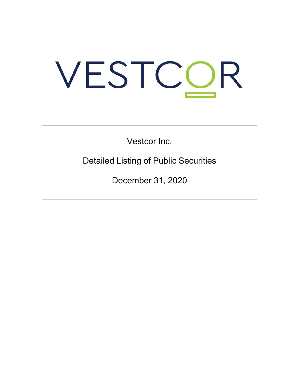# VESTCOR

Vestcor Inc.

Detailed Listing of Public Securities

December 31, 2020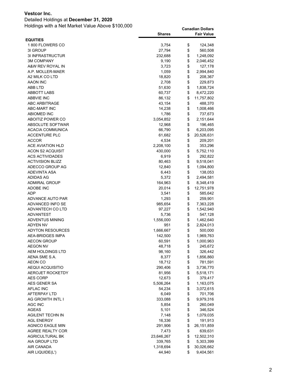### Detailed Holdings at **December 31, 2020**

|                         | <b>Shares</b> | <b>Fair Value</b> |
|-------------------------|---------------|-------------------|
| <b>EQUITIES</b>         |               |                   |
| 1800 FLOWERS CO         | 3,754         | \$<br>124,348     |
| 3I GROUP                | 27,794        | \$<br>560,508     |
| 3I INFRASTRUCTUR        | 232,688       | \$<br>1,248,092   |
| <b>3M COMPANY</b>       | 9,190         | \$<br>2,046,452   |
| A&W REV ROYAL IN        | 3,723         | \$<br>127,178     |
| A.P. MOLLER-MAER        | 1,059         | \$<br>2,994,840   |
| A2 MILK CO LTD          | 18,820        | \$<br>208,367     |
| AAON INC                | 2,708         | \$<br>229,873     |
| ABB LTD                 | 51,630        | \$<br>1,838,724   |
| ABBOTT LABS             | 60,737        | \$<br>8,472,220   |
| <b>ABBVIE INC</b>       | 86,132        | \$<br>11,757,802  |
| ABC ARBITRAGE           | 43,154        | \$<br>488,370     |
| <b>ABC-MART INC</b>     | 14,238        | \$<br>1,008,466   |
| <b>ABIOMED INC</b>      | 1,786         | \$<br>737,673     |
| ABOITIZ POWER CO        | 3,054,852     | \$<br>2,151,644   |
| ABSOLUTE SOFTWAR        | 12,968        | \$<br>196,465     |
| <b>ACACIA COMMUNICA</b> | 66,790        | \$<br>6,203,095   |
| <b>ACCENTURE PLC</b>    | 61,682        | \$<br>20,526,631  |
| <b>ACCOR</b>            | 4,534         | \$<br>209,201     |
| ACE AVIATION HLD        | 2,208,100     | \$<br>353,296     |
| ACON S2 ACQUISIT        | 430,000       | \$<br>5,752,110   |
| <b>ACS ACTIVIDADES</b>  | 6,919         | \$<br>292,822     |
| <b>ACTIVISION BLIZZ</b> | 80,463        | \$<br>9,518,041   |
| ADECCO GROUP AG         | 12,840        | \$                |
| ADEVINTA ASA            | 6,443         | \$<br>1,094,800   |
|                         |               | 138,053           |
| <b>ADIDAS AG</b>        | 5,372         | \$<br>2,494,581   |
| <b>ADMIRAL GROUP</b>    | 164,963       | \$<br>8,348,419   |
| <b>ADOBE INC</b>        | 20,014        | \$<br>12,751,978  |
| <b>ADP</b>              | 3,541         | \$<br>585,642     |
| ADVANCE AUTO PAR        | 1,293         | \$<br>259,901     |
| ADVANCED INFO SE        | 985,654       | \$<br>7,363,228   |
| ADVANTECH CO LTD        | 97,227        | \$<br>1,542,940   |
| <b>ADVANTEST</b>        | 5,736         | \$<br>547,128     |
| <b>ADVENTUS MINING</b>  | 1,556,000     | \$<br>1,462,640   |
| <b>ADYEN NV</b>         | 951           | \$<br>2,824,013   |
| <b>ADYTON RESOURCES</b> | 1,666,667     | \$<br>500,000     |
| <b>AEA-BRIDGES IMPA</b> | 142,500       | \$<br>1,969,763   |
| <b>AECON GROUP</b>      | 60,591        | \$<br>1,000,963   |
| <b>AEGON NV</b>         | 48,718        | \$<br>245,672     |
| <b>AEM HOLDINGS LTD</b> | 98,160        | \$<br>326,442     |
| AENA SME S.A.           | 8,377         | \$<br>1,856,860   |
| AEON CO                 | 18,712        | \$<br>781,591     |
| AEQUI ACQUISITIO        | 290,406       | \$<br>3,736,770   |
| AEROJET ROCKETDY        | 81,956        | \$<br>5,518,171   |
| <b>AES CORP</b>         | 12,673        | \$<br>379,417     |
| AES GENER SA            | 5,506,264     | \$<br>1,163,075   |
| <b>AFLAC INC</b>        | 54,234        | \$<br>3,072,615   |
| AFTERPAY LTD            | 6,049         | \$<br>701,706     |
| AG GROWTH INTL I        | 333,088       | \$<br>9,979,316   |
| AGC INC                 | 5,854         | \$<br>260,049     |
| AGEAS                   | 5,101         | \$<br>346,524     |
| AGILENT TECHN IN        | 7,148         | \$<br>1,079,035   |
| <b>AGL ENERGY</b>       | 16,336        | \$<br>191,913     |
| AGNICO EAGLE MIN        | 291,906       | \$<br>26,151,859  |
| AGREE REALTY COR        | 7,473         | \$<br>639,631     |
| <b>AGRICULTURAL BK</b>  | 23,646,267    | \$<br>12,502,310  |
| AIA GROUP LTD           | 339,765       | \$<br>5,303,399   |
| AIR CANADA              | 1,318,694     | \$<br>30,026,662  |
| AIR LIQUIDE(L')         | 44,940        | \$<br>9,404,561   |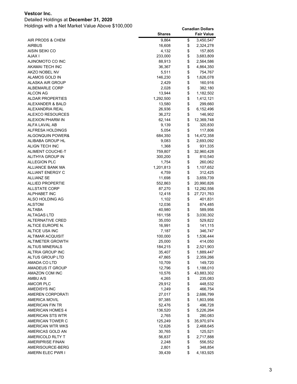### Detailed Holdings at **December 31, 2020**

|                             | Shares    | <b>Fair Value</b> |
|-----------------------------|-----------|-------------------|
| AIR PRODS & CHEM            | 9,864     | \$<br>3,450,547   |
| <b>AIRBUS</b>               | 16,608    | \$<br>2,324,278   |
| AISIN SEIKI CO              | 4,132     | \$<br>157,805     |
| <b>AJAX I</b>               | 233,000   | \$<br>3,683,809   |
| AJINOMOTO CO INC            | 88,913    | \$<br>2,564,586   |
| AKAMAI TECH INC             | 36,367    | \$<br>4,864,350   |
| AKZO NOBEL NV               | 5,511     | \$<br>754,767     |
| ALAMOS GOLD IN              | 146,230   | \$<br>1,626,078   |
| ALASKA AIR GROUP            | 2,429     | \$<br>160,916     |
| <b>ALBEMARLE CORP</b>       | 2,028     | \$<br>382,180     |
| ALCON AG                    | 13,944    | \$<br>1,182,502   |
| <b>ALDAR PROPERTIES</b>     | 1,292,500 | \$<br>1,412,121   |
| ALEXANDER & BALD            | 13,580    | \$<br>299,660     |
| ALEXANDRIA REAL             | 26,936    | \$<br>6,152,496   |
| <b>ALEXCO RESOURCES</b>     | 36,272    | \$<br>146,902     |
| ALEXION PHARM IN            | 62,144    | \$<br>12,369,748  |
| ALFA LAVAL AB               | 9,139     | \$<br>320,830     |
| ALFRESA HOLDINGS            | 5,054     | \$<br>117,806     |
| <b>ALGONQUIN POWER&amp;</b> | 684,350   | \$<br>14,472,358  |
| ALIBABA GROUP HL            | 9,083     | \$<br>2,693,092   |
| ALIGN TECH INC              | 1,368     | \$<br>931,335     |
| ALIMENT COUCHE-T            | 759,807   | \$<br>32,960,428  |
| ALITHYA GROUP IN            | 300,200   | \$<br>810,540     |
| <b>ALLEGION PLC</b>         | 1,754     | \$<br>260,062     |
| <b>ALLIANCE BANK MA</b>     | 1,201,813 | \$<br>1,107,652   |
| <b>ALLIANT ENERGY C</b>     | 4,759     | \$<br>312,425     |
| <b>ALLIANZ SE</b>           | 11,698    | \$<br>3,659,739   |
| <b>ALLIED PROPERTIE</b>     | 552,863   | \$<br>20,990,826  |
| <b>ALLSTATE CORP</b>        | 87,270    | \$<br>12,282,556  |
| <b>ALPHABET INC</b>         | 12,418    | \$<br>27,721,763  |
| ALSO HOLDING AG             | 1,102     | \$<br>401,831     |
| <b>ALSTOM</b>               | 12,036    | \$<br>874,485     |
| ALTABA                      | 40,980    | \$<br>589,956     |
| <b>ALTAGAS LTD</b>          | 161,158   | \$<br>3,030,302   |
| <b>ALTERNATIVE CRED</b>     | 35,050    | \$<br>529,822     |
| ALTICE EUROPE N.            | 16,991    | \$<br>141,115     |
| ALTICE USA INC              | 7,187     | \$<br>346,747     |
| <b>ALTIMAR ACQUISIT</b>     | 100,000   | \$<br>1,536,444   |
| ALTIMETER GROWTH            | 25,000    | \$<br>414,050     |
| <b>ALTIUS MINERALS</b>      | 184,215   | \$<br>2,521,903   |
| ALTRIA GROUP INC            | 35,407    | \$<br>1,889,447   |
| ALTUS GROUP LTD             | 47,865    | \$<br>2,359,266   |
| AMADA CO LTD                | 10,709    | \$<br>149,720     |
| AMADEUS IT GROUP            | 12,796    | \$<br>1,188,010   |
| AMAZON COM INC              | 10,576    | \$<br>43,883,302  |
| AMBU A/S                    | 4,265     | \$<br>235,083     |
| <b>AMCOR PLC</b>            | 29,912    | \$<br>448,532     |
| AMEDISYS INC                | 1,249     | \$<br>466,754     |
| AMEREN CORPORATI            | 27,017    | \$<br>2,686,799   |
| <b>AMERICA MOVIL</b>        | 97,385    | \$<br>1,803,956   |
| AMERICAN FIN TR             | 52,476    | \$<br>496,728     |
| <b>AMERICAN HOMES 4</b>     | 136,520   | \$<br>5,226,264   |
| AMERICAN STS WTR            | 2,765     | \$<br>280,083     |
| AMERICAN TOWER C            | 125,249   | \$<br>35,970,974  |
| AMERICAN WTR WKS            | 12,626    | \$<br>2,468,645   |
| AMERICAS GOLD AN            | 30,765    | \$<br>125,521     |
| AMERICOLD RLTY T            | 56,837    | \$<br>2,717,888   |
| <b>AMERIPRISE FINAN</b>     | 2,248     | \$<br>556,552     |
| AMERISOURCE-BERG            | 2,801     | \$<br>348,854     |
| AMERN ELEC PWR I            | 39,439    | \$<br>4,183,925   |
|                             |           |                   |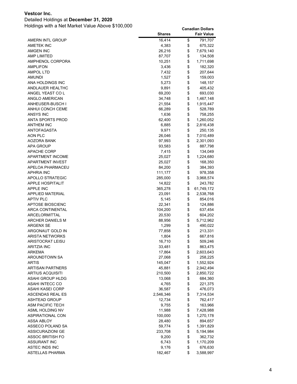### Detailed Holdings at **December 31, 2020**

|                         | <b>Shares</b> | <b>Fair Value</b> |
|-------------------------|---------------|-------------------|
| AMERN INTL GROUP        | 16,414        | \$<br>791,707     |
| <b>AMETEK INC</b>       | 4,383         | \$<br>675,322     |
| AMGEN INC               | 26,216        | \$<br>7,679,140   |
| <b>AMP LIMITED</b>      | 87,707        | \$<br>134,508     |
| AMPHENOL CORPORA        | 10,251        | \$<br>1,711,698   |
| <b>AMPLIFON</b>         | 3,436         | \$<br>182,320     |
| AMPOL LTD               | 7,432         | \$<br>207,644     |
| AMUNDI                  | 1,527         | \$<br>159,003     |
| ANA HOLDINGS INC        | 5,273         | \$<br>148,157     |
| ANDLAUER HEALTHC        | 9,891         | \$<br>405,432     |
| ANGEL YEAST CO L        | 69,200        | \$<br>693,030     |
| ANGLO AMERICAN          | 34,748        | \$<br>1,467,148   |
| ANHEUSER-BUSCH I        | 21,554        | \$<br>1,915,447   |
| ANHUI CONCH CEME        |               | \$                |
|                         | 66,289        | 528,789           |
| ANSYS INC               | 1,636         | \$<br>758,255     |
| <b>ANTA SPORTS PROD</b> | 62,400        | \$<br>1,260,052   |
| <b>ANTHEM INC</b>       | 6,885         | \$<br>2,816,438   |
| <b>ANTOFAGASTA</b>      | 9,971         | \$<br>250,135     |
| AON PLC                 | 26,046        | \$<br>7,010,489   |
| <b>AOZORA BANK</b>      | 97,993        | \$<br>2,301,093   |
| <b>APA GROUP</b>        | 93,583        | \$<br>887,798     |
| <b>APACHE CORP</b>      | 7,415         | \$<br>134,049     |
| APARTMENT INCOME        | 25,027        | \$<br>1,224,680   |
| <b>APARTMENT INVEST</b> | 25,027        | \$<br>168,350     |
| APELOA PHARMACEU        | 84,200        | \$<br>384,393     |
| <b>APHRIA INC</b>       | 111,177       | \$<br>978,358     |
| APOLLO STRATEGIC        | 285,000       | \$<br>3,968,574   |
| <b>APPLE HOSPITALIT</b> | 14,822        | \$<br>243,782     |
| <b>APPLE INC</b>        | 365,278       | \$<br>61,749,172  |
| <b>APPLIED MATERIAL</b> | 23,091        | \$<br>2,538,768   |
| <b>APTIV PLC</b>        | 5,145         | \$<br>854,016     |
| <b>APTOSE BIOSCIENC</b> | 22,341        | \$<br>124,886     |
| <b>ARCA CONTINENTAL</b> | 104,200       | \$<br>637,454     |
| ARCELORMITTAL           | 20,530        | \$<br>604,202     |
| <b>ARCHER DANIELS M</b> | 88,956        | \$<br>5,712,962   |
| <b>ARGENX SE</b>        | 1,299         | \$<br>490,022     |
| ARGONAUT GOLD IN        | 77,858        | \$<br>213,331     |
| <b>ARISTA NETWORKS</b>  | 1,804         | \$<br>667,816     |
| <b>ARISTOCRAT LEISU</b> | 16,710        | \$<br>509,246     |
| ARITZIA INC             | 33,481        | \$<br>863,475     |
| ARKEMA                  | 17,864        | \$<br>2,603,643   |
| AROUNDTOWN SA           | 27,068        | \$<br>258,225     |
| ARTIS                   | 145,047       | \$<br>1,552,924   |
| <b>ARTISAN PARTNERS</b> |               | \$                |
|                         | 45,881        | 2,942,494         |
| <b>ARTIUS ACQUISITI</b> | 210,500       | \$<br>2,850,722   |
| ASAHI GROUP HLDG        | 13,068        | \$<br>684,360     |
| ASAHI INTECC CO         | 4,765         | \$<br>221,375     |
| ASAHI KASEI CORP        | 36,587        | \$<br>476,073     |
| <b>ASCENDAS REAL ES</b> | 2,546,346     | \$<br>7,314,534   |
| <b>ASHTEAD GROUP</b>    | 12,734        | \$<br>762,417     |
| ASM PACIFIC TECH        | 9,755         | \$<br>163,966     |
| ASML HOLDING NV         | 11,988        | \$<br>7,428,988   |
| <b>ASPIRATIONAL CON</b> | 100,000       | \$<br>1,270,178   |
| ASSA ABLOY              | 28,480        | \$<br>894,657     |
| ASSECO POLAND SA        | 59,774        | \$<br>1,391,829   |
| ASSICURAZIONI GE        | 233,708       | \$<br>5,194,984   |
| ASSOC BRITISH FO        | 9,200         | \$<br>362,732     |
| <b>ASSURANT INC</b>     | 6,743         | \$<br>1,170,209   |
| ASTEC INDS INC          | 9,176         | \$<br>676,630     |
| ASTELLAS PHARMA         | 182,467       | \$<br>3,588,997   |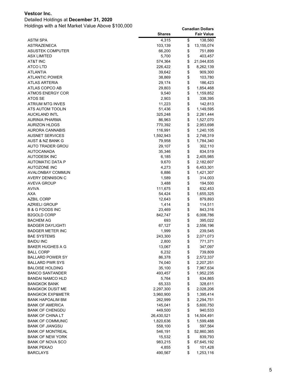### Detailed Holdings at **December 31, 2020**

|                                      | <b>Shares</b>    |          | <b>Fair Value</b>      |
|--------------------------------------|------------------|----------|------------------------|
| ASTM SPA                             | 4,315            | \$       | 138,560                |
| <b>ASTRAZENECA</b>                   | 103,139          | \$       | 13,155,074             |
| <b>ASUSTEK COMPUTER</b>              | 66,200           | \$       | 751,899                |
| <b>ASX LIMITED</b>                   | 5,700            | \$       | 403,457                |
| AT&T INC                             | 574,364          | \$       | 21,044,835             |
| ATCO LTD                             | 226,422          | \$       | 8,262,139              |
| ATLANTIA                             | 39,642           | \$       | 909,300                |
| <b>ATLANTIC POWER</b>                | 38,869           | \$       | 103,780                |
| ATLAS ARTERIA                        | 29,174           | \$       | 186,423                |
| ATLAS COPCO AB                       | 29,803           | \$       | 1,854,468              |
| <b>ATMOS ENERGY COR</b>              | 9,540            | \$       | 1,159,852              |
| ATOS SE                              | 2,903            | \$       | 338,395                |
| ATRIUM MTG INVES                     | 11,223           | \$       | 142,813                |
| ATS AUTOM TOOLIN                     | 51,436           | \$       | 1,149,595              |
| <b>AUCKLAND INTL</b>                 | 325,248          | \$       | 2,261,444              |
| AURINIA PHARMA                       | 86,963           | \$       | 1,527,070              |
| <b>AURIZON HLDGS</b>                 | 770,392          | \$       | 2,953,698              |
| <b>AURORA CANNABIS</b>               | 116,991          | \$       | 1,240,105              |
| <b>AUSNET SERVICES</b>               | 1,592,943        | \$       | 2,748,319              |
| AUST & NZ BANK G                     | 79,958           | \$       | 1,784,340              |
| <b>AUTO TRADER GROU</b>              | 29,107           | \$       | 302,110                |
| <b>AUTOCANADA</b>                    | 35,346           | \$       | 834,519                |
| AUTODESK INC                         | 6,185            | \$       | 2,405,985              |
| <b>AUTOMATIC DATA P</b>              | 9,670            | \$       | 2,182,607              |
| <b>AUTOZONE INC</b>                  | 4,273            | \$       | 6,453,301              |
| <b>AVALONBAY COMMUN</b>              | 6,886            | \$       | 1,421,307              |
| AVERY DENNISON C                     | 1,589            | \$       | 314,003                |
| <b>AVEVA GROUP</b>                   | 3,488            | \$       | 194,500                |
| <b>AVIVA</b>                         | 111,675          | \$       | 632,453                |
| AXA                                  | 54,424           | \$       | 1,655,325              |
| <b>AZBIL CORP</b>                    | 12,643           | \$       | 879,893                |
| AZRIELI GROUP                        | 1,414            | \$       | 114,511                |
| B & G FOODS INC                      | 23,469           | \$       | 843,316                |
| B2GOLD CORP                          | 842,747          | \$       | 6,008,786              |
| BACHEM AG                            | 693              | \$       | 395,022                |
| <b>BADGER DAYLIGHTI</b>              | 67,127           | \$       | 2,556,196              |
| <b>BADGER METER INC</b>              | 1,999            | \$       | 239,545                |
| <b>BAE SYSTEMS</b>                   | 243,300          | \$       | 2,071,073              |
| <b>BAIDU INC</b>                     | 2,800            | \$       | 771,371                |
| <b>BAKER HUGHES A G</b>              | 13,067           | \$       | 347.097                |
| BALL CORP<br><b>BALLARD POWER SY</b> | 6,232            | \$       | 739,809                |
| <b>BALLARD PWR SYS</b>               | 86,378<br>74,040 | \$<br>\$ | 2,572,337<br>2,207,251 |
| <b>BALOISE HOLDING</b>               | 35,100           | \$       | 7,967,634              |
| <b>BANCO SANTANDER</b>               | 493,457          | \$       | 1,952,235              |
| <b>BANDAI NAMCO HLD</b>              | 5,764            | \$       | 634,865                |
| <b>BANGKOK BANK</b>                  | 65,333           | \$       | 328,611                |
| <b>BANGKOK DUSIT ME</b>              | 2,297,300        | \$       | 2,028,206              |
| <b>BANGKOK EXP&amp;METR</b>          | 3,960,900        | \$       | 1,395,414              |
| <b>BANK HAPOALIM BM</b>              | 262,999          | \$       | 2,294,751              |
| <b>BANK OF AMERICA</b>               | 145,041          | \$       | 5,600,750              |
| <b>BANK OF CHENGDU</b>               | 449,500          | \$       | 940,533                |
| <b>BANK OF CHINA LT</b>              | 26,430,521       | \$       | 14,504,491             |
| <b>BANK OF COMMUNIC</b>              | 1,820,636        | \$       | 1,599,488              |
| <b>BANK OF JIANGSU</b>               | 558,100          | \$       | 597,564                |
| <b>BANK OF MONTREAL</b>              | 546,191          | \$       | 52,860,365             |
| <b>BANK OF NEW YORK</b>              | 15,532           | \$       | 839,793                |
| <b>BANK OF NOVA SCO</b>              | 983,215          | \$       | 67,645,192             |
| <b>BANK PEKAO</b>                    | 4,855            | \$       | 101,428                |
| <b>BARCLAYS</b>                      | 490,567          | \$       | 1,253,116              |
|                                      |                  |          |                        |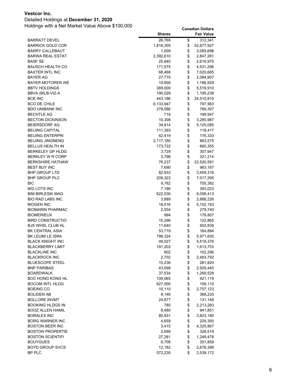### Detailed Holdings at **December 31, 2020**

|                                    | <b>Shares</b>    |          | <b>Fair Value</b>    |
|------------------------------------|------------------|----------|----------------------|
| BARRATT DEVEL                      | 26,769           | \$       | 312,341              |
| <b>BARRICK GOLD COR</b>            | 1,816,305        | \$       | 52,677,927           |
| <b>BARRY CALLEBAUT</b>             | 1,009            | \$       | 3,059,698            |
| BARWA REAL ESTAT                   | 2,392,610        | \$       | 2,847,261            |
| <b>BASF SE</b>                     | 25,940           | \$       | 2,616,975            |
| BAUSCH HEALTH CO                   | 171,575          | \$       | 4,531,296            |
| BAXTER INTL INC                    | 68,468           | \$       | 7,020,665            |
| BAYER AG                           | 27,775           | \$       | 2,084,907            |
| BAYER MOTOREN WE                   | 10,858           | \$       | 1,186,929            |
| <b>BBTV HOLDINGS</b>               | 389,000          | \$       | 5,519,910            |
| BBVA (BILB-VIZ-A                   | 190,029          | \$       | 1,195,238            |
| <b>BCE INC</b>                     | 443,186          | \$       | 24,510,810           |
| <b>BCO DE CHILE</b>                | 6,133,947        | \$       | 797,963              |
| <b>BDO UNIBANK INC</b>             | 278,586          | \$       | 789,307              |
| <b>BECHTLE AG</b>                  | 719              | \$       | 199,947              |
| <b>BECTON DICKINSON</b>            | 10,308           | \$       | 3,285,987            |
| <b>BEIERSDORF AG</b>               | 34,814           | \$       | 5,125,085            |
| <b>BEIJING CAPITAL</b>             | 111,393          | \$       | 118,417              |
| <b>BEIJING ENTERPRI</b>            | 42,419           | \$       | 176,333              |
| <b>BEIJING JINGNENG</b>            | 2,117,180        | \$       | 883,575              |
| <b>BELLUS HEALTH IN</b>            | 173,722          | \$       | 665,355              |
| BERKELEY GP HLDG                   | 3,729            | \$       | 307,947              |
| BERKLEY W R CORP                   | 3,796            | \$       | 321,214              |
| <b>BERKSHIRE HATHAW</b>            | 76,237           | \$       | 22,520,591           |
| <b>BEST BUY INC</b>                | 7,690            | \$       | 983,167              |
| <b>BHP GROUP LTD</b>               | 82,933           | \$       | 3,459,316            |
| <b>BHP GROUP PLC</b><br><b>BIC</b> | 209,323<br>9,782 | \$<br>\$ | 7,017,295<br>705,382 |
| BIG LOTS INC                       |                  | \$       |                      |
| <b>BIM BIRLESIK MAG</b>            | 7,186<br>622,530 | \$       | 393,023<br>8,056,413 |
| <b>BIO RAD LABS INC</b>            | 3,889            | \$       | 2,888,226            |
| <b>BIOGEN INC</b>                  | 16,516           | \$       | 5,152,193            |
| BIOMARIN PHARMAC                   | 2,504            | \$       | 279,740              |
| <b>BIOMERIEUX</b>                  | 994              | \$       | 178,807              |
| <b>BIRD CONSTRUCTIO</b>            | 15,296           | \$       | 122,865              |
| <b>BJS WHSL CLUB HL</b>            | 11,640           | \$       | 552,839              |
| <b>BK CENTRAL ASIA</b>             | 53,719           | \$       | 164,884              |
| BK LEUMI LE ISRA                   | 796,324          | \$       | 5,971,835            |
| <b>BLACK KNIGHT INC</b>            | 49,027           | \$       | 5,518,376            |
| <b>BLACKBERRY LIMIT</b>            | 191,203          | \$       | 1,613,753            |
| <b>BLACKLINE INC</b>               | 602              | \$       | 102,296              |
| <b>BLACKROCK INC</b>               | 2,702            | \$       | 2,483,792            |
| <b>BLUESCOPE STEEL</b>             | 15,236           | \$       | 261,820              |
| <b>BNP PARIBAS</b>                 | 43,598           | \$       | 2,929,445            |
| <b>BOARDWALK</b>                   | 37,534           | \$       | 1,269,528            |
| BOC HONG KONG HL                   | 109,065          | \$       | 421,119              |
| <b>BOCOM INTL HLDG</b>             | 627,000          | \$       | 106,110              |
| <b>BOEING CO</b>                   | 10,110           | \$       | 2,757,123            |
| <b>BOLIDEN AB</b>                  | 8,146            | \$       | 368,235              |
| <b>BOLLORE INVMT</b>               | 24,877           | \$       | 131,148              |
| BOOKING HLDGS IN                   | 780              | \$       | 2,213,283            |
| <b>BOOZ ALLEN HAMIL</b>            | 8,480            | \$       | 941,851              |
| <b>BORALEX INC</b>                 | 80,931           | \$       | 3,823,180            |
| <b>BORG WARNER INC</b>             | 4,659            | \$       | 229,350              |
| <b>BOSTON BEER INC</b>             | 3,415            | \$       | 4,325,867            |
| <b>BOSTON PROPERTIE</b>            | 2,699            | \$       | 328,518              |
| <b>BOSTON SCIENTIFI</b>            | 27,281           | \$       | 1,249,478            |
| <b>BOUYGUES</b>                    | 6,708            | \$       | 351,859              |
| <b>BOYD GROUP SVCS</b>             | 12,182           | \$       | 2,676,398            |
| BP PLC                             | 572,230          | \$       | 2,539,172            |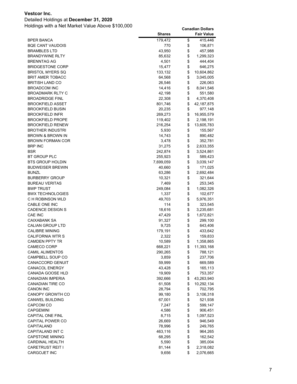### Detailed Holdings at **December 31, 2020**

|                                           | <b>Shares</b> |          | <b>Fair Value</b> |
|-------------------------------------------|---------------|----------|-------------------|
| <b>BPER BANCA</b>                         | 179,472       | \$       | 415,446           |
| <b>BQE CANT VAUDOIS</b>                   | 770           | \$       | 106,871           |
| <b>BRAMBLES LTD</b>                       | 43,950        | \$       | 457,988           |
| <b>BRANDYWINE RLTY</b>                    | 85,632        | \$       | 1,299,323         |
| <b>BRENNTAG AG</b>                        | 4,501         | \$       | 444,404           |
| <b>BRIDGESTONE CORP</b>                   | 15,477        | \$       | 646,275           |
| <b>BRISTOL MYERS SQ</b>                   | 133,132       | \$       | 10,604,862        |
| <b>BRIT AMER TOBACC</b>                   | 64,568        | \$       | 3,045,005         |
| <b>BRITISH LAND CO</b>                    | 26,546        | \$       | 226,063           |
| <b>BROADCOM INC</b>                       | 14,416        | \$       | 8,041,546         |
| <b>BROADMARK RLTY C</b>                   | 42,198        | \$       | 551,580           |
| <b>BROADRIDGE FINL</b>                    | 22,308        | \$       | 4,370,408         |
| <b>BROOKFIELD ASSET</b>                   | 801,746       | \$       | 42,187,875        |
| <b>BROOKFIELD BUSIN</b>                   | 20,235        | \$       | 977,148           |
| <b>BROOKFIELD INFR</b>                    | 269,273       | \$       | 16,955,579        |
| <b>BROOKFIELD PROPE</b>                   | 119,402       | \$       | 2,198,191         |
| <b>BROOKFIELD RENEW</b>                   | 216,254       | \$       | 13,605,783        |
| <b>BROTHER INDUSTRI</b>                   | 5,930         | \$       | 155,567           |
| <b>BROWN &amp; BROWN IN</b>               | 14,743        | \$       | 890,482           |
| <b>BROWN FORMAN COR</b>                   | 3,478         | \$       | 352,781           |
| <b>BRP INC</b>                            | 31,275        | \$       | 2,633,355         |
| <b>BSR</b>                                | 242,874       | \$       | 3,524,861         |
| BT GROUP PLC                              | 255,923       | \$       | 589,423           |
| <b>BTS GROUP HOLDIN</b>                   | 7,699,059     | \$       | 3,039,147         |
| <b>BUDWEISER BREWIN</b>                   | 40,660        | \$       | 171,025           |
| <b>BUNZL</b>                              | 63,286        | \$       | 2,692,484         |
| <b>BURBERRY GROUP</b>                     | 10,321        |          |                   |
|                                           |               | \$<br>\$ | 321,644           |
| <b>BUREAU VERITAS</b><br><b>BWP TRUST</b> | 7,469         | \$       | 253,345           |
| <b>BWX TECHNOLOGIES</b>                   | 249,084       | \$       | 1,082,326         |
|                                           | 1,337         |          | 102,677           |
| C H ROBINSON WLD                          | 49,703<br>114 | \$       | 5,976,351         |
| CABLE ONE INC<br><b>CADENCE DESIGN S</b>  |               | \$       | 323,545           |
| CAE INC                                   | 18,616        | \$<br>\$ | 3,235,681         |
|                                           | 47,429        |          | 1,672,821         |
| CAIXABANK SA                              | 91,327        | \$       | 299,100           |
| <b>CALIAN GROUP LTD</b>                   | 9,725         | \$       | 643,406           |
| <b>CALIBRE MINING</b>                     | 179,191       | \$       | 433,642           |
| CALIFORNIA WTR S                          | 2,322         | \$       | 159,833           |
| CAMDEN PPTY TR                            | 10,589        | \$       | 1,358,865         |
| CAMECO CORP                               | 668,221       | \$       | 11,393,168        |
| <b>CAMIL ALIMENTOS</b>                    | 290,265       | \$       | 788,121           |
| CAMPBELL SOUP CO                          | 3,859         | \$       | 237,706           |
| CANACCORD GENUIT                          | 59,999        | \$       | 669,589           |
| CANACOL ENERGY                            | 43,428        | \$       | 165,113           |
| CANADA GOOSE HLD                          | 19,909        | \$       | 753,357           |
| CANADIAN IMPERIA                          | 392,666       | \$       | 43,263,940        |
| <b>CANADIAN TIRE CO</b>                   | 61,508        | \$       | 10,292,134        |
| CANON INC                                 | 28,794        | \$       | 702,795           |
| CANOPY GROWTH CO                          | 99,180        | \$       | 3,106,318         |
| CANWEL BUILDING                           | 67,001        | \$       | 521,938           |
| CAPCOM CO                                 | 7,247         | \$       | 599,147           |
| <b>CAPGEMINI</b>                          | 4,586         | \$       | 906,451           |
| <b>CAPITAL ONE FINL</b>                   | 8,715         | \$       | 1,097,523         |
| CAPITAL POWER CO                          | 26,669        | \$       | 946,549           |
| CAPITALAND                                | 78,996        | \$       | 249,765           |
| CAPITALAND INT C                          | 463,116       | \$       | 964,265           |
| <b>CAPSTONE MINING</b>                    | 68,295        | \$       | 162,542           |
| <b>CARDINAL HEALTH</b>                    | 5,590         | \$       | 385,004           |
| <b>CARETRUST REIT I</b>                   | 81,144        | \$       | 2,318,082         |
| CARGOJET INC                              | 9,656         | \$       | 2,076,665         |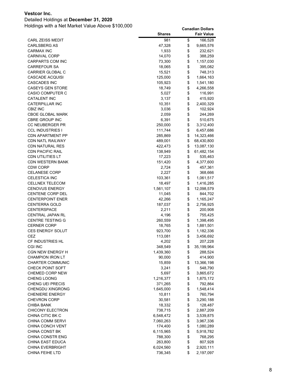### Detailed Holdings at **December 31, 2020**

|                                             | <b>Shares</b>      |          | <b>Fair Value</b>       |
|---------------------------------------------|--------------------|----------|-------------------------|
| CARL ZEISS MEDIT                            | 981                | \$       | 166,528                 |
| <b>CARLSBERG AS</b>                         | 47,328             | \$       | 9,665,576               |
| <b>CARMAX INC</b>                           | 1,933              | \$       | 232,621                 |
| <b>CARNIVAL CORP</b>                        | 14,070             | \$       | 388,259                 |
| <b>CARPARTS COM INC</b>                     | 73,300             | \$       | 1,157,030               |
| <b>CARREFOUR SA</b>                         | 18,065             | \$       | 395,082                 |
| CARRIER GLOBAL C                            | 15,521             | \$       | 748,313                 |
| CASCADE ACQUISI                             | 125,000            | \$       | 1,664,163               |
| <b>CASCADES INC</b>                         | 105,923            | \$       | 1,541,180               |
| CASEYS GEN STORE                            | 18,749             | \$       | 4,266,558               |
| <b>CASIO COMPUTER C</b>                     | 5,027              | \$       | 116,991                 |
| <b>CATALENT INC</b>                         | 3,137              | \$       | 415,920                 |
| <b>CATERPILLAR INC</b>                      | 10,351             | \$       | 2,400,329               |
| <b>CBIZ INC</b>                             | 3,036              | \$       | 102,924                 |
| <b>CBOE GLOBAL MARK</b>                     | 2,059              | \$       | 244,269                 |
| <b>CBRE GROUP INC</b>                       | 6,391              | \$<br>\$ | 510,675                 |
| CC NEUBERGER PR                             | 250,000            | \$       | 3,312,400               |
| CCL INDUSTRIES I<br><b>CDN APARTMENT PP</b> | 111,744<br>285,869 | \$       | 6,457,686<br>14,323,466 |
| <b>CDN NATL RAILWAY</b>                     | 489,001            | \$       | 68,430,800              |
| CDN NATURAL RES                             | 422,473            | \$       | 13,087,130              |
| CDN PACIFIC RAIL                            | 138,949            | \$       | 61,482,154              |
| CDN UTILITIES LT                            | 17,223             | \$       | 535,463                 |
| <b>CDN WESTERN BANK</b>                     | 151,420            | \$       | 4,377,600               |
| <b>CDW CORP</b>                             | 2,724              | \$       | 457,361                 |
| <b>CELANESE CORP</b>                        | 2,227              | \$       | 368,666                 |
| <b>CELESTICA INC</b>                        | 103,361            | \$       | 1,061,517               |
| CELLNEX TELECOM                             | 18,497             | \$       | 1,416,285               |
| <b>CENOVUS ENERGY</b>                       | 1,561,107          | \$       | 12,098,579              |
| CENTENE CORP DEL                            | 11,045             | \$       | 844,702                 |
| <b>CENTERPOINT ENER</b>                     | 42,266             | \$       | 1,165,247               |
| CENTERRA GOLD                               | 187,037            | \$       | 2,756,925               |
| CENTERSPACE                                 | 2,211              | \$       | 200,908                 |
| CENTRAL JAPAN RL                            | 4,196              | \$       | 755,425                 |
| <b>CENTRE TESTING G</b>                     | 260,559            | \$       | 1,398,495               |
| <b>CERNER CORP</b>                          | 18,765             | \$       | 1,881,501               |
| <b>CES ENERGY SOLUT</b>                     | 923,700            | \$       | 1,182,336               |
| CEZ                                         | 113,081            | \$       | 3,456,692               |
| CF INDUSTRIES HL                            | 4,202              | \$       | 207,228                 |
| CGI INC                                     | 348,549            | \$       | 35,199,964              |
| <b>CGN NEW ENERGY H</b>                     | 1,439,360          | \$       | 288,524                 |
| <b>CHAMPION IRON LT</b>                     | 90,000             | \$       | 414,900                 |
| <b>CHARTER COMMUNIC</b>                     | 15,859             | \$       | 13,366,198              |
| <b>CHECK POINT SOFT</b>                     | 3,241              | \$       | 548,790                 |
| <b>CHEMED CORP NEW</b>                      | 5,697              | \$       | 3,865,672               |
| CHENG LOONG                                 | 1,216,377          | \$       | 1,875,172               |
| <b>CHENG UEI PRECIS</b>                     | 371,265            | \$       | 792,864                 |
| <b>CHENGDU XINGRONG</b>                     | 1,645,000          | \$       | 1,548,414               |
| <b>CHENIERE ENERGY</b>                      | 10,811             | \$       | 760,794                 |
| <b>CHEVRON CORP</b>                         | 30,581             | \$       | 3,290,188               |
| CHIBA BANK<br><b>CHICONY ELECTRON</b>       | 18,332<br>738,715  | \$<br>\$ | 128,487                 |
| CHINA CITIC BK C                            | 6,548,472          |          | 2,887,209               |
| <b>CHINA COMM SERVI</b>                     | 7,060,263          | \$<br>\$ | 3,539,875<br>3,967,336  |
| CHINA CONCH VENT                            | 174,400            | \$       | 1,080,289               |
| CHINA CONST BK                              | 6,115,965          | \$       | 5,918,782               |
| <b>CHINA CONSTR ENG</b>                     | 788,300            | \$       | 768,295                 |
| CHINA EAST EDUCA                            | 263,800            | \$       | 807,928                 |
| <b>CHINA EVERBRIGHT</b>                     | 6,024,560          | \$       | 2,920,111               |
| <b>CHINA FEIHE LTD</b>                      | 736,345            | \$       | 2,197,097               |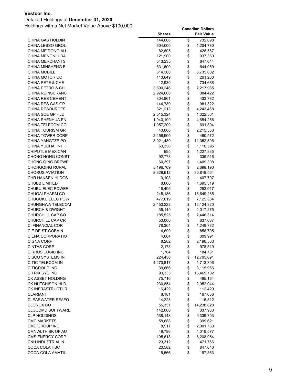### Detailed Holdings at **December 31, 2020**

|                                                    | <b>Shares</b>    |          | <b>Fair Value</b>       |
|----------------------------------------------------|------------------|----------|-------------------------|
| CHINA GAS HOLDIN                                   | 144,666          | \$       | 732,098                 |
| <b>CHINA LESSO GROU</b>                            | 604,000          | \$       | 1,204,780               |
| CHINA MEIDONG AU                                   | 82,805           | \$       | 428,567                 |
| CHINA MENGNIU DA                                   | 121,900          | \$       | 937,350                 |
| <b>CHINA MERCHANTS</b>                             | 543,235          | \$       | 847,044                 |
| <b>CHINA MINSHENG B</b>                            | 631,600          | \$       | 644,059                 |
| <b>CHINA MOBILE</b>                                | 514,300          | \$       | 3,735,002               |
| CHINA MOTOR CO                                     | 113,849          | \$       | 261,200                 |
| CHINA PETE & CHE                                   | 12,930           | \$       | 734,688                 |
| CHINA PETRO & CH                                   | 3,890,246        | \$       | 2,217,985               |
| <b>CHINA REINSURANC</b>                            | 2,924,600        | \$       | 384,422                 |
| <b>CHINA RES CEMENT</b>                            | 304,861          | \$       | 433,782                 |
| CHINA RES GAS GP                                   | 144,789          | \$       | 981,322                 |
| <b>CHINA RESOURCES</b>                             | 821,213          | \$       | 4,243,468               |
| CHINA SCE GP HLD                                   | 2,515,324        | \$       | 1,322,501               |
| CHINA SHENHUA EN                                   | 1,940,199        | \$       | 4,654,266               |
| CHINA TELECOM CO                                   | 1,957,200        | \$       | 691,394                 |
| <b>CHINA TOURISM GR</b>                            | 40,000           | \$       | 2,215,550               |
| CHINA TOWER CORP                                   | 2,458,900        | \$       | 460,572                 |
| CHINA YANGTZE PO                                   | 3,021,480        | \$       | 11,352,596              |
| CHINA YUCHAI INT                                   | 53,350           | \$       | 1,110,595               |
| <b>CHIPOTLE MEXICAN</b>                            | 695              | \$       | 1,227,835               |
| <b>CHONG HONG CONST</b>                            | 92,773           | \$       | 336,516                 |
| <b>CHONG QING BREWE</b>                            | 60,397           | \$       | 1,409,308               |
| <b>CHONGQING RURAL</b>                             | 5,196,769        | \$       | 2,698,190               |
| <b>CHORUS AVIATION</b>                             | 8,329,612        | \$       | 30,819,564              |
| <b>CHR.HANSEN HLDGS</b>                            | 3,108            | \$       | 407,707                 |
| <b>CHUBB LIMITED</b>                               | 8,600            | \$       | 1,695,319               |
| CHUBU ELEC POWER                                   | 16,496           | \$       | 253,017                 |
| <b>CHUGAI PHARM CO</b>                             | 245,186          | \$       | 16,649,285              |
| CHUGOKU ELEC POW                                   | 477,619          | \$       | 7,125,384               |
| CHUNGHWA TELECOM                                   | 2,453,222        | \$       | 12,124,320              |
| <b>CHURCH &amp; DWIGHT</b>                         | 36,149           | \$       | 4,017,275               |
| CHURCHILL CAP CO                                   | 185,525          | \$       | 2,446,314               |
| <b>CHURCHILL CAP CR</b>                            | 50,000           | \$       | 637,637                 |
| CI FINANCIAL COR                                   | 78,304           | \$       | 1,249,732               |
| CIE DE ST-GOBAIN                                   | 14,690           | \$       | 858,705                 |
| CIENA CORPORATIO                                   | 4,604            | \$       | 309,991                 |
| <b>CIGNA CORP</b>                                  | 8,282            | \$       | 2,196,563               |
| <b>CINTAS CORP</b>                                 | 2,173            | \$       | 978,519                 |
| <b>CIRRUS LOGIC INC</b><br><b>CISCO SYSTEMS IN</b> | 1,764            | \$       | 184,731                 |
| CITIC TELECOM IN                                   | 224,430          | \$       | 12,795,091<br>1,713,396 |
| CITIGROUP INC                                      | 4,273,817        | \$<br>\$ |                         |
| CITRIX SYS INC                                     | 39,666<br>93,333 | \$       | 3,115,956               |
| CK ASSET HOLDING                                   | 75,716           | \$       | 15,469,702<br>495,134   |
| <b>CK HUTCHISON HLD</b>                            | 230,854          | \$       | 2,052,044               |
| <b>CK INFRASTRUCTUR</b>                            | 16,429           | \$       | 112,429                 |
| <b>CLARIANT</b>                                    | 6,181            | \$       | 167,656                 |
| CLEARWATER SEAFO                                   | 14,228           | \$       | 116,812                 |
| <b>CLOROX CO</b>                                   | 55,351           | \$       | 14,238,828              |
| <b>CLOUDMD SOFTWARE</b>                            | 142,000          | \$       | 337,960                 |
| <b>CLP HOLDINGS</b>                                | 538,143          | \$       | 6,339,703               |
| <b>CMC MARKETS</b>                                 | 58,688           | \$       | 399,621                 |
| CME GROUP INC                                      | 8,511            | \$       | 2,001,753               |
| CMNWLTH BK OF AU                                   | 49,796           | \$       | 4,019,577               |
| <b>CMS ENERGY CORP</b>                             | 105,613          | \$       | 8,208,954               |
| CNH INDUSTRIAL N                                   | 29,312           | \$       | 471,766                 |
| COCA COLA HBC                                      | 20,582           | \$       | 847,640                 |
| COCA-COLA AMATIL                                   | 15,566           | \$       | 197,863                 |
|                                                    |                  |          |                         |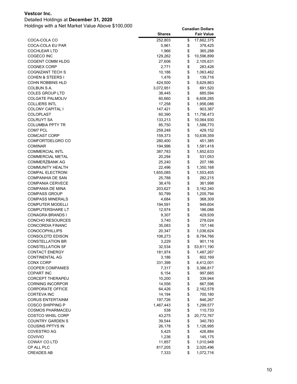### Detailed Holdings at **December 31, 2020**

|                                                    | <b>Shares</b>    |          | <b>Fair Value</b>     |
|----------------------------------------------------|------------------|----------|-----------------------|
| COCA-COLA CO                                       | 252,803          | \$       | 17,662,375            |
| COCA-COLA EU PAR                                   | 5,961            | \$       | 378,425               |
| COCHLEAR LTD                                       | 1,966            | \$       | 365,288               |
| COGECO INC                                         | 129,262          | \$       | 10,596,899            |
| COGENT COMM HLDG                                   | 27,606           | \$       | 2,105,631             |
| <b>COGNEX CORP</b>                                 | 2,771            | \$       | 283,426               |
| COGNIZANT TECH S                                   | 10,186           | \$       | 1,063,462             |
| <b>COHEN &amp; STEERS I</b>                        | 1,476            | \$       | 139,716               |
| COHN ROBBINS HLD                                   | 424,500          | \$       | 5,629,863             |
| COLBUN S.A.                                        | 3,072,951        | \$       | 691,520               |
| COLES GROUP LTD                                    | 38,445           | \$       | 685,594               |
| <b>COLGATE PALMOLIV</b>                            | 60,660           | \$       | 6,608,285             |
| <b>COLLIERS INTL</b>                               | 17,258           | \$       | 1,956,086             |
| COLONY CAPITAL I                                   | 147,421          | \$       | 903,387               |
| COLOPLAST                                          | 60,390           | \$       | 11,756,473            |
| <b>COLRUYT SA</b>                                  | 133,213          | \$       | 10,064,930            |
| COLUMBIA PPTY TR                                   | 85,750           | \$       | 1,588,770             |
| COM7 PCL                                           | 259,248          | \$       | 429,152               |
| <b>COMCAST CORP</b>                                | 159,373          | \$       | 10,639,359            |
| COMFORTDELGRO CO                                   | 280,400          | \$       | 451,385               |
| COMINAR                                            | 194,996          | \$       | 1,581,418             |
| <b>COMMERCIAL INTL</b>                             | 387,783          | \$       | 1,852,633             |
| COMMERCIAL METAL                                   | 20,294           | \$       | 531,053               |
| COMMERZBANK AG                                     | 25,240           | \$       | 207,186               |
| <b>COMMUNITY HEALTH</b>                            | 22,496           | \$       | 1,350,168             |
| <b>COMPAL ELECTRONI</b>                            | 1,655,085        | \$       | 1,553,405             |
| <b>COMPANHIA DE SAN</b>                            | 25,788           | \$       | 282,215               |
| <b>COMPANIA CERVECE</b>                            | 38,476           | \$       | 361,998               |
| COMPANIA DE MINA                                   | 203,627          | \$       | 3,162,340             |
| <b>COMPASS GROUP</b>                               | 50,799           | \$       | 1,205,794             |
| <b>COMPASS MINERALS</b>                            | 4,684            | \$       | 368,309               |
| <b>COMPUTER MODELLI</b>                            | 194,591          | \$       | 949,604               |
| <b>COMPUTERSHARE LT</b>                            | 12,974           | \$       | 186,088               |
| CONAGRA BRANDS I                                   | 9,307            | \$       | 429,939               |
| CONCHO RESOURCES                                   | 3,740            | \$       | 278,024               |
| <b>CONCORDIA FINANC</b>                            | 35,083           | \$       | 157,146               |
| <b>CONOCOPHILLIPS</b>                              | 20,347           | \$       | 1,036,624             |
| <b>CONSOLDTD EDISON</b><br><b>CONSTELLATION BR</b> | 106,273<br>3,229 | \$<br>\$ | 9,784,766             |
| <b>CONSTELLATION SF</b>                            | 32,534           | \$       | 901,116<br>53,811,190 |
| <b>CONTACT ENERGY</b>                              | 181,974          | \$       | 1,487,267             |
| <b>CONTINENTAL AG</b>                              | 3,186            | \$       | 602,169               |
| CONX CORP                                          | 331,398          | \$       | 4,412,001             |
| <b>COOPER COMPANIES</b>                            | 7,317            | \$       | 3,386,817             |
| COPART INC                                         | 6,154            | \$       | 997,665               |
| <b>CORCEPT THERAPEU</b>                            | 10,200           | \$       | 339,944               |
| <b>CORNING INCORPOR</b>                            | 14,556           | \$       | 667,596               |
| <b>CORPORATE OFFICE</b>                            | 64,426           | \$       | 2,162,578             |
| <b>CORTEVA INC</b>                                 | 14,194           | \$       | 700,180               |
| <b>CORUS ENTERTAINM</b>                            | 197,726          | \$       | 846,267               |
| <b>COSCO SHIPPING P</b>                            | 1,467,443        | \$       | 1,299,577             |
| <b>COSMOS PHARMACEU</b>                            | 538              | \$       | 110,733               |
| <b>COSTCO WHSL CORP</b>                            | 43,275           | \$       | 20,772,767            |
| <b>COUNTRY GARDEN S</b>                            | 39,544           | \$       | 340,783               |
| <b>COUSINS PPTYS IN</b>                            | 26,178           | \$       | 1,126,995             |
| COVESTRO AG                                        | 5,425            | \$       | 426,884               |
| COVIVIO                                            | 1,236            | \$       | 145,175               |
| COWAY CO LTD                                       | 11,857           | \$       | 1,010,948             |
| CP ALL PLC                                         | 817,205          | \$       | 2,020,496             |
| <b>CREADES AB</b>                                  | 7,333            | \$       | 1,072,716             |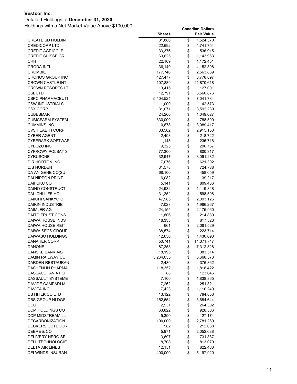### Detailed Holdings at **December 31, 2020**

|                                      | <b>Shares</b>     |          | <b>Fair Value</b>    |
|--------------------------------------|-------------------|----------|----------------------|
| <b>CREATE SD HOLDIN</b>              | 31,880            | \$       | 1,524,370            |
| <b>CREDICORP LTD</b>                 | 22,692            | \$       | 4,741,754            |
| <b>CREDIT AGRICOLE</b>               | 33,376            | \$       | 536,915              |
| <b>CREDIT SUISSE GR</b>              | 69,625            | \$       | 1,143,963            |
| CRH                                  | 22,109            | \$       | 1,172,451            |
| CRODA INTL                           | 36,149            | \$       | 4,152,398            |
| <b>CROMBIE</b>                       | 177,746           | \$       | 2,563,839            |
| <b>CRONOS GROUP INC</b>              | 427,477           | \$       | 3,778,897            |
| <b>CROWN CASTLE INT</b>              | 107,839           | \$       | 21,870,618           |
| <b>CROWN RESORTS LT</b>              | 13,415            | \$       | 127,001              |
| CSL LTD                              | 12,791            | \$       | 3,560,876            |
| CSPC PHARMACEUTI                     | 5,404,524         | \$       | 7,041,784            |
| CSW INDUSTRIALS                      | 1,000             | \$       | 142,573              |
| CSX CORP                             | 31,071            | \$       | 3,592,289            |
| <b>CUBESMART</b>                     | 24,260            | \$       | 1,049,027            |
| <b>CUBICFARM SYSTEM</b>              | 830,000           | \$       | 788,500              |
| <b>CUMMINS INC</b>                   | 10,678            | \$       | 3,089,417            |
| <b>CVS HEALTH CORP</b>               | 33,502            | \$       | 2,915,150            |
| <b>CYBER AGENT</b>                   | 2,493             | \$       | 218,722              |
| <b>CYBERARK SOFTWAR</b>              | 1,145             | \$       | 235,716              |
| <b>CYBOZU INC</b>                    | 9,325             | \$       | 296,757              |
| CYFROWY POLSAT S                     | 77,300            | \$       | 800,317              |
| CYRUSONE                             | 32,947            | \$       | 3,091,282            |
| D R HORTON INC                       | 7,076             | \$       | 621,302              |
| <b>D/S NORDEN</b>                    | 31,578            | \$       | 724,788              |
| DA AN GENE CO(SU                     | 68,100            | \$       | 458,059              |
| DAI NIPPON PRINT                     | 6,082             | \$       | 139,217              |
| DAIFUKU CO                           | 5,141             | \$       | 809,466              |
| <b>DAIHO CONSTRUCTI</b>              | 24,932            | \$       | 1,119,848            |
| DAI-ICHI LIFE HO                     | 31,252            | \$       | 598,508              |
| DAIICHI SANKYO C                     | 47,985            | \$       | 2,093,126            |
| DAIKIN INDUSTRIE                     | 7,023             | \$       | 1,986,267            |
| DAIMLER AG                           | 24,155            | \$       | 2,175,960            |
| DAITO TRUST CONS                     | 1,806             | \$       | 214,830              |
| DAIWA HOUSE INDS                     | 16,333            | \$       | 617,526              |
| DAIWA HOUSE REIT                     | 661               | \$       | 2,081,529            |
| DAIWA SECS GROUP                     | 38,574            | \$       | 223,714              |
| DAIWABO HOLDINGS                     | 12,630            | \$       | 1,430,693            |
| DANAHER CORP                         | 50,741            | \$       | 14,371,747           |
| DANONE                               | 87,258            | \$       | 7,312,328            |
| DANSKE BANK A/S                      | 18,195            | \$       | 383,514              |
| DAQIN RAILWAY CO                     | 5,264,055         | \$       | 6,668,573            |
| DARDEN RESTAURAN                     | 2,480             | \$       | 376,362              |
| DASHENLIN PHARMA                     | 118,352           | \$       | 1,818,422            |
| DASSAULT AVIATIO<br>DASSAULT SYSTEME | 88                | \$       | 123,046              |
|                                      | 7,100             | \$       | 1,838,865            |
| DAVIDE CAMPARI M                     | 17,262            | \$       | 251,321              |
| DAVITA INC                           | 7,423             | \$<br>\$ | 1,110,240            |
| DB HITEK CO LTD<br>DBS GROUP HLDGS   | 13,122<br>152,654 | \$       | 784,856<br>3,684,644 |
| <b>DCC</b>                           | 2,931             | \$       | 264,302              |
| DCM HOLDINGS CO                      | 63,822            | \$       | 928,506              |
| DCP MIDSTREAM LL                     | 5,390             | \$       | 127,174              |
| <b>DECARBONIZATION</b>               | 190,000           | \$       | 2,781,269            |
| DECKERS OUTDOOR                      | 582               | \$       | 212,638              |
| DEERE & CO                           | 5,971             | \$       | 2,052,638            |
| DELIVERY HERO SE                     | 3,697             | \$       | 731,887              |
| DELL TECHNOLOGIE                     | 8,708             | \$       | 813,079              |
| DELTA AIR LINES                      | 12,151            | \$       | 622,466              |
| <b>DELWINDS INSURAN</b>              | 400,000           | \$       | 5,197,920            |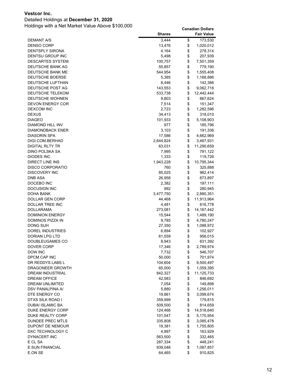### Detailed Holdings at **December 31, 2020**

|                                      | <b>Shares</b>      |          | <b>Fair Value</b>      |
|--------------------------------------|--------------------|----------|------------------------|
| <b>DEMANT A/S</b>                    | 3,444              | \$       | 173,530                |
| <b>DENSO CORP</b>                    | 13,476             | \$       | 1,020,012              |
| DENTSPLY SIRONA                      | 4,164              | \$       | 278,314                |
| DENTSU GROUP INC                     | 5,498              | \$       | 207,939                |
| <b>DESCARTES SYSTEM</b>              | 100,757            | \$       | 7,501,359              |
| DEUTSCHE BANK AG                     | 55,857             | \$       | 779,190                |
| DEUTSCHE BANK ME                     | 544,954            | \$       | 1,555,408              |
| DEUTSCHE BOERSE                      | 5,385              | \$       | 1,168,886              |
| DEUTSCHE LUFTHAN                     | 8,446              | \$       | 142,386                |
| DEUTSCHE POST AG                     | 143,553            | \$       | 9,062,718              |
| DEUTSCHE TELEKOM                     | 533,738            | \$       | 12,442,444             |
| <b>DEUTSCHE WOHNEN</b>               | 9,803              | \$       | 667,624                |
| <b>DEVON ENERGY COR</b>              | 7,514              | \$       | 151,347                |
| <b>DEXCOM INC</b>                    | 2,723              | \$       | 1,282,596              |
| <b>DEXUS</b>                         | 34,413             | \$       | 318,010                |
| <b>DIAGEO</b>                        | 101,933            | \$       | 5,108,903              |
| DIAMOND HILL INV                     | 977                | \$       | 185,796                |
| DIAMONDBACK ENER                     | 3,103              | \$       | 191,336                |
| <b>DIASORIN SPA</b>                  | 17,586             | \$       | 4,662,969              |
| DIGI.COM.BERHAD                      | 2,644,824          | \$       | 3,467,931              |
| <b>DIGITAL RLTY TR</b>               | 63,031             | \$       | 11,290,659             |
| DINO POLSKA SA                       | 7,995              | \$       | 791,122                |
| <b>DIODES INC</b>                    | 1,333              | \$       | 119,726                |
| DIRECT LINE INS                      | 1,943,228          | \$       | 10,795,344             |
| <b>DISCO CORPORATIO</b>              | 760                | \$       | 325,888                |
| <b>DISCOVERY INC</b>                 | 85,025             | \$       | 982,414                |
| <b>DNB ASA</b>                       | 26,958             | \$       | 673,897                |
| DOCEBO INC                           | 2,382              | \$       | 197,111                |
| <b>DOCUSIGN INC</b>                  | 992                | \$       | 280,945                |
| DOHA BANK                            | 3,477,750          | \$       | 2,880,351              |
| DOLLAR GEN CORP                      | 44,468             | \$       | 11,913,964             |
| DOLLAR TREE INC                      | 4,481              | \$       | 616,778                |
| DOLLARAMA                            | 273,081            | \$       | 14, 167, 442           |
| <b>DOMINION ENERGY</b>               | 15,544             | \$       | 1,489,190              |
| DOMINOS PIZZA IN                     | 9,785              | \$       | 4,780,247              |
| DONG SUH                             | 27,350             | \$       | 1,088,972              |
| DOREL INDUSTRIES                     | 6,894              | \$       | 102,927                |
| <b>DORIAN LPG LTD</b>                | 61,559             | \$       | 956,015                |
| DOUBLEUGAMES CO                      | 8,943              | \$       | 631,392                |
| DOVER CORP                           | 17,346             | \$       | 2,789,974              |
| <b>DOW INC</b>                       | 7,732              | \$       | 546,707                |
| DPCM CAP INC                         | 50,000             | \$       | 701,974                |
| DR REDDYS LABS L                     | 104,604            | \$       | 9,500,497              |
| DRAGONEER GROWTH                     | 65,000             | \$       | 1,059,395              |
| <b>DREAM INDUSTRIAL</b>              | 842,327            | \$       | 11,125,733             |
| DREAM OFFICE                         | 42,583             | \$       | 846,692                |
| DREAM UNLIMITED                      | 7,054              | \$       | 149,898                |
| DSV PANALPINA A/                     | 5,880              | \$<br>\$ | 1,256,011              |
| DTE ENERGY CO                        | 19,861             | \$       | 3,099,674              |
| DTXS SILK ROAD I                     | 359,999            | \$       | 179,815                |
| <b>DUBAI ISLAMIC BA</b>              | 509,500            | \$       | 814,659                |
| DUKE ENERGY CORP<br>DUKE REALTY CORP | 124,466<br>101,547 | \$       | 14,518,640             |
| DUNDEE PREC MTLS                     | 335,808            | \$       | 5,170,954<br>3,085,478 |
| DUPONT DE NEMOUR                     | 19,381             | \$       | 1,755,805              |
| DXC TECHNOLOGY C                     | 4,997              | \$       | 163,929                |
| DYNACERT INC                         | 563,500            | \$       | 332,465                |
| E CL SA                              | 287,334            | \$       | 448,241                |
| E SUN FINANCIAL                      | 939,046            | \$       | 1,087,857              |
| E.ON SE                              | 64,465             | \$       | 910,825                |
|                                      |                    |          |                        |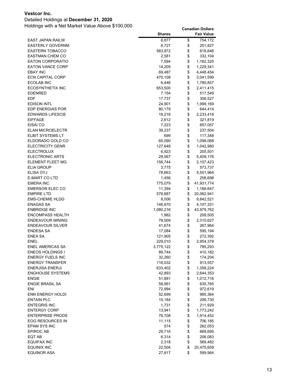### Detailed Holdings at **December 31, 2020**

|                                                | <b>Shares</b>    |          | <b>Fair Value</b>    |
|------------------------------------------------|------------------|----------|----------------------|
| EAST JAPAN RAILW                               | 8,877            | \$       | 754,172              |
| <b>EASTERLY GOVERNM</b>                        | 8,727            | \$       | 251,827              |
| <b>EASTERN TOBACCO</b>                         | 583,872          | \$       | 616,646              |
| <b>EASTMAN CHEM CO</b>                         | 2,581            | \$       | 332,104              |
| <b>EATON CORPORATIO</b>                        | 7,594            | \$       | 1,162,325            |
| <b>EATON VANCE CORP</b>                        | 14,205           | \$       | 1,229,341            |
| <b>EBAY INC</b>                                | 69,487           | \$       | 4,448,454            |
| <b>ECN CAPITAL CORP</b>                        | 470,108          | \$       | 3,041,599            |
| ECOLAB INC                                     | 6,446            | \$       | 1,780,857            |
| <b>ECOSYNTHETIX INC</b>                        | 653,500          | \$       | 2,411,415            |
| <b>EDENRED</b>                                 | 7,154            | \$       | 517,549              |
| EDF                                            | 17,737           | \$       | 356,527              |
| <b>EDISON INTL</b>                             | 24,901           | \$       | 1,999,169            |
| <b>EDP ENERGIAS POR</b>                        | 80,179           | \$       | 644,414              |
| <b>EDWARDS LIFESCIE</b>                        | 19,216           | \$       | 2,233,418            |
| <b>EIFFAGE</b>                                 | 2,612            | \$       | 321,819              |
| EISAI CO                                       | 7,223            | \$       | 657,057              |
| <b>ELAN MICROELECTR</b>                        | 39,237           | \$       | 237,504              |
| <b>ELBIT SYSTEMS LT</b>                        | 699              | \$       | 117,348              |
| ELDORADO GOLD CO                               | 65,090           | \$       | 1,098,068            |
| <b>ELECTRICITY GENR</b>                        | 127,648          | \$       | 1,042,980            |
| <b>ELECTROLUX</b>                              | 6,923            | \$       | 205,501              |
| <b>ELECTRONIC ARTS</b>                         | 29,567           | \$       | 5,409,176            |
| ELEMENT FLEET MG                               | 156,744          | \$       | 2,107,423            |
| <b>ELIA GROUP</b>                              | 3,775            | \$       | 573,737              |
| <b>ELISA OYJ</b>                               | 78,663           | \$       | 5,501,964            |
| <b>E-MART CO LTD</b>                           | 1,456            | \$       | 258,698              |
| <b>EMERA INC</b>                               | 775,079          | \$       | 41,931,774           |
| <b>EMERSON ELEC CO</b>                         | 11,394           | \$       | 1,166,647            |
| <b>EMPIRE LTD</b>                              | 576,687          | \$       | 20,062,941           |
| <b>EMS-CHEMIE HLDG</b>                         | 8,006            | \$       | 9,842,521            |
| <b>ENAGAS SA</b>                               | 146,670          | \$       | 4,107,331            |
| <b>ENBRIDGE INC</b><br><b>ENCOMPASS HEALTH</b> | 1,080,216        | \$<br>\$ | 43,979,762           |
| <b>ENDEAVOUR MINING</b>                        | 1,982            | \$       | 209,505<br>2,310,627 |
| <b>ENDEAVOUR SILVER</b>                        | 78,009<br>41,674 | \$       | 267,964              |
| <b>ENDESA SA</b>                               | 17,084           | \$       | 595,194              |
| <b>ENEA SA</b>                                 | 121,905          | \$       | 272,392              |
| <b>ENEL</b>                                    | 229,010          | \$       | 2,954,378            |
| ENEL AMERICAS SA                               | 3,775,122        | \$       | 785,293              |
| <b>ENEOS HOLDINGS I</b>                        | 89,744           | \$       | 410,182              |
| <b>ENERGY FUELS INC</b>                        | 32,260           | \$       | 174,204              |
| <b>ENERGY TRANSFER</b>                         | 116,032          | \$       | 913,557              |
| <b>ENERJISA ENERJI</b>                         | 633,402          | \$       | 1,358,224            |
| <b>ENGHOUSE SYSTEMS</b>                        | 42,893           | \$       | 2,644,353            |
| <b>ENGIE</b>                                   | 51,891           | \$       | 1,012,716            |
| <b>ENGIE BRASIL SA</b>                         | 58,991           | \$       | 635,765              |
| ENI                                            | 72,994           | \$       | 972,619              |
| <b>ENN ENERGY HOLDI</b>                        | 52,699           | \$       | 985,364              |
| <b>ENTAIN PLC</b>                              | 15,184           | \$       | 299,730              |
| ENTEGRIS INC                                   | 1,731            | \$       | 211,929              |
| <b>ENTERGY CORP</b>                            | 13,941           | \$       | 1,773,242            |
| <b>ENTERPRISE PRODS</b>                        | 76,708           | \$       | 1,914,452            |
| EOG RESOURCES IN                               | 11,115           | \$       | 706,185              |
| EPAM SYS INC                                   | 574              | \$       | 262,053              |
| EPIROC AB                                      | 29,716           | \$       | 669,695              |
| EQT AB                                         | 6,314            | \$       | 206,083              |
| EQUIFAX INC                                    | 2,318            | \$       | 569,482              |
| <b>EQUINIX INC</b>                             | 22,504           | \$       | 20,475,609           |
| <b>EQUINOR ASA</b>                             | 27,817           | \$       | 599,964              |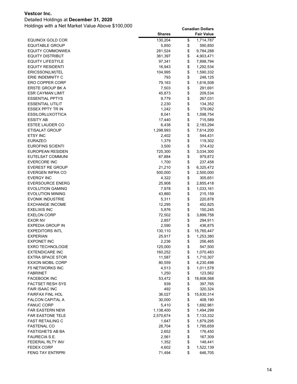### Detailed Holdings at **December 31, 2020**

|                                                | <b>Shares</b> |          | <b>Fair Value</b>  |
|------------------------------------------------|---------------|----------|--------------------|
| EQUINOX GOLD COR                               | 130,204       | \$       | 1,714,787          |
| <b>EQUITABLE GROUP</b>                         | 5,850         | \$       | 590,850            |
| <b>EQUITY COMMONWEA</b>                        | 281,524       | \$       | 9,784,288          |
| <b>EQUITY DISTRIBUT</b>                        | 361,397       | \$       | 4,903,471          |
| <b>EQUITY LIFESTYLE</b>                        | 97,341        | \$       | 7,898,794          |
| <b>EQUITY RESIDENTI</b>                        | 16,943        | \$       | 1,292,534          |
| ERICSSON(LM)TEL                                | 104,995       | \$       | 1,590,332          |
| ERIE INDEMNITY C                               | 793           | \$       | 248,125            |
| ERO COPPER CORP                                | 79,163        | \$       | 1,616,508          |
| ERSTE GROUP BK A                               | 7,503         | \$       | 291,691            |
| ESR CAYMAN LIMIT                               | 45,873        | \$       | 209,534            |
| <b>ESSENTIAL PPTYS</b>                         | 9,779         | \$       | 267,031            |
| ESSENTIAL UTILIT                               | 2,230         | \$       | 134,352            |
| ESSEX PPTY TR IN                               | 1,242         | \$       | 379,062            |
| ESSILORLUXOTTICA                               | 8,041         | \$       | 1,598,754          |
| <b>ESSITY AB</b>                               | 17,440        | \$       | 715,589            |
| <b>ESTEE LAUDER CO</b>                         | 6,438         | \$       | 2,183,294          |
| ETISALAT GROUP                                 | 1,298,993     | \$       | 7,614,200          |
| <b>ETSY INC</b>                                | 2,402         | \$       | 544,431            |
| <b>EURAZEO</b>                                 | 1,379         | \$       | 119,302            |
| EUROFINS SCIENTI                               | 3,500         | \$       | 374,432            |
| EUROPEAN RESIDEN                               | 725,300       | \$       | 3,034,300          |
| EUTELSAT COMMUNI                               | 67,884        | \$       | 979,872            |
| <b>EVERCORE INC</b>                            | 1,700         | \$       | 237,458            |
| <b>EVEREST RE GROUP</b>                        | 21,210        | \$       | 6,325,472          |
| EVERGEN INFRA CO                               | 500,000       | \$       | 2,500,000          |
| <b>EVERGY INC</b>                              | 4,322         | \$       | 305,651            |
| EVERSOURCE ENERG                               | 25,908        | \$       | 2,855,418          |
| <b>EVOLUTION GAMING</b>                        | 7,978         | \$       | 1,033,161          |
| EVOLUTION MINING                               | 43,860        | \$       | 215,159            |
| EVONIK INDUSTRIE                               | 5,311         | \$       | 220,878            |
| <b>EXCHANGE INCOME</b>                         | 12,295        | \$       | 452,825            |
| EXELIXIS INC                                   | 5,876         | \$       | 150,245            |
| EXELON CORP                                    | 72,502        | \$       | 3,899,758          |
| <b>EXOR NV</b>                                 | 2,857         | \$       | 294,911            |
| EXPEDIA GROUP IN                               | 2,590         | \$       | 436,875            |
| <b>EXPEDITORS INTL</b>                         | 130,110       | \$       | 15,765,447         |
| <b>EXPERIAN</b>                                | 25,917        | \$       | 1,253,380          |
| <b>EXPONET INC</b>                             | 2,236         | \$       | 256,465            |
| <b>EXRO TECHNOLOGIE</b>                        | 125,000       | \$       | 547,500            |
| <b>EXTENDICARE INC</b>                         | 160,252       | \$       | 1,070,483          |
| <b>EXTRA SPACE STOR</b>                        | 11,587        | \$       | 1,710,307          |
| <b>EXXON MOBIL CORP</b>                        | 80,559        | \$       | 4,230,498          |
| <b>F5 NETWORKS INC</b><br><b>FABRINET</b>      | 4,513         | \$       | 1,011,578          |
|                                                | 1,250         | \$<br>\$ | 123,562            |
| <b>FACEBOOK INC</b><br><b>FACTSET RESH SYS</b> | 53,472<br>939 | \$       | 18,608,568         |
| <b>FAIR ISAAC INC</b>                          | 492           | \$       | 397,765<br>320,324 |
| <b>FAIRFAX FINL HOL</b>                        | 36,027        | \$       | 15,630,314         |
| <b>FALCON CAPITAL A</b>                        | 30,000        | \$       | 408,190            |
| <b>FANUC CORP</b>                              | 5,410         | \$       | 1,692,961          |
| <b>FAR EASTERN NEW</b>                         | 1,138,400     | \$       | 1,494,299          |
| <b>FAR EASTONE TELE</b>                        | 2,570,674     | \$       | 7,133,332          |
| <b>FAST RETAILING C</b>                        | 1,647         | \$       | 1,879,295          |
| <b>FASTENAL CO</b>                             | 28,704        | \$       | 1,785,659          |
| FASTIGHETS AB BA                               | 2,652         | \$       | 176,450            |
| FAURECIA S.E.                                  | 2,561         | \$       | 167,309            |
| FEDERAL RLTY INV                               | 1,352         | \$       | 148,441            |
| <b>FEDEX CORP</b>                              | 4,602         | \$       | 1,522,139          |
| <b>FENG TAY ENTRPRI</b>                        | 71,494        | \$       | 646,705            |
|                                                |               |          |                    |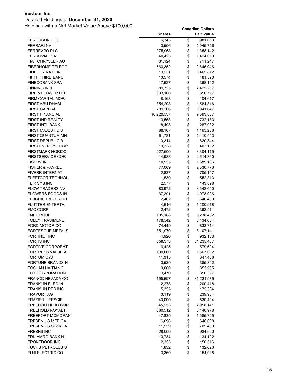### Detailed Holdings at **December 31, 2020**

|                                      | <b>Shares</b>     |          | <b>Fair Value</b>    |
|--------------------------------------|-------------------|----------|----------------------|
| <b>FERGUSON PLC</b>                  | 6,345             | \$       | 981,663              |
| <b>FERRARI NV</b>                    | 3,556             | \$       | 1,045,706            |
| FERREXPO PLC                         | 275,963           | \$       | 1,358,142            |
| <b>FERROVIAL SA</b>                  | 40,423            | \$       | 1,424,059            |
| <b>FIAT CHRYSLER AU</b>              | 31,124            | \$       | 711,247              |
| <b>FIBERHOME TELECO</b>              | 560,352           | \$       | 2,646,046            |
| FIDELITY NATL IN                     | 19,231            | \$       | 3,465,812            |
| FIFTH THIRD BANC                     | 13,574            | \$       | 481,590              |
| <b>FINECOBANK SPA</b>                | 17,627            | \$       | 368,192              |
| FINNING INTL                         | 89,725            | \$       | 2,425,267            |
| FIRE & FLOWER HO                     | 633,100           | \$       | 550,797              |
| FIRM CAPITAL MOR                     | 8,163             | \$       | 104,617              |
| FIRST ABU DHABI                      | 354,208           | \$       | 1,584,816            |
| <b>FIRST CAPITAL</b>                 | 289,366           | \$       | 3,941,647            |
| <b>FIRST FINANCIAL</b>               | 10,220,537        | \$       | 9,893,857            |
| <b>FIRST IND REALTY</b>              | 13,563            | \$       | 732,183              |
| FIRST INTL BANK                      | 8,498             | \$       | 287,082              |
| <b>FIRST MAJESTIC S</b>              | 68,107            | \$       | 1,163,268            |
| FIRST QUANTUM MN                     | 61,731            | \$       | 1,410,553            |
| <b>FIRST REPUBLIC B</b>              | 3,314             | \$       | 620,344              |
| <b>FIRSTENERGY CORP</b>              | 10,338            | \$       | 403,152              |
| FIRSTMARK HORIZO                     | 227,500           | \$       | 3,304,119            |
| <b>FIRSTSERVICE COR</b>              | 14,988            | \$       | 2,614,360            |
| <b>FISERV INC</b>                    | 10,955            | \$       | 1,589,106            |
| <b>FISHER &amp; PAYKEL</b>           | 77,069            | \$       | 2,330,776            |
| <b>FIVERR INTERNATI</b>              | 2,837             | \$       | 705,157              |
| <b>FLEETCOR TECHNOL</b>              | 1,589             | \$       | 552,313              |
| FLIR SYS INC                         | 2,577             | \$       | 143,898              |
| <b>FLOW TRADERS NV</b>               | 83,972            | \$       | 3,542,040            |
| FLOWERS FOODS IN                     | 37,391            | \$       | 1,078,006            |
| FLUGHAFEN ZURICH                     | 2,402             | \$       | 540,403              |
| FLUTTER ENTERTAI                     | 4,616             | \$       | 1,200,918            |
| FMC CORP                             | 2,472             | \$       | 363,511              |
| FNF GROUP                            | 105,188           | \$       | 5,238,432            |
| <b>FOLEY TRASIMENE</b>               | 178,542           | \$       | 3,434,684            |
| FORD MOTOR CO                        | 74,449            | \$       | 833,714              |
| <b>FORTESCUE METALS</b>              | 351,970           | \$       | 8,107,141            |
| FORTINET INC                         | 4,926             | \$       | 932,133              |
| <b>FORTIS INC</b>                    | 658,373           | \$<br>\$ | 34,235,467           |
| FORTIVE CORPORAT<br>FORTRESS VALUE A | 6,425             | \$       | 579,694<br>1,367,002 |
| FORTUM OYJ                           | 100,000<br>11,315 | \$       | 347,466              |
| FORTUNE BRANDS H                     | 3,529             | \$       | 385,392              |
| <b>FOSHAN HAITIAN F</b>              | 9,000             | \$       | 353,935              |
| <b>FOX CORPORATION</b>               | 9,470             | \$       | 350,397              |
| FRANCO NEVADA CO                     | 195,697           | \$       | 31,231,579           |
| <b>FRANKLIN ELEC IN</b>              | 2,273             | \$       | 200,418              |
| <b>FRANKLIN RES INC</b>              | 5,353             | \$       | 172,334              |
| FRAPORT AG                           | 3,119             | \$       | 239,984              |
| <b>FRAZIER LIFESCIE</b>              | 40,000            | \$       | 530,494              |
| FREEDOM HLDG COR                     | 45,253            | \$       | 2,958,141            |
| <b>FREEHOLD ROYALTI</b>              | 660,512           | \$       | 3,440,978            |
| FREEPORT-MCMORAN                     | 47,835            | \$       | 1,585,705            |
| FRESENIUS MED CA                     | 6,096             | \$       | 648,068              |
| <b>FRESENIUS SE&amp;KGA</b>          | 11,959            | \$       | 705,403              |
| FRESHII INC                          | 528,000           | \$       | 934,560              |
| FRN AMRO BANK N.                     | 10,734            | \$       | 134,192              |
| FRONTDOOR INC                        | 2,353             | \$       | 150,516              |
| <b>FUCHS PETROLUB S</b>              | 1,832             | \$       | 132,620              |
| <b>FUJI ELECTRIC CO</b>              | 3,360             | \$       | 154,028              |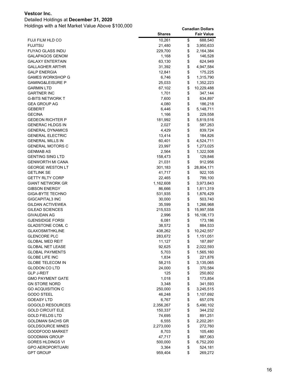### Detailed Holdings at **December 31, 2020**

|                         | <b>Shares</b> | <b>Fair Value</b> |
|-------------------------|---------------|-------------------|
| FUJI FILM HLD CO        | 10,261        | \$<br>688,540     |
| <b>FUJITSU</b>          | 21,480        | \$<br>3,950,633   |
| <b>FUYAO GLASS INDU</b> | 229,700       | \$<br>2,164,384   |
| <b>GALAPAGOS GENOM</b>  | 1,168         | \$<br>146,528     |
| <b>GALAXY ENTERTAIN</b> | 63,130        | \$<br>624,949     |
| <b>GALLAGHER ARTHR</b>  | 31,392        | \$<br>4,947,584   |
| <b>GALP ENERGIA</b>     | 12,841        | \$<br>175,225     |
| GAMES WORKSHOP G        | 6,746         | \$<br>1,315,790   |
| GAMING&LEISURE P        | 25,033        | \$<br>1,352,223   |
| GARMIN LTD              | 67,102        | \$<br>10,229,488  |
| <b>GARTNER INC</b>      | 1,701         | \$<br>347,144     |
| G-BITS NETWORK T        | 7,600         | \$<br>634,897     |
| <b>GEA GROUP AG</b>     | 4,080         | \$<br>186,218     |
| <b>GEBERIT</b>          | 6,446         | \$<br>5,148,711   |
| <b>GECINA</b>           | 1,166         | \$<br>229,558     |
| GEDEON RICHTER P        | 181,992       | \$<br>5,819,516   |
| <b>GENERAC HLDGS IN</b> | 2,027         | \$<br>587,263     |
| <b>GENERAL DYNAMICS</b> | 4,429         | \$<br>839,724     |
| <b>GENERAL ELECTRIC</b> |               |                   |
|                         | 13,414        | \$<br>184,826     |
| <b>GENERAL MILLS IN</b> | 60,401        | \$<br>4,524,711   |
| GENERAL MOTORS C        | 23,997        | \$<br>1,273,025   |
| GENMAB AS               | 2,564         | \$<br>1,322,508   |
| <b>GENTING SING LTD</b> | 158,473       | \$<br>129,846     |
| <b>GENWORTH MI CANA</b> | 21,031        | \$<br>912,956     |
| <b>GEORGE WESTON LT</b> | 301,183       | \$<br>28,804,171  |
| <b>GETLINK SE</b>       | 41,717        | \$<br>922,105     |
| <b>GETTY RLTY CORP</b>  | 22,465        | \$<br>799,100     |
| GIANT NETWORK GR        | 1,162,608     | \$<br>3,973,843   |
| <b>GIBSON ENERGY</b>    | 86,666        | \$<br>1,811,319   |
| <b>GIGA-BYTE TECHNO</b> | 531,935       | \$<br>1,876,429   |
| GIGCAPITAL3 INC         | 30,000        | \$<br>503,740     |
| GILDAN ACTIVEWEA        | 35,599        | \$<br>1,266,968   |
| GILEAD SCIENCES         | 215,533       | \$<br>15,997,558  |
| <b>GIVAUDAN AG</b>      | 2,996         | \$<br>16,106,173  |
| <b>GJENSIDIGE FORSI</b> | 6,081         | \$<br>173,186     |
| <b>GLADSTONE COML C</b> | 38,572        | \$<br>884,533     |
| <b>GLAXOSMITHKLINE</b>  | 438,262       | \$<br>10,242,557  |
| <b>GLENCORE PLC</b>     | 283,672       | \$<br>1,151,051   |
| GLOBAL MED REIT         | 11,127        | \$<br>187,897     |
| <b>GLOBAL NET LEASE</b> | 92,625        | \$<br>2,022,593   |
| <b>GLOBAL PAYMENTS</b>  | 5,703         | \$<br>1,565,160   |
| <b>GLOBE LIFE INC</b>   | 1,834         | \$<br>221,876     |
| <b>GLOBE TELECOM IN</b> | 58,215        | \$<br>3,135,065   |
| <b>GLODON CO LTD</b>    | 24,000        | \$<br>370,584     |
| <b>GLP J-REIT</b>       | 125           | \$<br>250,802     |
| <b>GMO PAYMENT GATE</b> | 1,018         | \$<br>173,854     |
| <b>GN STORE NORD</b>    | 3,348         | \$<br>341,593     |
| <b>GO ACQUISITION C</b> | 250,000       | \$<br>3,245,515   |
| <b>GODO STEEL</b>       | 46,248        | \$<br>1,107,692   |
| <b>GOEASY LTD</b>       | 6,767         | \$<br>657,076     |
| <b>GOGOLD RESOURCES</b> | 2,356,267     | \$<br>5,490,102   |
| <b>GOLD CIRCUIT ELE</b> | 150,337       | \$<br>344,232     |
| <b>GOLD FIELDS LTD</b>  | 74,695        | \$<br>891,251     |
| GOLDMAN SACHS GR        | 6,555         | \$<br>2,202,261   |
| <b>GOLDSOURCE MINES</b> | 2,273,000     | \$<br>272,760     |
| GOODFOOD MARKET         | 8,703         | \$<br>105,480     |
| <b>GOODMAN GROUP</b>    | 47,717        | \$<br>887,063     |
| <b>GORES HLDINGS VI</b> | 500,000       | \$<br>6,752,200   |
| <b>GPO AEROPORTUARI</b> | 3,364         | \$<br>524,181     |
| <b>GPT GROUP</b>        | 959,404       | \$<br>269,272     |
|                         |               |                   |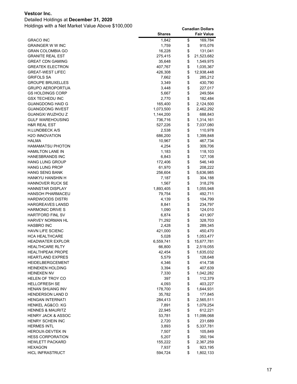### Detailed Holdings at **December 31, 2020**

|                               | <b>Shares</b> | <b>Fair Value</b> |
|-------------------------------|---------------|-------------------|
| <b>GRACO INC</b>              | 1,842         | \$<br>169,784     |
| <b>GRAINGER W W INC</b>       | 1,759         | \$<br>915,076     |
| <b>GRAN COLOMBIA GO</b>       | 16,228        | \$<br>131,041     |
| <b>GRANITE REAL EST</b>       | 275,415       | \$<br>21,523,682  |
| <b>GREAT CDN GAMING</b>       | 35,648        | \$<br>1,549,975   |
| <b>GREATEK ELECTRON</b>       | 407,767       | \$<br>1,035,367   |
| <b>GREAT-WEST LIFEC</b>       | 426,308       | \$<br>12,938,448  |
| <b>GRIFOLS SA</b>             | 7,662         | \$<br>285,212     |
| <b>GROUPE BRUXELLES</b>       | 3,349         | \$<br>430,790     |
| <b>GRUPO AEROPORTUA</b>       | 3,448         | \$<br>227,017     |
| <b>GS HOLDINGS CORP</b>       | 5,667         | \$<br>249,564     |
| <b>GSX TECHEDU INC</b>        | 2,770         | \$<br>182,484     |
| <b>GUANGDONG HAID G</b>       | 165,400       | \$<br>2,124,500   |
| <b>GUANGDONG INVEST</b>       | 1,073,500     | \$<br>2,462,292   |
| GUANGXI WUZHOU Z              | 1,144,200     | \$<br>688,843     |
| <b>GULF WAREHOUSING</b>       | 736,716       | \$<br>1,314,161   |
| <b>H&amp;R REAL EST</b>       | 527,226       | \$<br>7,037,080   |
| H.LUNDBECK A/S                | 2,538         | \$<br>110,978     |
| <b>H2O INNOVATION</b>         | 686,200       | \$<br>1,399,848   |
| <b>HALMA</b>                  | 10,967        | \$<br>467,734     |
| <b>HAMAMATSU PHOTON</b>       | 4,254         | \$<br>309,706     |
| <b>HAMILTON LANE IN</b>       | 1,183         | \$<br>118,103     |
| <b>HANESBRANDS INC</b>        | 6,843         | \$<br>127,108     |
| <b>HANG LUNG GROUP</b>        | 172,406       | \$<br>546,149     |
| <b>HANG LUNG PROP</b>         | 61,970        | \$<br>208,222     |
| HANG SENG BANK                | 256,604       | \$<br>5,636,985   |
| HANKYU HANSHIN H              | 7,187         | \$<br>304,188     |
| HANNOVER RUCK SE              | 1,567         | \$<br>318,276     |
| <b>HANNSTAR DISPLAY</b>       | 1,893,405     | \$<br>1,055,948   |
| <b>HANSOH PHARMACEU</b>       | 79,754        | \$<br>492,711     |
| HARDWOODS DISTRI              | 4,139         | \$<br>104,799     |
| <b>HARGREAVES LANSD</b>       | 8,841         | \$<br>234,797     |
| <b>HARMONIC DRIVE S</b>       | 1,090         | \$<br>124,010     |
| HARTFORD FINL SV              | 6,874         | \$<br>431,907     |
| <b>HARVEY NORMAN HL</b>       | 71,292        | \$<br>328,703     |
| <b>HASBRO INC</b>             | 2,428         | \$<br>289,345     |
| <b>HAVN LIFE SCIENC</b>       | 421,000       | \$<br>450,470     |
| HCA HEALTHCARE                | 5,028         | \$<br>1,053,477   |
| <b>HEADWATER EXPLOR</b>       | 6,559,741     | \$<br>15,677,781  |
| HEALTHCARE RLTY               | 66,800        | \$<br>2,519,055   |
| <b>HEALTHPEAK PROPE</b>       | 42,454        | \$<br>1,635,032   |
| <b>HEARTLAND EXPRES</b>       | 5,579         | \$<br>128,648     |
| HEIDELBERGCEMENT              | 4,346         | \$<br>414,738     |
| <b>HEINEKEN HOLDING</b>       | 3,394         | \$<br>407,639     |
| <b>HEINEKEN NV</b>            | 7,330         | \$<br>1,042,282   |
| <b>HELEN OF TROY CO</b>       | 397           | \$<br>112,379     |
| <b>HELLOFRESH SE</b>          | 4,093         | \$<br>403,227     |
| HENAN SHUANG INV              | 178,700       | \$<br>1,644,931   |
| <b>HENDERSON LAND D</b>       | 35,782        | \$<br>177,845     |
| <b>HENGAN INTERNATI</b>       | 284,413       | \$<br>2,565,511   |
| HENKEL AG&CO. KG              | 7,891         | \$<br>1,079,254   |
| <b>HENNES &amp; MAURITZ</b>   | 22,945        | \$<br>612,221     |
| <b>HENRY JACK &amp; ASSOC</b> | 53,781        | \$<br>11,099,068  |
| HENRY SCHEIN INC              | 2,720         | \$<br>231,689     |
| <b>HERMES INTL</b>            | 3,893         | \$<br>5,337,781   |
| HEROUX-DEVTEK IN              | 7,507         | \$<br>105,849     |
| <b>HESS CORPORATION</b>       | 5,207         | \$<br>350,194     |
| <b>HEWLETT PACKARD</b>        | 155,222       | \$<br>2,367,259   |
| <b>HEXAGON</b>                | 7,937         | \$<br>923,195     |
| <b>HICL INFRASTRUCT</b>       | 594,724       | \$<br>1,802,133   |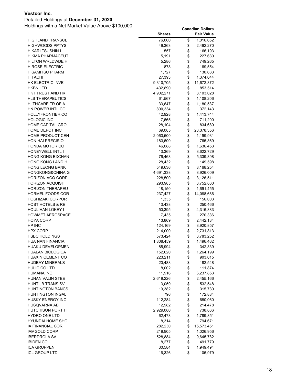# Detailed Holdings at **December 31, 2020**

|                                       | <b>Shares</b>      |          | <b>Fair Value</b>    |
|---------------------------------------|--------------------|----------|----------------------|
| <b>HIGHLAND TRANSCE</b>               | 76,000             | \$       | 1,016,652            |
| <b>HIGHWOODS PPTYS</b>                | 49,363             | \$       | 2,492,270            |
| HIKARI TSUSHIN I                      | 557                | \$       | 166,193              |
| HIKMA PHARMACEUT                      | 5,191              | \$       | 227,630              |
| HILTON WRLDWDE H                      | 5,286              | \$       | 749,265              |
| <b>HIROSE ELECTRIC</b>                | 878                | \$       | 169,554              |
| HISAMITSU PHARM                       | 1,727              | \$       | 130,633              |
| <b>HITACHI</b>                        | 27,393             | \$       | 1,374,044            |
| HK ELECTRIC INVE                      | 9,310,705          | \$       | 11,672,372           |
| HKBN LTD                              | 432,890            | \$       | 853,514              |
| HKT TRUST AND HK                      | 4,902,271          | \$       | 8,103,028            |
| <b>HLS THERAPEUTICS</b>               | 61,567             | \$       | 1,108,206            |
| HLTHCARE TR OF A                      | 33,647             | \$       | 1,180,537            |
| HN POWER INTL CO                      | 800,334            | \$       | 372,143              |
| <b>HOLLYFRONTIER CO</b>               | 42,928             | \$       | 1,413,744            |
| <b>HOLOGIC INC</b>                    | 7,665              | \$       | 711,200              |
| HOME CAPITAL GRO                      | 28,104             | \$       | 834,689              |
| HOME DEPOT INC                        | 69,085             | \$       | 23,378,356           |
| HOME PRODUCT CEN                      | 2,063,500          | \$       | 1,199,931            |
| <b>HON HAI PRECISIO</b>               | 183,600            | \$       | 765,869              |
| HONDA MOTOR CO                        | 46,088             | \$       | 1,636,453            |
| HONEYWELL INTL I                      | 13,369             | \$       | 3,622,729            |
| <b>HONG KONG EXCHAN</b>               | 76,463             | \$       | 5,339,398            |
| HONG KONG LAND H                      | 28,432             | \$       | 149,598              |
| <b>HONG LEONG BANK</b>                | 549,636            | \$       | 3,168,254            |
| HONGKONG&CHINA G                      | 4,691,338          | \$       | 8,926,009            |
| <b>HORIZON ACQ CORP</b>               | 228,500            | \$       | 3,126,511            |
| <b>HORIZON ACQUISIT</b>               | 293,985            | \$       | 3,752,860            |
| <b>HORIZON THERAPEU</b>               | 18,150             | \$       | 1,691,455            |
| HORMEL FOODS COR                      | 237,427            | \$       | 14,098,686           |
| HOSHIZAKI CORPOR                      | 1,335              | \$       | 156,003              |
| HOST HOTELS & RE                      | 13,438             | \$       | 250,466              |
| HOULIHAN LOKEY I                      | 50,395             | \$       | 4,316,383            |
| <b>HOWMET AEROSPACE</b>               | 7,435              | \$       | 270,336              |
| HOYA CORP                             | 13,869             | \$       | 2,442,134            |
| HP INC                                | 124,169            | \$       | 3,920,857            |
| <b>HPX CORP</b>                       | 214,000            | \$       | 2,731,813            |
| <b>HSBC HOLDINGS</b>                  | 573,424            | \$       | 3,783,252            |
| HUA NAN FINANCIA                      | 1,808,459          | \$       | 1,496,462            |
| <b>HUAKU DEVELOPMEN</b>               | 85,994             | \$       | 342,339              |
| <b>HUALAN BIOLOGICA</b>               | 152,620<br>223,211 | \$       | 1,264,199            |
| HUAXIN CEMENT CO                      |                    | \$       | 903,015              |
| <b>HUDBAY MINERALS</b>                | 20,488             | \$       | 182,548              |
| HULIC CO LTD                          | 8,002              | \$       | 111,874              |
| <b>HUMANA INC</b><br>HUNAN VALIN STEE | 11,916             | \$       | 6,237,853            |
| <b>HUNT JB TRANS SV</b>               | 2,619,226          | \$<br>\$ | 2,455,166<br>532,548 |
| <b>HUNTINGTON BANCS</b>               | 3,059<br>19,382    | \$       | 315,730              |
| HUNTINGTON INGAL                      | 796                | \$       | 172,884              |
| <b>HUSKY ENERGY INC</b>               | 112,284            | \$       | 680,060              |
| HUSQVARNA AB                          | 12,982             | \$       | 214,478              |
| HUTCHISON PORT H                      | 2,929,080          | \$       | 738,866              |
| <b>HYDRO ONE LTD</b>                  | 62,473             | \$       | 1,789,851            |
| <b>HYUNDAI HOME SHO</b>               | 8,314              | \$       | 794,671              |
| IA FINANCIAL COR                      | 282,230            | \$       | 15,573,451           |
| <b>IAMGOLD CORP</b>                   | 219,905            | \$       | 1,026,956            |
| <b>IBERDROLA SA</b>                   | 528,884            | \$       | 9,645,782            |
| <b>IBIDEN CO</b>                      | 8,277              | \$       | 491,779              |
| <b>ICA GRUPPEN</b>                    | 30,584             | \$       | 1,949,494            |
| <b>ICL GROUP LTD</b>                  | 16,326             | \$       | 105,979              |
|                                       |                    |          |                      |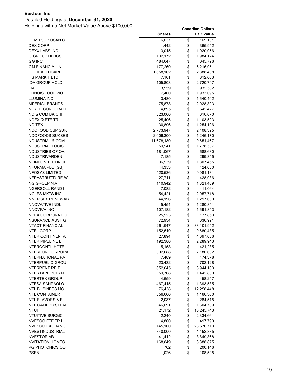### Detailed Holdings at **December 31, 2020**

|                         | <b>Shares</b> | <b>Fair Value</b> |
|-------------------------|---------------|-------------------|
| <b>IDEMITSU KOSAN C</b> | 6,037         | \$<br>169,101     |
| <b>IDEX CORP</b>        | 1,442         | \$<br>365,952     |
| <b>IDEXX LABS INC</b>   | 3,015         | \$<br>1,920,056   |
| <b>IG GROUP HLDGS</b>   | 132,172       | \$<br>1,984,124   |
| IGG INC                 | 484,047       | \$<br>645,796     |
| IGM FINANCIAL IN        | 177,260       | \$<br>6,216,951   |
| IHH HEALTHCARE B        | 1,658,162     | \$<br>2,888,438   |
| <b>IHS MARKIT LTD</b>   | 7,101         | \$<br>812,663     |
| <b>IIDA GROUP HOLDI</b> | 105,803       | \$<br>2,720,797   |
| <b>ILIAD</b>            | 3,559         | \$<br>932,582     |
| <b>ILLINOIS TOOL WO</b> | 7,400         | \$<br>1,933,095   |
| <b>ILLUMINA INC</b>     | 3,480         | \$<br>1,640,402   |
| <b>IMPERIAL BRANDS</b>  | 75,873        | \$<br>2,028,893   |
| <b>INCYTE CORPORATI</b> | 4,895         | \$<br>542,427     |
| IND & COM BK CHI        | 323,000       | \$<br>316,070     |
| <b>INDEXIQ ETF TR</b>   | 25,406        | \$<br>1,103,593   |
| <b>INDITEX</b>          | 30,896        | \$<br>1,254,106   |
| INDOFOOD CBP SUK        | 2,773,947     | \$<br>2,408,395   |
| <b>INDOFOODS SUKSES</b> | 2,006,300     | \$<br>1,246,170   |
| INDUSTRIAL & COM        | 11,678,130    | \$<br>9,651,467   |
| INDUSTRIAL LOGIS        | 59,941        | \$<br>1,778,537   |
| INDUSTRIES OF QA        | 181,067       | \$<br>688,680     |
| INDUSTRIVARDEN          | 7,185         | \$<br>299,355     |
| INFINEON TECHNOL        | 36,939        | \$<br>1,807,455   |
| INFORMA PLC (GB)        | 44,353        | \$<br>424,050     |
| <b>INFOSYS LIMITED</b>  | 420,536       | \$<br>9,081,181   |
| <b>INFRASTRUTTURE W</b> | 27,711        | \$<br>428,936     |
| ING GROEP N.V.          | 110,942       | \$<br>1,321,409   |
| <b>INGERSOLL RAND I</b> | 7,082         | \$<br>411,064     |
| INGLES MKTS INC         | 54,421        | \$<br>2,957,718   |
| INNERGEX RENEWAB        | 44,196        | \$<br>1,217,600   |
| INNOVATIVE INDL         | 5,454         | \$<br>1,280,851   |
| INNOVIVA INC            | 107,182       | \$<br>1,691,853   |
| INPEX CORPORATIO        | 25,923        | \$<br>177,853     |
| INSURANCE AUST G        | 72,934        | \$<br>336,991     |
| <b>INTACT FINANCIAL</b> | 261,947       | \$<br>38,101,952  |
| <b>INTEL CORP</b>       | 152,519       | \$<br>9,680,485   |
| INTER CONTINENTA        | 27,894        | \$<br>4,097,056   |
| <b>INTER PIPELINE L</b> | 192,380       | \$<br>2,289,943   |
| <b>INTERCONTL HOTEL</b> | 5,158         | \$<br>421,285     |
| <b>INTERFOR CORPORA</b> | 302,088       | \$<br>7,180,632   |
| <b>INTERNATIONAL PA</b> | 7,489         | \$<br>474,378     |
| <b>INTERPUBLIC GROU</b> | 23,432        | \$<br>702,128     |
| <b>INTERRENT REIT</b>   | 652,045       | \$<br>8,944,183   |
| <b>INTERTAPE POLYME</b> | 59,768        | \$<br>1,442,800   |
| <b>INTERTEK GROUP</b>   | 4,659         | \$<br>458,257     |
| <b>INTESA SANPAOLO</b>  | 467,415       | \$<br>1,393,535   |
| INTL BUSINESS MC        | 76,438        | \$<br>12,258,448  |
| <b>INTL CONTAINER</b>   | 356,000       | \$<br>1,166,360   |
| INTL FLAVORS & F        | 2,037         | \$<br>284,515     |
| <b>INTL GAME SYSTEM</b> | 46,691        | \$<br>1,604,709   |
| <b>INTUIT</b>           | 21,172        | \$<br>10,245,743  |
| <b>INTUITIVE SURGIC</b> | 2,240         | \$<br>2,334,661   |
| <b>INVESCO ETF TR I</b> | 4,800         | \$<br>417,790     |
| <b>INVESCO EXCHANGE</b> | 145,100       | \$<br>23,576,713  |
| INVESTINDUSTRIAL        | 340,000       | \$<br>4,452,885   |
| <b>INVESTOR AB</b>      | 41,412        | \$<br>3,849,368   |
| <b>INVITATION HOMES</b> | 168,849       | \$<br>6,388,875   |
| IPG PHOTONICS CO        | 702           | \$<br>200,146     |
| <b>IPSEN</b>            | 1,026         | \$<br>108,595     |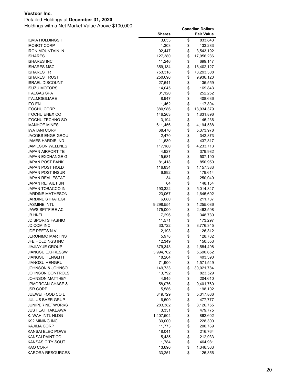### Detailed Holdings at **December 31, 2020**

|                         | <b>Shares</b> | <b>Fair Value</b> |
|-------------------------|---------------|-------------------|
| IQVIA HOLDINGS I        | 3,653         | \$<br>833,843     |
| <b>IROBOT CORP</b>      | 1,303         | \$<br>133,283     |
| IRON MOUNTAIN IN        | 92,447        | \$<br>3,543,192   |
| <b>ISHARES</b>          | 127,380       | \$<br>17,956,236  |
| ISHARES INC             | 11,246        | \$<br>699,147     |
| <b>ISHARES MSCI</b>     | 359,134       | \$<br>18,402,127  |
| ISHARES TR              | 753,318       | \$<br>78,293,308  |
| <b>ISHARES TRUST</b>    | 250,696       | \$<br>9,936,120   |
| <b>ISRAEL DISCOUNT</b>  | 27,641        | \$<br>135,559     |
| ISUZU MOTORS            | 14,045        | \$<br>169,843     |
| <b>ITALGAS SPA</b>      | 31,120        | \$<br>252,252     |
| <b>ITALMOBILIARE</b>    | 8,947         | \$<br>408,636     |
| <b>ITO EN</b>           | 1,462         | \$<br>117,804     |
| <b>ITOCHU CORP</b>      | 380,986       | \$<br>13,934,379  |
| <b>ITOCHU ENEX CO</b>   | 146,263       | \$<br>1,831,896   |
| <b>ITOCHU TECHNO SO</b> | 3,194         | \$<br>145,236     |
| <b>IVANHOE MINES</b>    | 611,456       | \$<br>4,194,588   |
| <b>IWATANI CORP</b>     | 68,476        | \$<br>5,373,978   |
| JACOBS ENGR GROU        | 2,470         | \$<br>342,873     |
| JAMES HARDIE IND        | 11,639        | \$<br>437,317     |
| <b>JAMIESON WELLNES</b> | 117,180       | \$<br>4,233,713   |
| JAPAN AIRPORT TE        | 4,927         | \$<br>379,982     |
| JAPAN EXCHANGE G        | 15,581        | \$<br>507,190     |
| <b>JAPAN POST BANK</b>  | 81,418        | \$<br>850,950     |
| JAPAN POST HOLD         | 116,834       | \$<br>1,157,383   |
| JAPAN POST INSUR        | 6,892         | \$<br>179,614     |
| <b>JAPAN REAL ESTAT</b> | 34            | \$<br>250,049     |
| JAPAN RETAIL FUN        | 64            | \$<br>148,154     |
| JAPAN TOBACCO IN        | 193,322       | \$<br>5,014,347   |
| JARDINE MATHESON        | 23,067        | \$<br>1,645,692   |
| <b>JARDINE STRATEGI</b> | 6,680         | \$<br>211,737     |
| <b>JASMINE INTL</b>     | 9,298,554     | \$<br>1,255,086   |
| JAWS SPITFIRE AC        | 175,000       | \$<br>2,463,598   |
| JB HI-FI                | 7,296         | \$<br>348,730     |
| <b>JD SPORTS FASHIO</b> | 11,571        | \$<br>173,297     |
| <b>JD.COM INC</b>       | 33,722        | \$<br>3,776,345   |
| JDE PEETS N.V.          | 2,193         | \$<br>126,312     |
| <b>JERONIMO MARTINS</b> | 5,978         | \$<br>128,782     |
| JFE HOLDINGS INC        | 12,349        | \$<br>150,553     |
| <b>JIAJIAYUE GROUP</b>  | 379,343       | \$<br>1,584,498   |
| <b>JIANGSU EXPRESSW</b> | 3,994,762     | \$<br>5,690,652   |
| <b>JIANGSU HENGLI H</b> | 18,204        | \$<br>403,390     |
| <b>JIANGSU HENGRUI</b>  | 71,900        | \$<br>1,571,549   |
| JOHNSON & JOHNSO        | 149,733       | \$<br>30,021,784  |
| JOHNSON CONTROLS        | 13,792        | \$<br>823,529     |
| JOHNSON MATTHEY         | 4,845         | \$<br>204,610     |
| JPMORGAN CHASE &        | 58,076        | \$<br>9,401,760   |
| <b>JSR CORP</b>         | 5,586         | \$<br>198,102     |
| JUEWEI FOOD CO L        | 349,729       | \$<br>5,317,866   |
| JULIUS BAER GRUP        | 6,500         | \$<br>477,777     |
| JUNIPER NETWORKS        | 283,382       | \$<br>8,126,755   |
| <b>JUST EAT TAKEAWA</b> | 3,331         | \$<br>479,775     |
| K. WAH INTL HLDG        | 1,407,504     | \$<br>862,602     |
| K92 MINING INC          | 30,000        | \$<br>228,300     |
| <b>KAJIMA CORP</b>      | 11,773        | \$<br>200,769     |
| KANSAI ELEC POWE        | 18,041        | \$<br>216,764     |
| KANSAI PAINT CO         | 5,435         | \$<br>212,933     |
| KANSAS CITY SOUT        | 1,784         | \$<br>464,981     |
| KAO CORP                | 13,690        | \$<br>1,346,363   |
| KARORA RESOURCES        | 33,251        | \$<br>125,356     |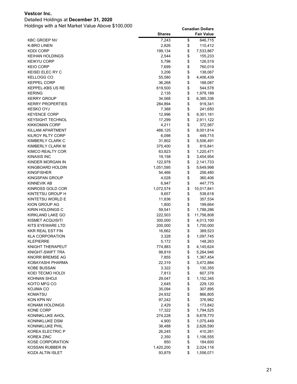### Detailed Holdings at **December 31, 2020**

|                         | <b>Shares</b> | <b>Fair Value</b> |
|-------------------------|---------------|-------------------|
| <b>KBC GROEP NV</b>     | 7,243         | \$<br>646,715     |
| <b>K-BRO LINEN</b>      | 2,826         | \$<br>110,412     |
| <b>KDDI CORP</b>        | 199,134       | \$<br>7,533,867   |
| <b>KEIHAN HOLDINGS</b>  | 2,544         | \$<br>155,233     |
| <b>KEIKYU CORP</b>      | 5,796         | \$<br>126,519     |
| <b>KEIO CORP</b>        | 7,699         | \$<br>760,019     |
| KEISEI ELEC RY C        | 3,206         | \$<br>138,067     |
| KELLOGG CO              | 55,580        | \$<br>4,406,439   |
| <b>KEPPEL CORP</b>      | 36,268        | \$<br>188,087     |
| KEPPEL-KBS US RE        | 619,500       | \$<br>544,578     |
| <b>KERING</b>           | 2,135         | \$<br>1,978,189   |
| <b>KERRY GROUP</b>      | 34,568        | \$<br>6,385,336   |
| <b>KERRY PROPERTIES</b> | 284,894       | \$<br>919,341     |
| <b>KESKO OYJ</b>        | 7,368         | \$<br>241,650     |
| <b>KEYENCE CORP</b>     | 12,996        | \$<br>9,301,181   |
| <b>KEYSIGHT TECHNOL</b> | 17,299        | \$<br>2,911,122   |
| <b>KIKKOMAN CORP</b>    | 4,211         | \$<br>372,567     |
| KILLAM APARTMENT        | 466,125       | \$<br>8,001,814   |
| KILROY RLTY CORP        | 6,098         | \$<br>449,715     |
| KIMBERLY CLARK C        | 31,802        | \$<br>5,506,491   |
| KIMBERLY CLARK M        | 375,400       | \$<br>815,841     |
| KIMCO REALTY COR        | 63,823        | \$<br>1,220,471   |
| KINAXIS INC             | 19,158        | \$<br>3,454,954   |
| KINDER MORGAN IN        | 122,978       | \$<br>2,141,733   |
| KINGBOARD HOLDIN        | 1,051,595     | \$<br>5,649,998   |
| <b>KINGFISHER</b>       | 54,466        | \$<br>256,480     |
| <b>KINGSPAN GROUP</b>   | 4,028         | \$<br>360,406     |
| <b>KINNEVIK AB</b>      | 6,947         | \$<br>447,775     |
| KINROSS GOLD COR        | 1,072,574     | \$<br>10,017,841  |
| KINTETSU GROUP H        | 9,657         | \$<br>538,618     |
| KINTETSU WORLD E        | 11,836        | \$<br>357,534     |
| KION GROUP AG           | 1,800         | \$<br>199,664     |
| KIRIN HOLDINGS C        | 59,541        | \$<br>1,788,286   |
| KIRKLAND LAKE GO        | 222,503       | \$<br>11,756,808  |
| KISMET ACQUISITI        | 300,000       | \$<br>4,013,100   |
| KITS EYEWARE LTD        | 200,000       | \$<br>1,700,000   |
| <b>KKR REAL EST FIN</b> | 16,662        | \$<br>389,523     |
| <b>KLA CORPORATION</b>  | 3,328         | \$<br>1,097,745   |
| <b>KLEPIERRE</b>        | 5,172         | \$<br>148,263     |
| KNIGHT THERAPEUT        | 774,883       | \$<br>4,145,624   |
| KNIGHT-SWIFT TRA        | 98,819        | \$<br>5,264,946   |
| KNORR BREMSE AG         | 7,855         | \$<br>1,367,454   |
| KOBAYASHI PHARMA        | 22,319        | \$<br>3,472,884   |
| KOBE BUSSAN             | 3,322         | \$<br>130,355     |
| KOEI TECMO HOLDI        | 7,813         | \$<br>607,378     |
| KOHNAN SHOJI            | 29,047        | \$<br>1,152,345   |
| KOITO MFG CO            | 2,645         | \$<br>229,120     |
| KOJIMA CO               | 35,094        | \$<br>307,895     |
| KOMATSU                 | 24,932        | \$<br>866,805     |
| KON KPN NV              | 97,242        | \$<br>376,982     |
| KONAMI HOLDINGS         | 2,429         | \$<br>173,842     |
| <b>KONE CORP</b>        | 17,322        | \$<br>1,794,525   |
| KONINKLIJKE AHOL        | 274,228       | \$<br>9,878,770   |
| KONINKLIJKE DSM         | 4,900         | \$<br>1,075,449   |
| KONINKLIJKE PHIL        | 38,488        | \$<br>2,626,590   |
| KOREA ELECTRIC P        | 26,245        | \$<br>410,261     |
| <b>KOREA ZINC</b>       | 2,350         | \$<br>1,106,555   |
| <b>KOSE CORPORATION</b> | 850           | \$<br>184,600     |
| KOSSAN RUBBER IN        | 1,420,200     | \$<br>2,024,116   |
| KOZA ALTIN ISLET        | 93,879        | \$<br>1,556,071   |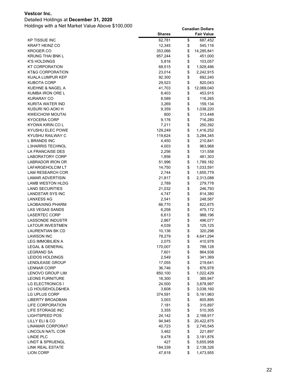### Detailed Holdings at **December 31, 2020**

|                                | <b>Shares</b>   |          | <b>Fair Value</b>    |
|--------------------------------|-----------------|----------|----------------------|
| KP TISSUE INC                  | 62,781          | \$       | 687,452              |
| <b>KRAFT HEINZ CO</b>          | 12,345          | \$       | 545,116              |
| KROGER CO                      | 353,066         | \$       | 14,285,841           |
| KRUNG THAI BNK L               | 957,244         | \$       | 451,000              |
| K'S HOLDINGS                   | 5,816           | \$       | 103,057              |
| KT CORPORATION                 | 68,515          | \$       | 1,928,486            |
| KT&G CORPORATION               | 23,014          | \$       | 2,242,915            |
| KUALA LUMPUR KEP               | 92,300          | \$       | 692,240              |
| KUBOTA CORP                    | 29,523          | \$       | 820,043              |
| KUEHNE & NAGEL A               | 41,703          | \$       | 12,069,040           |
| KUMBA IRON ORE L               | 8,403           | \$       | 453,915              |
| KURARAY CO                     | 8,589           | \$       | 116,265              |
| KURITA WATER IND               | 3,269           | \$       | 159,134              |
| KUSURI NO AOKI H               | 9,359           | \$       | 1,038,220            |
| KWEICHOW MOUTAI                | 800             | \$       | 313,448              |
| KYOCERA CORP                   | 9,176           | \$       | 716,280              |
| KYOWA KIRIN CO L               | 7,211           | \$       | 250,392              |
| KYUSHU ELEC POWE               | 129,249         | \$       | 1,416,252            |
| KYUSHU RAILWAY C               | 119,624         | \$       | 3,284,345            |
| <b>L BRANDS INC</b>            | 4,450           | \$       | 210,841              |
| <b>L3HARRIS TECHNOL</b>        | 4,003           | \$       | 963,968              |
| LA FRANCAISE DES               | 2,256           | \$       | 131,558              |
| LABORATORY CORP                | 1,856           | \$       | 481,303              |
| LABRADOR IRON OR               | 51,996          | \$       | 1,789,182            |
| LAFARGEHOLCIM LT               | 14,750          | \$       | 1,033,591            |
| LAM RESEARCH COR               | 2,744           | \$       | 1,655,779            |
| <b>LAMAR ADVERTISIN</b>        | 21,817          | \$       | 2,313,088            |
| LAMB WESTON HLDG               | 2,789           | \$       | 279,778              |
| <b>LAND SECURITIES</b>         | 21,032          | \$       | 246,793              |
| LANDSTAR SYS INC               | 4,747           | \$       | 814,380              |
| LANXESS AG                     | 2,541           | \$       | 248,587              |
| LAOBAIXING PHARM               | 66,770          | \$       | 822,675              |
| LAS VEGAS SANDS                | 6,258           | \$       | 475,172              |
| <b>LASERTEC CORP</b>           | 6,613           | \$       | 988,196              |
| LASSONDE INDUSTR               | 2,867           | \$       | 496,077              |
| <b>LATOUR INVESTMEN</b>        | 4,039           | \$       | 125,125              |
| LAURENTIAN BK CD<br>LAWSON INC | 10,136          | \$<br>\$ | 320,298<br>4,641,294 |
| LEG IMMOBILIEN A               | 78,279<br>2,075 | \$       | 410,978              |
| LEGAL & GENERAL                | 170,007         | \$       | 788,128              |
| <b>LEGRAND SA</b>              | 7,601           | \$       | 864,938              |
| <b>LEIDOS HOLDINGS</b>         | 2,549           | \$       | 341,369              |
| LENDLEASE GROUP                | 17,055          | \$       | 219,641              |
| <b>LENNAR CORP</b>             | 36,746          | \$       | 876,978              |
| LENOVO GROUP LIM               | 850,100         | \$       | 1,022,429            |
| <b>LEONS FURNITURE</b>         | 18,300          | \$       | 385,947              |
| LG ELECTRONICS I               | 24,500          | \$       | 3,878,997            |
| LG HOUSEHOLD&HEA               | 3,608           | \$       | 3,038,160            |
| LG UPLUS CORP                  | 374,591         | \$       | 5,161,963            |
| LIBERTY BROADBAN               | 3,003           | \$       | 605,895              |
| LIFE CORPORATION               | 7,181           | \$       | 315,897              |
| LIFE STORAGE INC               | 3,355           | \$       | 510,305              |
| <b>LIGHTSPEED POS</b>          | 24,142          | \$       | 2,168,917            |
| LILLY ELI & CO                 | 94,945          | \$       | 20,422,875           |
| <b>LINAMAR CORPORAT</b>        | 40,723          | \$       | 2,745,545            |
| LINCOLN NATL COR               | 3,462           | \$       | 221,897              |
| LINDE PLC                      | 9,478           | \$       | 3,181,876            |
| <b>LINDT &amp; SPRUENGL</b>    | 427             | \$       | 5,655,958            |
| LINK REAL ESTATE               | 184,339         | \$       | 2,138,326            |
| <b>LION CORP</b>               | 47,818          | \$       | 1,473,955            |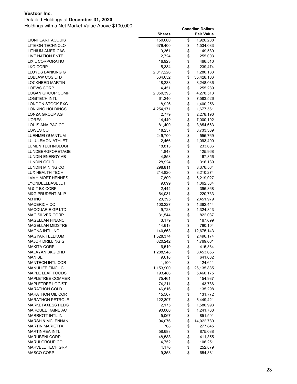### Detailed Holdings at **December 31, 2020**

|                             | <b>Shares</b>  |          | Fair Value         |
|-----------------------------|----------------|----------|--------------------|
| LIONHEART ACQUIS            | 150,000        | \$       | 1,926,288          |
| LITE-ON TECHNOLO            | 679,400        | \$       | 1,534,083          |
| LITHIUM AMERICAS            | 9,361          | \$       | 149,589            |
| LIVE NATION ENTE            | 2,724          | \$       | 255,003            |
| <b>LIXIL CORPORATIO</b>     | 16,923         | \$       | 466,510            |
| LKQ CORP                    | 5,334          | \$       | 239,474            |
| LLOYDS BANKING G            | 2,017,226      | \$       | 1,280,133          |
| LOBLAW COS LTD              | 564,052        | \$       | 35,428,106         |
| <b>LOCKHEED MARTIN</b>      | 18,238         | \$       | 8,248,036          |
| <b>LOEWS CORP</b>           | 4,451          | \$       | 255,289            |
| <b>LOGAN GROUP COMP</b>     | 2,050,393      | \$       | 4,278,513          |
| <b>LOGITECH INTL</b>        | 61,240         | \$       | 7,583,526          |
| LONDON STOCK EXC            | 8,926          | \$       | 1,400,256          |
| LONKING HOLDINGS            | 4,254,171      | \$       | 1,677,561          |
| LONZA GROUP AG              | 2,779          | \$       | 2,278,190          |
| <b>L'OREAL</b>              | 14,449         | \$       | 7,000,192          |
| LOUISIANA PAC CO            | 81,400         | \$       | 3,854,663          |
| LOWES CO                    | 18,257         | \$       | 3,733,369          |
| LUENMEI QUANTUM             | 249,700        | \$       | 555,769            |
| LULULEMON ATHLET            | 2,466          | \$       | 1,093,400          |
| LUMEN TECHNOLOGI            | 18,813         | \$       | 233,686            |
| LUNDBERGFORETAGE            | 1,843          | \$       | 125,968            |
| LUNDIN ENERGY AB            | 4,853          | \$       | 167,356            |
| <b>LUNDIN GOLD</b>          | 28,924         | \$       | 316,139            |
| LUNDIN MINING CO            | 298,811        | \$       | 3,376,564          |
| LUX HEALTH TECH             | 214,820        | \$       | 3,210,274          |
| LVMH MOET HENNES            | 7,809          | \$       | 6,219,027          |
| LYONDELLBASELL I            | 9,099          | \$       | 1,062,534          |
| M & T BK CORP               | 2,444          | \$       | 396,368            |
| <b>M&amp;G PRUDENTIAL P</b> | 64,031         | \$       | 220,733            |
| M3 INC                      | 20,395         | \$       | 2,451,979          |
| MACERICH CO                 | 100,227        | \$       | 1,362,444          |
| MACQUARIE GP LTD            | 9,728          | \$       | 1,324,343          |
| MAG SILVER CORP             | 31,544         | \$       | 822,037            |
| <b>MAGELLAN FINANCI</b>     | 3,179          | \$       | 167,699            |
| <b>MAGELLAN MIDSTRE</b>     | 14,613         | \$       | 790,104            |
| <b>MAGNA INTL INC</b>       | 140,663        | \$       | 12,675,143         |
| <b>MAGYAR TELEKOM</b>       | 1,528,374      | \$       | 2,496,174          |
| <b>MAJOR DRILLING G</b>     | 620,242        | \$       | 4,769,661          |
| MAKITA CORP                 | 6,519          | \$       | 415,884            |
| MALAYAN BKG BHD<br>MAN SE   | 1,288,948      | \$       | 3,453,656          |
| MANTECH INTL COR            | 9,618<br>1,100 | \$<br>\$ | 641,682<br>124,641 |
| MANULIFE FINCL C            | 1,153,900      | \$       | 26,135,835         |
| MAPLE LEAF FOODS            | 193,486        | \$       | 5,460,175          |
| MAPLETREE COMMER            | 75,461         | \$       | 154,937            |
| <b>MAPLETREE LOGIST</b>     | 74,211         | \$       | 143,786            |
| <b>MARATHON GOLD</b>        | 46,816         | \$       | 135,298            |
| <b>MARATHON OIL COR</b>     | 15,507         | \$       | 131,772            |
| <b>MARATHON PETROLE</b>     | 122,397        | \$       | 6,449,421          |
| MARKETAXESS HLDG            | 2,175          | \$       | 1,580,993          |
| MARQUEE RAINE AC            | 90,000         | \$       | 1,241,768          |
| <b>MARRIOTT INTL IN</b>     | 5,067          | \$       | 851,591            |
| <b>MARSH &amp; MCLENNAN</b> | 94,076         | \$       | 14,022,780         |
| <b>MARTIN MARIETTA</b>      | 768            | \$       | 277,845            |
| <b>MARTINREA INTL</b>       | 58,688         | \$       | 875,038            |
| <b>MARUBENI CORP</b>        | 48,588         | \$       | 411,355            |
| <b>MARUI GROUP CO</b>       | 4,752          | \$       | 106,251            |
| <b>MARVELL TECH GRP</b>     | 4,170          | \$       | 252,879            |
| MASCO CORP                  | 9,358          | \$       | 654,881            |
|                             |                |          |                    |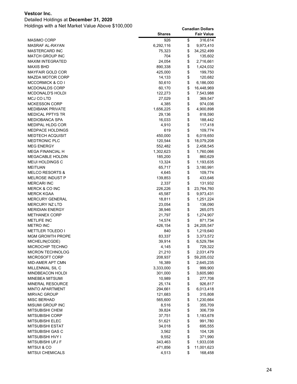### Detailed Holdings at **December 31, 2020**

|                             | <b>Shares</b> | <b>Fair Value</b> |
|-----------------------------|---------------|-------------------|
| <b>MASIMO CORP</b>          | 926           | \$<br>316,614     |
| MASRAF AL-RAYAN             | 6,292,116     | \$<br>9,973,410   |
| MASTERCARD INC              | 75,323        | \$<br>34,252,499  |
| <b>MATCH GROUP INC</b>      | 704           | \$<br>135,602     |
| MAXIM INTEGRATED            | 24,054        | \$<br>2,716,661   |
| MAXIS BHD                   | 890,338       | \$<br>1,424,032   |
| <b>MAYFAIR GOLD COR</b>     | 425,000       | \$<br>199,750     |
| MAZDA MOTOR CORP            | 14,133        | \$<br>120,682     |
| <b>MCCORMICK &amp; CO I</b> | 50,610        | \$<br>6,186,000   |
| MCDONALDS CORP              | 60,170        | \$<br>16,448,969  |
| <b>MCDONALD'S HOLDI</b>     | 122,273       | \$<br>7,543,988   |
| MCJ CO LTD                  | 27,029        | \$<br>369,547     |
| <b>MCKESSON CORP</b>        | 4,385         | \$<br>974,036     |
| MEDIBANK PRIVATE            | 1,656,225     | \$<br>4,900,898   |
| MEDICAL PPTYS TR            | 29,136        | \$<br>818,590     |
| MEDIOBANCA SPA              | 16,033        | \$<br>188,442     |
| MEDIPAL HLDG COR            | 4,910         | \$<br>117,418     |
| MEDPACE HOLDINGS            | 619           | \$<br>109,774     |
| <b>MEDTECH ACQUISIT</b>     | 450,000       | \$<br>6,019,650   |
| MEDTRONIC PLC               | 120,544       | \$<br>18,079,208  |
| <b>MEG ENERGY</b>           | 552,482       | \$<br>2,458,545   |
| MEGA FINANCIAL H            | 1,302,623     | \$<br>1,760,066   |
| MEGACABLE HOLDIN            | 185,200       | \$<br>860,629     |
| MEIJI HOLDINGS C            | 13,324        | \$<br>1,193,635   |
| <b>MEITUAN</b>              | 65,717        | \$<br>3,180,991   |
| <b>MELCO RESORTS &amp;</b>  | 4,645         | \$<br>109,774     |
| MELROSE INDUST P            | 139,853       | \$<br>433,646     |
| <b>MERCARI INC</b>          | 2,337         | \$<br>131,932     |
| <b>MERCK &amp; CO INC</b>   | 226,226       | \$<br>23,764,760  |
| <b>MERCK KGAA</b>           | 45,587        | \$<br>9,973,431   |
| <b>MERCURY GENERAL</b>      | 18,811        | \$<br>1,251,224   |
| <b>MERCURY NZ LTD</b>       | 23,054        | \$<br>138,090     |
| <b>MERIDIAN ENERGY</b>      | 38,946        | \$<br>265,075     |
| <b>METHANEX CORP</b>        | 21,797        | \$<br>1,274,907   |
| <b>METLIFE INC</b>          | 14,574        | \$<br>871,734     |
| METRO INC                   | 426,154       | \$<br>24,205,547  |
| <b>METTLER TOLEDO I</b>     | 840           | \$<br>1,219,640   |
| <b>MGM GROWTH PROPE</b>     | 83,337        | \$<br>3,373,572   |
| MICHELIN(CGDE)              | 39,914        | \$<br>6,529,784   |
| MICROCHIP TECHNO            | 4,145         | \$<br>729,322     |
| MICRON TECHNOLOG            | 21,210        | \$<br>2,031,479   |
| MICROSOFT CORP              | 208,937       | \$<br>59,205,032  |
| MID-AMER APT CMN            | 16,389        | \$<br>2,645,235   |
| MILLENNIAL SIL C            | 3,333,000     | \$<br>999,900     |
| MINDBEACON HOLDI            | 301,000       | \$<br>3,605,980   |
| MINEBEA MITSUMI             | 10,989        | \$<br>277,708     |
| MINERAL RESOURCE            | 25,174        | \$<br>926,817     |
| <b>MINTO APARTMENT</b>      | 294,661       | \$<br>6,013,418   |
| <b>MIRVAC GROUP</b>         | 121,683       | \$<br>315,808     |
| <b>MISC BERHAD</b>          | 565,600       | \$<br>1,230,664   |
| <b>MISUMI GROUP INC</b>     | 8,516         | \$<br>355,709     |
| MITSUBISHI CHEM             | 39,824        | \$<br>306,739     |
| <b>MITSUBISHI CORP</b>      | 37,751        | \$<br>1,183,678   |
| MITSUBISHI ELEC             | 51,621        | \$<br>991,780     |
| <b>MITSUBISHI ESTAT</b>     | 34,018        | \$<br>695,555     |
| MITSUBISHI GAS C            | 3,562         | \$<br>104,126     |
| <b>MITSUBISHI HVY I</b>     | 9,552         | \$<br>371,990     |
| MITSUBISHI UFJ F            | 343,463       | \$<br>1,933,038   |
| <b>MITSUI &amp; CO</b>      | 471,856       | \$<br>11,001,623  |
| MITSUI CHEMICALS            | 4,513         | \$<br>168,458     |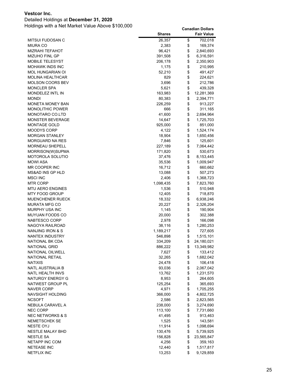### Detailed Holdings at **December 31, 2020**

|                                       | <b>Shares</b>    |          | <b>Fair Value</b>      |
|---------------------------------------|------------------|----------|------------------------|
| MITSUI FUDOSAN C                      | 26,357           | \$       | 702,018                |
| <b>MIURA CO</b>                       | 2,383            | \$       | 169,374                |
| MIZRAHI TEFAHOT                       | 96,421           | \$       | 2,840,693              |
| <b>MIZUHO FINL GP</b>                 | 391,508          | \$       | 6,316,591              |
| MOBILE TELESYST                       | 206,178          | \$       | 2,350,903              |
| MOHAWK INDS INC                       | 1,175            | \$       | 210,995                |
| MOL HUNGARIAN OI                      | 52,210           | \$       | 491,427                |
| MOLINA HEALTHCAR                      | 829              | \$       | 224,621                |
| MOLSON COORS BEV                      | 3,696            | \$       | 212,786                |
| <b>MONCLER SPA</b>                    | 5,621            | \$       | 439,328                |
| <b>MONDELEZ INTL IN</b>               | 163,983          | \$       | 12,281,369             |
| <b>MONDI</b>                          | 80,383           | \$       | 2,394,771              |
| MONETA MONEY BAN                      | 226,259          | \$       | 913,227                |
| <b>MONOLITHIC POWER</b>               | 666              | \$       | 311,165                |
| MONOTARO CO.LTD                       | 41,600           | \$       | 2,694,964              |
| MONSTER BEVERAGE                      | 14,647           | \$       | 1,725,703              |
| MONTAGE GOLD                          | 925,000          | \$       | 851,000                |
| MOODYS CORP                           | 4,122            | \$       | 1,524,174              |
| <b>MORGAN STANLEY</b>                 | 18,904           | \$       | 1,650,456              |
| MORGUARD NA RES                       | 7,846            | \$       | 125,601                |
| <b>MORNEAU SHEPELL</b>                | 227,189          | \$       | 7,064,442              |
| MORRISON(W)SUPMA                      | 171,820          | \$       | 530,673                |
| MOTOROLA SOLUTIO                      | 37,476           | \$       | 8,153,445              |
| MOWI ASA                              | 35,536           | \$       | 1,009,947              |
| MR COOPER INC                         | 16,712           | \$       | 660,662                |
| MS&AD INS GP HLD                      | 13,088           | \$       | 507,273                |
| <b>MSCI INC</b>                       | 2,406            | \$       | 1,368,723              |
| MTR CORP                              | 1,098,435        | \$       | 7,823,760              |
| <b>MTU AERO ENGINES</b>               | 1,536            | \$       | 510,948                |
| MTY FOOD GROUP                        | 12,405           | \$       | 718,870                |
| MUENCHENER RUECK                      | 18,332           | \$       | 6,938,246              |
| MURATA MFG CO                         | 20,227           | \$       | 2,326,204              |
| MURPHY USA INC                        | 1,145            | \$       | 190,904                |
| MUYUAN FOODS CO                       | 20,000           | \$       | 302,388                |
| NABTESCO CORP                         | 2,978            | \$       | 166,098                |
| NAGOYA RAILROAD                       | 38,116           | \$       | 1,280,253              |
| NANJING IRON & S                      | 1,189,217        | \$       | 727,605                |
| NANTEX INDUSTRY                       | 546,898          | \$       | 1,515,101              |
| NATIONAL BK CDA                       | 334,209          | \$       | 24,180,021             |
| <b>NATIONAL GRID</b>                  | 886,222          | \$       | 13,349,982             |
| NATIONAL OILWELL                      | 7,627            | \$       | 133,412                |
| <b>NATIONAL RETAIL</b>                | 32,265           | \$       | 1,682,042              |
| <b>NATIXIS</b>                        | 24,478           | \$       | 106,418                |
| <b>NATL AUSTRALIA B</b>               | 93,036           | \$       | 2,067,042              |
| NATL HEALTH INVS                      | 13,762           | \$       | 1,231,570              |
| NATURGY ENERGY G                      | 8,953            | \$<br>\$ | 264,605                |
| NATWEST GROUP PL<br><b>NAVER CORP</b> | 125,254          | \$       | 365,693                |
|                                       | 4,971            | \$       | 1,705,255              |
| NAVSIGHT HOLDING<br><b>NCSOFT</b>     | 366,000<br>2,586 | \$       | 4,802,725<br>2,823,565 |
| NEBULA CARAVEL A                      | 238,000          | \$       | 3,274,690              |
| <b>NEC CORP</b>                       | 113,100          | \$       | 7,731,660              |
| <b>NEC NETWORKS &amp; S</b>           |                  | \$       | 913,463                |
| <b>NEMETSCHEK SE</b>                  | 41,495<br>1,525  | \$       | 143,581                |
| NESTE OYJ                             | 11,914           | \$       | 1,098,694              |
| <b>NESTLE MALAY BHD</b>               | 130,476          | \$       | 5,739,925              |
| <b>NESTLE SA</b>                      | 156,828          | \$       | 23,565,847             |
| NETAPP INC COM                        | 4,256            | \$       | 359,163                |
| <b>NETEASE INC</b>                    | 12,440           | \$       | 1,517,817              |
| <b>NETFLIX INC</b>                    | 13,253           | \$       | 9,129,859              |
|                                       |                  |          |                        |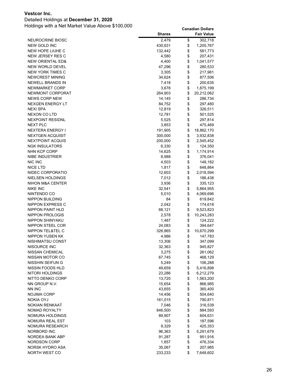### Detailed Holdings at **December 31, 2020**

|                             | <b>Shares</b> | <b>Fair Value</b> |
|-----------------------------|---------------|-------------------|
| NEUROCRINE BIOSC            | 2,479         | \$<br>302,718     |
| NEW GOLD INC                | 430,631       | \$<br>1,205,767   |
| NEW HOPE LIUHE C            | 132,442       | \$<br>581,773     |
| NEW JERSEY RES C            | 4,580         | \$<br>207,431     |
| <b>NEW ORIENTAL ED&amp;</b> | 4,400         | \$<br>1,041,577   |
| NEW WORLD DEVEL             | 47,296        | \$<br>280,533     |
| NEW YORK TIMES C            | 3,305         | \$<br>217,981     |
| <b>NEWCREST MINING</b>      | 34,624        | \$<br>877,506     |
| NEWELL BRANDS IN            | 7,418         | \$<br>200,635     |
| NEWMARKET CORP              | 3,678         | \$<br>1,875,199   |
| NEWMONT CORPORAT            | 264,903       | \$<br>20,212,062  |
| <b>NEWS CORP NEW</b>        | 14,145        | \$<br>286,734     |
| <b>NEXGEN ENERGY LT</b>     | 84,752        | \$<br>297,480     |
| <b>NEXI SPA</b>             | 12,819        | \$<br>326,511     |
| NEXON CO LTD                | 12,781        | \$<br>501,525     |
| <b>NEXPOINT RESIDNL</b>     | 5,525         | \$<br>297,814     |
| <b>NEXT PLC</b>             | 3,853         | \$<br>475,469     |
| <b>NEXTERA ENERGY I</b>     | 191,905       | \$<br>18,862,170  |
| <b>NEXTGEN ACQUISIT</b>     | 300,000       | \$<br>3,932,838   |
| NEXTPOINT ACQUIS            | 200,000       | \$<br>2,545,452   |
| <b>NGK INSULATORS</b>       | 6,330         | \$<br>124,350     |
| NHN KCP CORP                | 14,625        | \$<br>1,174,914   |
| NIBE INDUSTRIER             | 8,988         | \$<br>376,041     |
| NIC INC                     | 4,503         | \$<br>148,182     |
| <b>NICE LTD</b>             | 1,817         | \$<br>648,864     |
| NIDEC CORPORATIO            | 12,603        | \$<br>2,018,594   |
| NIELSEN HOLDINGS            | 7,012         | \$<br>186,438     |
| NIHON M&A CENTER            | 3,936         | \$<br>335,123     |
| <b>NIKE INC</b>             | 32,541        | \$<br>5,864,955   |
| NINTENDO CO                 | 5,010         | \$<br>4,069,696   |
| NIPPON BUILDING             | 84            | \$<br>619,842     |
| NIPPON EXPRESS C            | 2,042         | \$<br>174,618     |
| NIPPON PAINT HLD            | 68,121        | \$<br>9,523,823   |
| NIPPON PROLOGIS             | 2,578         | \$<br>10,243,283  |
| NIPPON SHINYAKU             | 1,487         | \$<br>124,222     |
| NIPPON STEEL COR            | 24,083        | \$<br>394,647     |
| NIPPON TEL&TEL C            | 326,865       | \$<br>10,670,299  |
| NIPPON YUSEN KK             | 4,986         | \$<br>147,783     |
| NISHIMATSU CONST            | 13,306        | \$<br>347,099     |
| NISOURCE INC                | 32,363        | \$<br>945,827     |
| NISSAN CHEMICAL             | 3,275         | \$<br>261,062     |
| NISSAN MOTOR CO             | 67,745        | \$<br>468,129     |
| NISSHIN SEIFUN G            | 5,249         | \$<br>106,288     |
| NISSIN FOODS HLD            | 49,659        | \$<br>5,416,898   |
| <b>NITORI HOLDINGS</b>      | 23,286        | \$<br>6,212,279   |
| NITTO DENKO CORP            | 13,725        | \$<br>1,563,200   |
| NN GROUP N.V.               | 15,654        | \$<br>866,985     |
| NN INC                      | 43,655        | \$<br>365,400     |
| NOJIMA CORP                 | 14,456        | \$<br>504,640     |
| <b>NOKIA OYJ</b>            | 161,015       | \$<br>790,871     |
| NOKIAN RENKAAT              | 7,046         | \$<br>316,539     |
| NOMAD ROYALTY               | 846,500       | \$<br>884,593     |
| NOMURA HOLDINGS             | 89,907        | \$<br>604,631     |
| NOMURA REAL EST             | 103           | \$<br>187,596     |
| NOMURA RESEARCH             | 9,329         | \$<br>425,353     |
| NORBORD INC                 | 96,363        | \$<br>5,291,679   |
| NORDEA BANK ABP             | 91,287        | \$<br>951,916     |
| NORDSON CORP                | 1,857         | \$<br>476,334     |
| NORSK HYDRO ASA             | 35,067        | \$<br>207,985     |
| NORTH WEST CO               | 233,233       | \$<br>7,648,602   |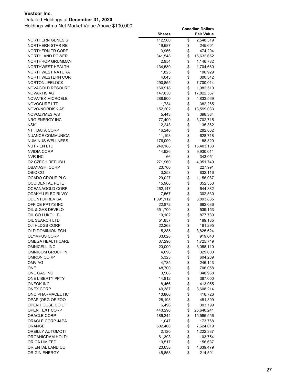### Detailed Holdings at **December 31, 2020**

| <b>NORTHERN GENESIS</b><br>112,500<br>\$<br>2,548,319<br>\$<br>NORTHERN STAR RE<br>19,687<br>245,601<br>\$<br>NORTHERN TR CORP<br>474,294<br>3,966<br>\$<br><b>NORTHLAND POWER</b><br>341,548<br>15,632,652<br>\$<br><b>NORTHROP GRUMMAN</b><br>2,954<br>1,146,782<br>\$<br>NORTHWEST HEALTH<br>134,580<br>1,704,680<br>\$<br>NORTHWEST NATURA<br>1,825<br>106,929<br>\$<br>NORTHWESTERN COR<br>300,342<br>4,043<br>\$<br>NORTONLIFELOCK I<br>7,700,014<br>290,855<br>\$<br><b>NOVAGOLD RESOURC</b><br>160,918<br>1,982,510<br>\$<br>NOVARTIS AG<br>147,830<br>17,822,567<br>\$<br><b>NOVATEK MICROELE</b><br>288,900<br>4,833,569<br>\$<br>NOVOCURE LTD<br>1,734<br>382,265<br>\$<br>NOVO-NORDISK AS<br>13,599,033<br>152,202<br>\$<br>NOVOZYMES A/S<br>5,443<br>398,384<br>\$<br>NRG ENERGY INC<br>77,400<br>3,702,715<br>\$<br><b>NSK</b><br>12,243<br>135,362<br>\$<br>NTT DATA CORP<br>16,246<br>282,862<br>\$<br>NUANCE COMMUNICA<br>11,193<br>628,718<br>\$<br>NUMINUS WELLNESS<br>188,320<br>176,000<br>\$<br>NUTRIEN LTD<br>15,403,133<br>249,188<br>\$<br><b>NVIDIA CORP</b><br>9,930,011<br>14,926<br>\$<br>NVR INC<br>66<br>343,051<br>\$<br><b>O2 CZECH REPUBLI</b><br>4,051,749<br>271,960<br>\$<br><b>OBAYASHI CORP</b><br>20,760<br>227,991<br>\$<br>OBIC CO<br>3,253<br>832,116<br>\$<br>OCADO GROUP PLC<br>29,027<br>1,156,087<br>\$<br><b>OCCIDENTAL PETE</b><br>15,968<br>352,353<br>\$<br>OCEANAGOLD CORP<br>262,147<br>644,882<br>\$<br>ODAKYU ELEC RLWY<br>7,567<br>302,530<br>\$<br>ODONTOPREV SA<br>1,091,112<br>3,893,885<br>\$<br>OFFICE PPTYS INC<br>22,872<br>662,036<br>\$<br>OIL & GAS DEVELO<br>651,700<br>539,153<br>\$<br>OIL CO LUKOIL PJ<br>10,102<br>877,730<br>\$<br>OIL SEARCH LTD<br>51,857<br>189,135<br>\$<br>OJI HLDGS CORP<br>22,268<br>161,295<br>\$<br><b>OLD DOMINION FGH</b><br>3,825,624<br>15,385<br>\$<br><b>OLYMPUS CORP</b><br>33,028<br>919,640<br>\$<br>OMEGA HEALTHCARE<br>1,725,749<br>37,296<br>\$<br>OMNICELL INC<br>20,000<br>3,058,110<br>\$<br>OMNICOM GROUP IN<br>329,000<br>4,096<br>\$<br><b>OMRON CORP</b><br>5,323<br>604,289<br>\$<br>OMV AG<br>4,785<br>246,143<br>\$<br>ONE<br>48,700<br>706,058<br>\$<br>ONE GAS INC<br>3,568<br>348,968<br>\$<br>ONE LIBERTY PPTY<br>14,812<br>387,000<br>\$<br><b>ONEOK INC</b><br>8,466<br>413,955<br>\$<br><b>ONEX CORP</b><br>49,387<br>3,608,214<br>\$<br>ONO PHARMACEUTIC<br>10,866<br>416,726<br>\$<br>OPAP (ORG OF FOO<br>28,198<br>481,309 |                  | <b>Shares</b> | <b>Fair Value</b> |
|-------------------------------------------------------------------------------------------------------------------------------------------------------------------------------------------------------------------------------------------------------------------------------------------------------------------------------------------------------------------------------------------------------------------------------------------------------------------------------------------------------------------------------------------------------------------------------------------------------------------------------------------------------------------------------------------------------------------------------------------------------------------------------------------------------------------------------------------------------------------------------------------------------------------------------------------------------------------------------------------------------------------------------------------------------------------------------------------------------------------------------------------------------------------------------------------------------------------------------------------------------------------------------------------------------------------------------------------------------------------------------------------------------------------------------------------------------------------------------------------------------------------------------------------------------------------------------------------------------------------------------------------------------------------------------------------------------------------------------------------------------------------------------------------------------------------------------------------------------------------------------------------------------------------------------------------------------------------------------------------------------------------------------------------------------------------------------------------------------------------------------------------------------------------------------------------------------------------------------------------------------------------------------------------------------------------------------------------------------------------------------------------------------------------------------------------------------------|------------------|---------------|-------------------|
|                                                                                                                                                                                                                                                                                                                                                                                                                                                                                                                                                                                                                                                                                                                                                                                                                                                                                                                                                                                                                                                                                                                                                                                                                                                                                                                                                                                                                                                                                                                                                                                                                                                                                                                                                                                                                                                                                                                                                                                                                                                                                                                                                                                                                                                                                                                                                                                                                                                             |                  |               |                   |
|                                                                                                                                                                                                                                                                                                                                                                                                                                                                                                                                                                                                                                                                                                                                                                                                                                                                                                                                                                                                                                                                                                                                                                                                                                                                                                                                                                                                                                                                                                                                                                                                                                                                                                                                                                                                                                                                                                                                                                                                                                                                                                                                                                                                                                                                                                                                                                                                                                                             |                  |               |                   |
|                                                                                                                                                                                                                                                                                                                                                                                                                                                                                                                                                                                                                                                                                                                                                                                                                                                                                                                                                                                                                                                                                                                                                                                                                                                                                                                                                                                                                                                                                                                                                                                                                                                                                                                                                                                                                                                                                                                                                                                                                                                                                                                                                                                                                                                                                                                                                                                                                                                             |                  |               |                   |
|                                                                                                                                                                                                                                                                                                                                                                                                                                                                                                                                                                                                                                                                                                                                                                                                                                                                                                                                                                                                                                                                                                                                                                                                                                                                                                                                                                                                                                                                                                                                                                                                                                                                                                                                                                                                                                                                                                                                                                                                                                                                                                                                                                                                                                                                                                                                                                                                                                                             |                  |               |                   |
|                                                                                                                                                                                                                                                                                                                                                                                                                                                                                                                                                                                                                                                                                                                                                                                                                                                                                                                                                                                                                                                                                                                                                                                                                                                                                                                                                                                                                                                                                                                                                                                                                                                                                                                                                                                                                                                                                                                                                                                                                                                                                                                                                                                                                                                                                                                                                                                                                                                             |                  |               |                   |
|                                                                                                                                                                                                                                                                                                                                                                                                                                                                                                                                                                                                                                                                                                                                                                                                                                                                                                                                                                                                                                                                                                                                                                                                                                                                                                                                                                                                                                                                                                                                                                                                                                                                                                                                                                                                                                                                                                                                                                                                                                                                                                                                                                                                                                                                                                                                                                                                                                                             |                  |               |                   |
|                                                                                                                                                                                                                                                                                                                                                                                                                                                                                                                                                                                                                                                                                                                                                                                                                                                                                                                                                                                                                                                                                                                                                                                                                                                                                                                                                                                                                                                                                                                                                                                                                                                                                                                                                                                                                                                                                                                                                                                                                                                                                                                                                                                                                                                                                                                                                                                                                                                             |                  |               |                   |
|                                                                                                                                                                                                                                                                                                                                                                                                                                                                                                                                                                                                                                                                                                                                                                                                                                                                                                                                                                                                                                                                                                                                                                                                                                                                                                                                                                                                                                                                                                                                                                                                                                                                                                                                                                                                                                                                                                                                                                                                                                                                                                                                                                                                                                                                                                                                                                                                                                                             |                  |               |                   |
|                                                                                                                                                                                                                                                                                                                                                                                                                                                                                                                                                                                                                                                                                                                                                                                                                                                                                                                                                                                                                                                                                                                                                                                                                                                                                                                                                                                                                                                                                                                                                                                                                                                                                                                                                                                                                                                                                                                                                                                                                                                                                                                                                                                                                                                                                                                                                                                                                                                             |                  |               |                   |
|                                                                                                                                                                                                                                                                                                                                                                                                                                                                                                                                                                                                                                                                                                                                                                                                                                                                                                                                                                                                                                                                                                                                                                                                                                                                                                                                                                                                                                                                                                                                                                                                                                                                                                                                                                                                                                                                                                                                                                                                                                                                                                                                                                                                                                                                                                                                                                                                                                                             |                  |               |                   |
|                                                                                                                                                                                                                                                                                                                                                                                                                                                                                                                                                                                                                                                                                                                                                                                                                                                                                                                                                                                                                                                                                                                                                                                                                                                                                                                                                                                                                                                                                                                                                                                                                                                                                                                                                                                                                                                                                                                                                                                                                                                                                                                                                                                                                                                                                                                                                                                                                                                             |                  |               |                   |
|                                                                                                                                                                                                                                                                                                                                                                                                                                                                                                                                                                                                                                                                                                                                                                                                                                                                                                                                                                                                                                                                                                                                                                                                                                                                                                                                                                                                                                                                                                                                                                                                                                                                                                                                                                                                                                                                                                                                                                                                                                                                                                                                                                                                                                                                                                                                                                                                                                                             |                  |               |                   |
|                                                                                                                                                                                                                                                                                                                                                                                                                                                                                                                                                                                                                                                                                                                                                                                                                                                                                                                                                                                                                                                                                                                                                                                                                                                                                                                                                                                                                                                                                                                                                                                                                                                                                                                                                                                                                                                                                                                                                                                                                                                                                                                                                                                                                                                                                                                                                                                                                                                             |                  |               |                   |
|                                                                                                                                                                                                                                                                                                                                                                                                                                                                                                                                                                                                                                                                                                                                                                                                                                                                                                                                                                                                                                                                                                                                                                                                                                                                                                                                                                                                                                                                                                                                                                                                                                                                                                                                                                                                                                                                                                                                                                                                                                                                                                                                                                                                                                                                                                                                                                                                                                                             |                  |               |                   |
|                                                                                                                                                                                                                                                                                                                                                                                                                                                                                                                                                                                                                                                                                                                                                                                                                                                                                                                                                                                                                                                                                                                                                                                                                                                                                                                                                                                                                                                                                                                                                                                                                                                                                                                                                                                                                                                                                                                                                                                                                                                                                                                                                                                                                                                                                                                                                                                                                                                             |                  |               |                   |
|                                                                                                                                                                                                                                                                                                                                                                                                                                                                                                                                                                                                                                                                                                                                                                                                                                                                                                                                                                                                                                                                                                                                                                                                                                                                                                                                                                                                                                                                                                                                                                                                                                                                                                                                                                                                                                                                                                                                                                                                                                                                                                                                                                                                                                                                                                                                                                                                                                                             |                  |               |                   |
|                                                                                                                                                                                                                                                                                                                                                                                                                                                                                                                                                                                                                                                                                                                                                                                                                                                                                                                                                                                                                                                                                                                                                                                                                                                                                                                                                                                                                                                                                                                                                                                                                                                                                                                                                                                                                                                                                                                                                                                                                                                                                                                                                                                                                                                                                                                                                                                                                                                             |                  |               |                   |
|                                                                                                                                                                                                                                                                                                                                                                                                                                                                                                                                                                                                                                                                                                                                                                                                                                                                                                                                                                                                                                                                                                                                                                                                                                                                                                                                                                                                                                                                                                                                                                                                                                                                                                                                                                                                                                                                                                                                                                                                                                                                                                                                                                                                                                                                                                                                                                                                                                                             |                  |               |                   |
|                                                                                                                                                                                                                                                                                                                                                                                                                                                                                                                                                                                                                                                                                                                                                                                                                                                                                                                                                                                                                                                                                                                                                                                                                                                                                                                                                                                                                                                                                                                                                                                                                                                                                                                                                                                                                                                                                                                                                                                                                                                                                                                                                                                                                                                                                                                                                                                                                                                             |                  |               |                   |
|                                                                                                                                                                                                                                                                                                                                                                                                                                                                                                                                                                                                                                                                                                                                                                                                                                                                                                                                                                                                                                                                                                                                                                                                                                                                                                                                                                                                                                                                                                                                                                                                                                                                                                                                                                                                                                                                                                                                                                                                                                                                                                                                                                                                                                                                                                                                                                                                                                                             |                  |               |                   |
|                                                                                                                                                                                                                                                                                                                                                                                                                                                                                                                                                                                                                                                                                                                                                                                                                                                                                                                                                                                                                                                                                                                                                                                                                                                                                                                                                                                                                                                                                                                                                                                                                                                                                                                                                                                                                                                                                                                                                                                                                                                                                                                                                                                                                                                                                                                                                                                                                                                             |                  |               |                   |
|                                                                                                                                                                                                                                                                                                                                                                                                                                                                                                                                                                                                                                                                                                                                                                                                                                                                                                                                                                                                                                                                                                                                                                                                                                                                                                                                                                                                                                                                                                                                                                                                                                                                                                                                                                                                                                                                                                                                                                                                                                                                                                                                                                                                                                                                                                                                                                                                                                                             |                  |               |                   |
|                                                                                                                                                                                                                                                                                                                                                                                                                                                                                                                                                                                                                                                                                                                                                                                                                                                                                                                                                                                                                                                                                                                                                                                                                                                                                                                                                                                                                                                                                                                                                                                                                                                                                                                                                                                                                                                                                                                                                                                                                                                                                                                                                                                                                                                                                                                                                                                                                                                             |                  |               |                   |
|                                                                                                                                                                                                                                                                                                                                                                                                                                                                                                                                                                                                                                                                                                                                                                                                                                                                                                                                                                                                                                                                                                                                                                                                                                                                                                                                                                                                                                                                                                                                                                                                                                                                                                                                                                                                                                                                                                                                                                                                                                                                                                                                                                                                                                                                                                                                                                                                                                                             |                  |               |                   |
|                                                                                                                                                                                                                                                                                                                                                                                                                                                                                                                                                                                                                                                                                                                                                                                                                                                                                                                                                                                                                                                                                                                                                                                                                                                                                                                                                                                                                                                                                                                                                                                                                                                                                                                                                                                                                                                                                                                                                                                                                                                                                                                                                                                                                                                                                                                                                                                                                                                             |                  |               |                   |
|                                                                                                                                                                                                                                                                                                                                                                                                                                                                                                                                                                                                                                                                                                                                                                                                                                                                                                                                                                                                                                                                                                                                                                                                                                                                                                                                                                                                                                                                                                                                                                                                                                                                                                                                                                                                                                                                                                                                                                                                                                                                                                                                                                                                                                                                                                                                                                                                                                                             |                  |               |                   |
|                                                                                                                                                                                                                                                                                                                                                                                                                                                                                                                                                                                                                                                                                                                                                                                                                                                                                                                                                                                                                                                                                                                                                                                                                                                                                                                                                                                                                                                                                                                                                                                                                                                                                                                                                                                                                                                                                                                                                                                                                                                                                                                                                                                                                                                                                                                                                                                                                                                             |                  |               |                   |
|                                                                                                                                                                                                                                                                                                                                                                                                                                                                                                                                                                                                                                                                                                                                                                                                                                                                                                                                                                                                                                                                                                                                                                                                                                                                                                                                                                                                                                                                                                                                                                                                                                                                                                                                                                                                                                                                                                                                                                                                                                                                                                                                                                                                                                                                                                                                                                                                                                                             |                  |               |                   |
|                                                                                                                                                                                                                                                                                                                                                                                                                                                                                                                                                                                                                                                                                                                                                                                                                                                                                                                                                                                                                                                                                                                                                                                                                                                                                                                                                                                                                                                                                                                                                                                                                                                                                                                                                                                                                                                                                                                                                                                                                                                                                                                                                                                                                                                                                                                                                                                                                                                             |                  |               |                   |
|                                                                                                                                                                                                                                                                                                                                                                                                                                                                                                                                                                                                                                                                                                                                                                                                                                                                                                                                                                                                                                                                                                                                                                                                                                                                                                                                                                                                                                                                                                                                                                                                                                                                                                                                                                                                                                                                                                                                                                                                                                                                                                                                                                                                                                                                                                                                                                                                                                                             |                  |               |                   |
|                                                                                                                                                                                                                                                                                                                                                                                                                                                                                                                                                                                                                                                                                                                                                                                                                                                                                                                                                                                                                                                                                                                                                                                                                                                                                                                                                                                                                                                                                                                                                                                                                                                                                                                                                                                                                                                                                                                                                                                                                                                                                                                                                                                                                                                                                                                                                                                                                                                             |                  |               |                   |
|                                                                                                                                                                                                                                                                                                                                                                                                                                                                                                                                                                                                                                                                                                                                                                                                                                                                                                                                                                                                                                                                                                                                                                                                                                                                                                                                                                                                                                                                                                                                                                                                                                                                                                                                                                                                                                                                                                                                                                                                                                                                                                                                                                                                                                                                                                                                                                                                                                                             |                  |               |                   |
|                                                                                                                                                                                                                                                                                                                                                                                                                                                                                                                                                                                                                                                                                                                                                                                                                                                                                                                                                                                                                                                                                                                                                                                                                                                                                                                                                                                                                                                                                                                                                                                                                                                                                                                                                                                                                                                                                                                                                                                                                                                                                                                                                                                                                                                                                                                                                                                                                                                             |                  |               |                   |
|                                                                                                                                                                                                                                                                                                                                                                                                                                                                                                                                                                                                                                                                                                                                                                                                                                                                                                                                                                                                                                                                                                                                                                                                                                                                                                                                                                                                                                                                                                                                                                                                                                                                                                                                                                                                                                                                                                                                                                                                                                                                                                                                                                                                                                                                                                                                                                                                                                                             |                  |               |                   |
|                                                                                                                                                                                                                                                                                                                                                                                                                                                                                                                                                                                                                                                                                                                                                                                                                                                                                                                                                                                                                                                                                                                                                                                                                                                                                                                                                                                                                                                                                                                                                                                                                                                                                                                                                                                                                                                                                                                                                                                                                                                                                                                                                                                                                                                                                                                                                                                                                                                             |                  |               |                   |
|                                                                                                                                                                                                                                                                                                                                                                                                                                                                                                                                                                                                                                                                                                                                                                                                                                                                                                                                                                                                                                                                                                                                                                                                                                                                                                                                                                                                                                                                                                                                                                                                                                                                                                                                                                                                                                                                                                                                                                                                                                                                                                                                                                                                                                                                                                                                                                                                                                                             |                  |               |                   |
|                                                                                                                                                                                                                                                                                                                                                                                                                                                                                                                                                                                                                                                                                                                                                                                                                                                                                                                                                                                                                                                                                                                                                                                                                                                                                                                                                                                                                                                                                                                                                                                                                                                                                                                                                                                                                                                                                                                                                                                                                                                                                                                                                                                                                                                                                                                                                                                                                                                             |                  |               |                   |
|                                                                                                                                                                                                                                                                                                                                                                                                                                                                                                                                                                                                                                                                                                                                                                                                                                                                                                                                                                                                                                                                                                                                                                                                                                                                                                                                                                                                                                                                                                                                                                                                                                                                                                                                                                                                                                                                                                                                                                                                                                                                                                                                                                                                                                                                                                                                                                                                                                                             |                  |               |                   |
|                                                                                                                                                                                                                                                                                                                                                                                                                                                                                                                                                                                                                                                                                                                                                                                                                                                                                                                                                                                                                                                                                                                                                                                                                                                                                                                                                                                                                                                                                                                                                                                                                                                                                                                                                                                                                                                                                                                                                                                                                                                                                                                                                                                                                                                                                                                                                                                                                                                             |                  |               |                   |
|                                                                                                                                                                                                                                                                                                                                                                                                                                                                                                                                                                                                                                                                                                                                                                                                                                                                                                                                                                                                                                                                                                                                                                                                                                                                                                                                                                                                                                                                                                                                                                                                                                                                                                                                                                                                                                                                                                                                                                                                                                                                                                                                                                                                                                                                                                                                                                                                                                                             |                  |               |                   |
|                                                                                                                                                                                                                                                                                                                                                                                                                                                                                                                                                                                                                                                                                                                                                                                                                                                                                                                                                                                                                                                                                                                                                                                                                                                                                                                                                                                                                                                                                                                                                                                                                                                                                                                                                                                                                                                                                                                                                                                                                                                                                                                                                                                                                                                                                                                                                                                                                                                             |                  |               |                   |
|                                                                                                                                                                                                                                                                                                                                                                                                                                                                                                                                                                                                                                                                                                                                                                                                                                                                                                                                                                                                                                                                                                                                                                                                                                                                                                                                                                                                                                                                                                                                                                                                                                                                                                                                                                                                                                                                                                                                                                                                                                                                                                                                                                                                                                                                                                                                                                                                                                                             |                  |               |                   |
|                                                                                                                                                                                                                                                                                                                                                                                                                                                                                                                                                                                                                                                                                                                                                                                                                                                                                                                                                                                                                                                                                                                                                                                                                                                                                                                                                                                                                                                                                                                                                                                                                                                                                                                                                                                                                                                                                                                                                                                                                                                                                                                                                                                                                                                                                                                                                                                                                                                             |                  |               |                   |
|                                                                                                                                                                                                                                                                                                                                                                                                                                                                                                                                                                                                                                                                                                                                                                                                                                                                                                                                                                                                                                                                                                                                                                                                                                                                                                                                                                                                                                                                                                                                                                                                                                                                                                                                                                                                                                                                                                                                                                                                                                                                                                                                                                                                                                                                                                                                                                                                                                                             |                  |               |                   |
|                                                                                                                                                                                                                                                                                                                                                                                                                                                                                                                                                                                                                                                                                                                                                                                                                                                                                                                                                                                                                                                                                                                                                                                                                                                                                                                                                                                                                                                                                                                                                                                                                                                                                                                                                                                                                                                                                                                                                                                                                                                                                                                                                                                                                                                                                                                                                                                                                                                             |                  |               |                   |
|                                                                                                                                                                                                                                                                                                                                                                                                                                                                                                                                                                                                                                                                                                                                                                                                                                                                                                                                                                                                                                                                                                                                                                                                                                                                                                                                                                                                                                                                                                                                                                                                                                                                                                                                                                                                                                                                                                                                                                                                                                                                                                                                                                                                                                                                                                                                                                                                                                                             |                  |               |                   |
|                                                                                                                                                                                                                                                                                                                                                                                                                                                                                                                                                                                                                                                                                                                                                                                                                                                                                                                                                                                                                                                                                                                                                                                                                                                                                                                                                                                                                                                                                                                                                                                                                                                                                                                                                                                                                                                                                                                                                                                                                                                                                                                                                                                                                                                                                                                                                                                                                                                             |                  |               |                   |
|                                                                                                                                                                                                                                                                                                                                                                                                                                                                                                                                                                                                                                                                                                                                                                                                                                                                                                                                                                                                                                                                                                                                                                                                                                                                                                                                                                                                                                                                                                                                                                                                                                                                                                                                                                                                                                                                                                                                                                                                                                                                                                                                                                                                                                                                                                                                                                                                                                                             |                  |               |                   |
|                                                                                                                                                                                                                                                                                                                                                                                                                                                                                                                                                                                                                                                                                                                                                                                                                                                                                                                                                                                                                                                                                                                                                                                                                                                                                                                                                                                                                                                                                                                                                                                                                                                                                                                                                                                                                                                                                                                                                                                                                                                                                                                                                                                                                                                                                                                                                                                                                                                             |                  |               |                   |
|                                                                                                                                                                                                                                                                                                                                                                                                                                                                                                                                                                                                                                                                                                                                                                                                                                                                                                                                                                                                                                                                                                                                                                                                                                                                                                                                                                                                                                                                                                                                                                                                                                                                                                                                                                                                                                                                                                                                                                                                                                                                                                                                                                                                                                                                                                                                                                                                                                                             | OPEN HOUSE CO LT | 6,496         | \$<br>303,799     |
| \$<br>443,296<br>OPEN TEXT CORP<br>25,640,241                                                                                                                                                                                                                                                                                                                                                                                                                                                                                                                                                                                                                                                                                                                                                                                                                                                                                                                                                                                                                                                                                                                                                                                                                                                                                                                                                                                                                                                                                                                                                                                                                                                                                                                                                                                                                                                                                                                                                                                                                                                                                                                                                                                                                                                                                                                                                                                                               |                  |               |                   |
| \$<br>ORACLE CORP<br>189,244<br>15,596,556                                                                                                                                                                                                                                                                                                                                                                                                                                                                                                                                                                                                                                                                                                                                                                                                                                                                                                                                                                                                                                                                                                                                                                                                                                                                                                                                                                                                                                                                                                                                                                                                                                                                                                                                                                                                                                                                                                                                                                                                                                                                                                                                                                                                                                                                                                                                                                                                                  |                  |               |                   |
| \$<br>ORACLE CORP JAPA<br>1,047<br>173,768                                                                                                                                                                                                                                                                                                                                                                                                                                                                                                                                                                                                                                                                                                                                                                                                                                                                                                                                                                                                                                                                                                                                                                                                                                                                                                                                                                                                                                                                                                                                                                                                                                                                                                                                                                                                                                                                                                                                                                                                                                                                                                                                                                                                                                                                                                                                                                                                                  |                  |               |                   |
| \$<br>ORANGE<br>7,624,019<br>502,460                                                                                                                                                                                                                                                                                                                                                                                                                                                                                                                                                                                                                                                                                                                                                                                                                                                                                                                                                                                                                                                                                                                                                                                                                                                                                                                                                                                                                                                                                                                                                                                                                                                                                                                                                                                                                                                                                                                                                                                                                                                                                                                                                                                                                                                                                                                                                                                                                        |                  |               |                   |
| \$<br><b>OREILLY AUTOMOTI</b><br>2,120<br>1,222,337                                                                                                                                                                                                                                                                                                                                                                                                                                                                                                                                                                                                                                                                                                                                                                                                                                                                                                                                                                                                                                                                                                                                                                                                                                                                                                                                                                                                                                                                                                                                                                                                                                                                                                                                                                                                                                                                                                                                                                                                                                                                                                                                                                                                                                                                                                                                                                                                         |                  |               |                   |
| \$<br>ORGANIGRAM HOLDI<br>61,393<br>103,754                                                                                                                                                                                                                                                                                                                                                                                                                                                                                                                                                                                                                                                                                                                                                                                                                                                                                                                                                                                                                                                                                                                                                                                                                                                                                                                                                                                                                                                                                                                                                                                                                                                                                                                                                                                                                                                                                                                                                                                                                                                                                                                                                                                                                                                                                                                                                                                                                 |                  |               |                   |
| \$<br>ORICA LIMITED<br>10,517<br>156,637                                                                                                                                                                                                                                                                                                                                                                                                                                                                                                                                                                                                                                                                                                                                                                                                                                                                                                                                                                                                                                                                                                                                                                                                                                                                                                                                                                                                                                                                                                                                                                                                                                                                                                                                                                                                                                                                                                                                                                                                                                                                                                                                                                                                                                                                                                                                                                                                                    |                  |               |                   |
| \$<br>ORIENTAL LAND CO<br>20,638<br>4,339,479                                                                                                                                                                                                                                                                                                                                                                                                                                                                                                                                                                                                                                                                                                                                                                                                                                                                                                                                                                                                                                                                                                                                                                                                                                                                                                                                                                                                                                                                                                                                                                                                                                                                                                                                                                                                                                                                                                                                                                                                                                                                                                                                                                                                                                                                                                                                                                                                               |                  |               |                   |
| \$<br><b>ORIGIN ENERGY</b><br>214,591<br>45,858                                                                                                                                                                                                                                                                                                                                                                                                                                                                                                                                                                                                                                                                                                                                                                                                                                                                                                                                                                                                                                                                                                                                                                                                                                                                                                                                                                                                                                                                                                                                                                                                                                                                                                                                                                                                                                                                                                                                                                                                                                                                                                                                                                                                                                                                                                                                                                                                             |                  |               |                   |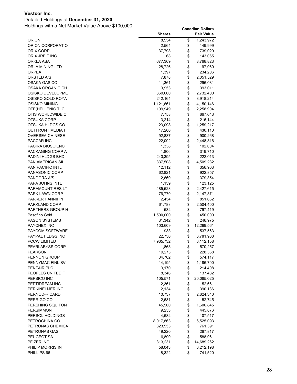### Detailed Holdings at **December 31, 2020**

|                         | <b>Shares</b> | <b>Fair Value</b> |
|-------------------------|---------------|-------------------|
| ORION                   | 8,554         | \$<br>1,243,972   |
| ORION CORPORATIO        | 2,564         | \$<br>149,999     |
| ORIX CORP               | 37,798        | \$<br>739,029     |
| ORIX JREIT INC          | 68            | \$<br>143,065     |
| ORKLA ASA               | 677,369       | \$<br>8,768,823   |
| ORLA MINING LTD         | 28,726        | \$<br>197,060     |
| ORPEA                   | 1,397         | \$<br>234,206     |
| ORSTED A/S              | 7,878         | \$<br>2,051,529   |
| OSAKA GAS CO            | 11,361        | \$<br>296,081     |
| OSAKA ORGANIC CH        | 9,953         | \$<br>393,011     |
| OSISKO DEVELOPME        | 360,000       | \$<br>2,732,400   |
| OSISKO GOLD ROYA        | 242,164       | \$<br>3,918,214   |
| OSISKO MINING           | 1,121,661     | \$<br>4,150,146   |
| OTE(HELLENIC TLC        | 109,949       | \$<br>2,258,904   |
| OTIS WORLDWIDE C        | 7,758         | \$<br>667,643     |
| OTSUKA CORP             | 3,214         | \$<br>216,144     |
| OTSUKA HLDGS CO         | 23,098        | \$<br>1,259,217   |
| OUTFRONT MEDIA I        | 17,260        | \$<br>430,110     |
| OVERSEA-CHINESE         | 92,837        | \$<br>900,268     |
| PACCAR INC              | 22,092        | \$<br>2,448,316   |
| PACIRA BIOSCIENC        | 1,338         | \$<br>102,004     |
| PACKAGING CORP A        | 1,806         | \$<br>319,710     |
| PADINI HLDGS BHD        | 243,395       | \$<br>222,013     |
| <b>PAN AMERICAN SIL</b> | 337,508       | \$<br>4,509,232   |
| <b>PAN PACIFIC INTL</b> | 12,112        | \$<br>356,903     |
| <b>PANASONIC CORP</b>   | 62,821        | \$<br>922,857     |
| PANDORA A/S             | 2,660         | \$<br>379,354     |
| PAPA JOHNS INTL         | 1,139         | \$<br>123,125     |
| PARAMOUNT RES LT        | 485,523       | \$<br>2,427,615   |
| <b>PARK LAWN CORP</b>   | 76,770        | \$<br>2,147,871   |
| PARKER HANNIFIN         | 2,454         | \$<br>851,662     |
| PARKLAND CORP           | 61,788        | \$<br>2,504,400   |
| PARTNERS GROUP H        | 532           | \$<br>797,419     |
| Pasofino Gold           | 1,500,000     | \$<br>450,000     |
| <b>PASON SYSTEMS</b>    | 31,342        | \$<br>246,975     |
| <b>PAYCHEX INC</b>      | 103,609       | \$<br>12,299,561  |
| <b>PAYCOM SOFTWARE</b>  | 933           | \$<br>537,563     |
| PAYPAL HLDGS INC        | 22,730        | \$<br>6,781,968   |
| <b>PCCW LIMITED</b>     | 7,965,732     | \$<br>6,112,158   |
| PEARLABYSS CORP         | 1,868         | \$<br>570,257     |
| <b>PEARSON</b>          | 19,273        | \$<br>228,368     |
| PENNON GROUP            | 34,702        | \$<br>574,117     |
| PENNYMAC FINL SV        | 14,195        | \$<br>1,186,700   |
| PENTAIR PLC             | 3,170         | \$<br>214,408     |
| PEOPLES UNITED F        | 8,346         | \$<br>137,482     |
| PEPSICO INC             | 105,571       | \$<br>20,085,025  |
| PEPTIDREAM INC          | 2,361         | \$<br>152,661     |
| PERKINELMER INC         | 2,134         | \$<br>390,136     |
| PERNOD-RICARD           | 10,737        | \$<br>2,624,340   |
| PERRIGO CO              | 2,681         | \$<br>152,745     |
| PERSHING SQU TON        | 45,500        | \$<br>1,606,845   |
| <b>PERSIMMON</b>        | 9,253         | \$<br>445,876     |
| PERSOL HOLDINGS         | 4,682         | \$<br>107,517     |
| PETROCHINA CO           | 8,017,863     | \$<br>6,525,093   |
| PETRONAS CHEMICA        | 323,553       | \$<br>761,391     |
| PETRONAS GAS            | 49,220        | \$<br>267,817     |
| PEUGEOT SA              | 16,890        | \$<br>588,961     |
| PFIZER INC              | 313,231       | \$<br>14,689,262  |
| PHILIP MORRIS IN        | 58,043        | \$<br>6,212,198   |
| PHILLIPS 66             | 8,322         | \$<br>741,520     |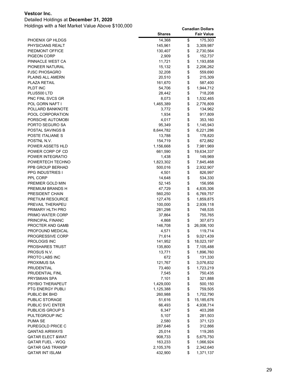### Detailed Holdings at **December 31, 2020**

|                                     | <b>Shares</b>      |          | <b>Fair Value</b>    |
|-------------------------------------|--------------------|----------|----------------------|
| PHOENIX GP HLDGS                    | 14,368             | \$       | 175,303              |
| PHYSICIANS REALT                    | 145,961            | \$       | 3,309,987            |
| PIEDMONT OFFICE                     | 130,407            | \$       | 2,730,564            |
| PIGEON CORP                         | 2,909              | \$       | 152,737              |
| PINNACLE WEST CA                    | 11,721             | \$       | 1,193,858            |
| PIONEER NATURAL                     | 15,132             | \$       | 2,206,262            |
| <b>PJSC PHOSAGRO</b>                | 32,208             | \$       | 559,690              |
| PLAINS ALL AMERN                    | 20,510             | \$       | 215,309              |
| <b>PLAZA RETAIL</b>                 | 161,670            | \$       | 587,400              |
| PLDT INC                            | 54,706             | \$       | 1,944,712            |
| PLUS500 LTD                         | 28,442             | \$       | 718,208              |
| PNC FINL SVCS GR                    | 8,073              | \$       | 1,532,465            |
| POL GORN NAFT I                     | 1,465,389          | \$       | 2,776,809            |
| POLLARD BANKNOTE                    | 3,772              | \$       | 134,962              |
| POOL CORPORATION                    | 1,934              | \$       | 917,809              |
| PORSCHE AUTOMOBI<br>PORTO SEGURO SA | 4,017<br>95,349    | \$<br>\$ | 353,160<br>1,145,943 |
| <b>POSTAL SAVINGS B</b>             | 8,644,782          | \$       | 6,221,286            |
| POSTE ITALIANE S                    | 13,788             | \$       | 178,820              |
| POSTNL N.V.                         | 154,719            | \$       | 672,882              |
| POWER ASSETS HLD                    | 1,156,668          | \$       | 7,981,969            |
| POWER CORP OF CD                    | 661,590            | \$       | 19,634,337           |
| POWER INTEGRATIO                    | 1,438              | \$       | 149,969              |
| POWERTECH TECHNO                    | 1,823,302          | \$       | 7,845,468            |
| PPB GROUP BERHAD                    | 500,016            | \$       | 2,932,907            |
| <b>PPG INDUSTRIES I</b>             | 4,501              | \$       | 826,997              |
| PPL CORP                            | 14,648             | \$       | 534,330              |
| PREMIER GOLD MIN                    | 52,145             | \$       | 156,956              |
| PREMIUM BRANDS H                    | 47,729             | \$       | 4,835,306            |
| PRESIDENT CHAIN                     | 560,250            | \$       | 6,769,757            |
| <b>PRETIUM RESOURCE</b>             | 127,476            | \$       | 1,859,875            |
| PREVAIL THERAPEU                    | 100,000            | \$       | 2,939,118            |
| PRIMARY HLTH PRO                    | 281,298            | \$       | 748,535              |
| PRIMO WATER CORP                    | 37,864             | \$       | 755,765              |
| PRINCIPAL FINANC                    | 4,868              | \$       | 307,673              |
| PROCTER AND GAMB                    | 146,708            | \$       | 26,006,100           |
| PROFOUND MEDICAL                    | 4,571              | \$       | 119,714              |
| <b>PROGRESSIVE CORP</b>             | 71,614             | \$       | 9,021,439            |
| PROLOGIS INC                        | 141,952            | \$       | 18,023,197           |
| PROSHARES TRUST                     | 135,800            | \$       | 7,105,488            |
| PROSUS N.V.                         | 13,771             | \$       | 1,896,760            |
| PROTO LABS INC                      | 672                | \$       | 131,330              |
| <b>PROXIMUS SA</b>                  | 121,767            | \$       | 3,076,832            |
| PRUDENTIAL                          | 73,460             | \$       | 1,723,219            |
| PRUDENTIAL FINL                     | 7,545              | \$       | 750,435              |
| PRYSMIAN SPA<br>PSYBIO THERAPEUT    | 7,101<br>1,429,000 | \$<br>\$ | 321,888<br>500,150   |
| PTG ENERGY PUBLI                    | 1,125,388          | \$       | 759,505              |
| PUBLIC BK BHD                       | 260,988            | \$       | 1,702,790            |
| PUBLIC STORAGE                      | 51,616             | \$       | 15,185,676           |
| PUBLIC SVC ENTER                    | 66,493             | \$       | 4,938,714            |
| PUBLICIS GROUP S                    | 6,347              | \$       | 403,268              |
| PULTEGROUP INC                      | 5,107              | \$       | 281,503              |
| <b>PUMA SE</b>                      | 2,580              | \$       | 371,123              |
| PUREGOLD PRICE C                    | 287,646            | \$       | 312,866              |
| QANTAS AIRWAYS                      | 25,014             | \$       | 119,265              |
| <b>QATAR ELECT &amp;WAT</b>         | 908,733            | \$       | 5,675,750            |
| QATAR FUEL - WOQ                    | 163,233            | \$       | 1,066,924            |
| <b>QATAR GAS TRANSP</b>             | 2,105,376          | \$       | 2,342,640            |
| QATAR INT ISLAM                     | 432,900            | \$       | 1,371,137            |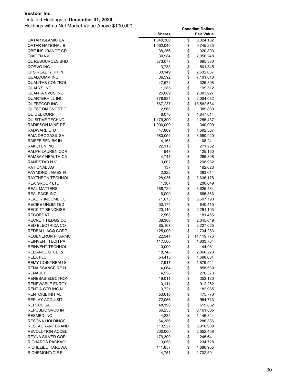### Detailed Holdings at **December 31, 2020**

|                                                    | <b>Shares</b>    |          | <b>Fair Value</b>      |
|----------------------------------------------------|------------------|----------|------------------------|
| <b>QATAR ISLAMIC BA</b>                            | 1,340,300        | \$       | 8,024,182              |
| QATAR NATIONAL B                                   | 1,562,040        | \$       | 9,745,233              |
| QBE INSURANCE GR                                   | 38,256           | \$       | 320,803                |
| QIAGEN NV                                          | 30,984           | \$       | 2,050,248              |
| <b>QL RESOURCES BHD</b>                            | 373,077          | \$       | 685,330                |
| QORVO INC                                          | 3,783            | \$       | 801,345                |
| QTS REALTY TR IN                                   | 33,149           | \$       | 2,632,637              |
| QUALCOMM INC                                       | 36,592           | \$       | 7,101,818              |
| <b>QUALITAS CONTROL</b>                            | 47,574           | \$       | 325,898                |
| QUALYS INC                                         | 1,285            | \$       | 199,512                |
| QUANTA SVCS INC                                    | 25,089           | \$       | 2,303,927              |
| <b>QUARTERHILL INC</b>                             | 778,884          | \$       | 2,004,032              |
| QUEBECOR INC                                       | 567,237          | \$       | 18,582,684             |
| QUEST DIAGNOSTIC                                   | 2,568            | \$       | 389,880                |
| QUIDEL CORP                                        | 8,070            | \$       | 1,847,014              |
| QUISITIVE TECHNO                                   | 1,179,300        | \$       | 1,285,437              |
| RADISSON MINE RE                                   | 1,000,000        | \$       | 340,000                |
| RADWARE LTD                                        | 47,869           | \$       | 1,692,337              |
| RAIA DROGASIL SA                                   | 583,055          | \$       | 3,580,920              |
| <b>RAIFFEISEN BK IN</b>                            | 4,163            | \$       | 108,241                |
| <b>RAKUTEN INC</b>                                 | 22,115           | \$       | 271,252                |
| RALPH LAUREN COR                                   | 947              | \$       | 125,160                |
| RAMSAY HEALTH CA                                   | 4,741            | \$       | 289,808                |
| RANDSTAD N.V.                                      | 3,602            | \$       | 298,932                |
| <b>RATIONAL AG</b>                                 | 137              | \$       | 162,623                |
| RAYMOND JAMES FI                                   | 2,322            | \$       | 283,014                |
| RAYTHEON TECHNOL                                   | 28,936           | \$       | 2,636,178              |
| REA GROUP LTD                                      | 1,367            | \$       | 200,049                |
| <b>REAL MATTERS</b>                                | 188,729          | \$       | 3,625,484              |
| REALPAGE INC                                       | 6,000            | \$       | 666,863                |
| REALTY INCOME CO                                   | 71,673           | \$       | 5,697,798              |
| RECIPE UNLIMITED                                   | 50,174           | \$       | 840,415                |
| <b>RECKITT BENCKISE</b>                            | 20,110           | \$       | 2,291,103              |
| RECORDATI                                          | 2,568            | \$       | 181,456                |
| RECRUIT HLDGS CO                                   | 38,366           | \$       | 2,045,649              |
| RED ELECTRICA CO                                   | 85,167           | \$       | 2,227,025              |
| REDBALL ACQ CORP                                   | 125,000          | \$       | 1,734,233              |
| <b>REGENERON PHARMC</b><br><b>REINVENT TECH PA</b> | 22,941           | \$<br>\$ | 14,119,776             |
|                                                    | 117,500          |          | 1,833,764              |
| REINVENT TECHNOL<br><b>RELIANCE STEEL&amp;</b>     | 10,000<br>18,748 | \$       | 144,981                |
| <b>RELX PLC</b>                                    | 54,415           | \$<br>\$ | 2,860,223<br>1,698,634 |
| <b>REMY COINTREAU S</b>                            | 7,917            | \$       | 1,879,541              |
| <b>RENAISSANCE RE H</b>                            | 4,064            | \$       | 858,539                |
| RENAULT                                            | 4,958            | \$       | 276,373                |
| RENESAS ELECTRON                                   | 19,011           | \$       | 253,120                |
| RENEWABLE ENRGY                                    | 10,111           | \$       | 912,262                |
| RENT A CTR INC N                                   | 3,721            | \$       | 182,985                |
| RENTOKIL INITIAL                                   | 53,610           | \$       | 475,770                |
| REPLAY ACQUISITI                                   | 72,056           | \$       | 954,713                |
| REPSOL SA                                          | 48,198           | \$       | 619,832                |
| <b>REPUBLIC SVCS IN</b>                            | 66,233           | \$       | 8,161,805              |
| <b>RESMED INC</b>                                  | 4,235            | \$       | 1,146,844              |
| <b>RESONA HOLDINGS</b>                             | 64,386           | \$       | 286,336                |
| RESTAURANT BRAND                                   | 113,527          | \$       | 8,910,909              |
| REVOLUTION ACCEL                                   | 200,000          | \$       | 2,652,468              |
| REYNA SILVER COR                                   | 179,300          | \$       | 245,641                |
| RICHARDS PACKAGI                                   | 3,050            | \$       | 234,728                |
| RICHELIEU HARDWA                                   | 141,857          | \$       | 4,686,955              |
| RICHEMONT(CIE FI                                   | 14,751           | \$       | 1,702,501              |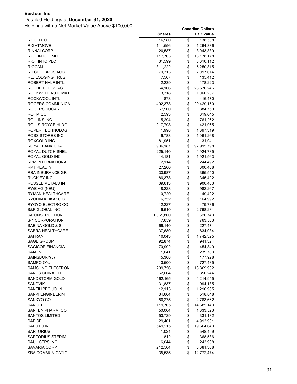### Detailed Holdings at **December 31, 2020**

|                                  | <b>Shares</b>    |          | <b>Fair Value</b>     |
|----------------------------------|------------------|----------|-----------------------|
| RICOH CO                         | 16,580           | \$       | 138,508               |
| RIGHTMOVE                        | 111,556          | \$       | 1,264,336             |
| RINNAI CORP                      | 20,587           | \$       | 3,043,339             |
| RIO TINTO LIMITE                 | 117,763          | \$       | 13,178,178            |
| RIO TINTO PLC                    | 31,599           | \$       | 3,010,112             |
| <b>RIOCAN</b>                    | 311,222          | \$       | 5,250,315             |
| RITCHIE BROS AUC                 | 79,313           | \$       | 7,017,614             |
| RLJ LODGING TRUS                 | 7,507            | \$       | 135,412               |
| ROBERT HALF INTL                 | 2,239            | \$       | 178,223               |
| ROCHE HLDGS AG                   | 64,166           | \$       | 28,576,246            |
| ROCKWELL AUTOMAT                 | 3,318            | \$       | 1,060,207             |
| ROCKWOOL INTL                    | 873              | \$       | 416,470               |
| ROGERS COMMUNICA                 | 492,373          | \$       | 29,429,150            |
| ROGERS SUGAR                     | 67,500           | \$       | 384,750               |
| ROHM CO                          | 2,593            | \$       | 319,645               |
| ROLLINS INC                      | 15,294           | \$       | 761,262               |
| ROLLS ROYCE HLDG                 | 217,798          | \$       | 421,965               |
| ROPER TECHNOLOGI                 | 1,998            | \$       | 1,097,319             |
| ROSS STORES INC                  | 6,783            | \$       | 1,061,268             |
| ROXGOLD INC                      | 81,951           | \$       | 131,941               |
| ROYAL BANK CDA                   | 936,187          | \$       | 97,915,798            |
| ROYAL DUTCH SHEL                 | 225,140          | \$       | 4,924,785             |
| ROYAL GOLD INC                   | 14,181           | \$       | 1,921,563             |
| RPM INTERNATIONA                 | 2,114            | \$       | 244,492               |
| <b>RPT REALTY</b>                | 27,260           | \$       | 300,408               |
| <b>RSA INSURANCE GR</b>          | 30,987           | \$       | 365,550               |
| <b>RUCKIFY INC</b>               | 86,373           | \$       | 345,492               |
| RUSSEL METALS IN                 | 39,613           | \$       | 900,403               |
| RWE AG (NEU)<br>RYMAN HEALTHCARE | 18,228<br>10,729 | \$<br>\$ | 982,267<br>149,492    |
| RYOHIN KEIKAKU C                 | 6,352            | \$       | 164,992               |
| RYOYO ELECTRO CO                 | 12,227           | \$       | 479,786               |
| S&P GLOBAL INC                   | 6,610            | \$       | 2,768,281             |
| S/CONSTRUCTION                   | 1,061,800        | \$       | 626,743               |
| <b>S-1 CORPORATION</b>           | 7,659            | \$       | 763,503               |
| SABINA GOLD & SI                 | 69,140           | \$       | 227,471               |
| SABRA HEALTHCARE                 | 37,689           | \$       | 834,034               |
| SAFRAN                           | 10,043           | \$       | 1,742,325             |
| <b>SAGE GROUP</b>                | 92,874           | \$       | 941,324               |
| SAGICOR FINANCIA                 | 70,992           | \$       | 454,349               |
| SAIA INC                         | 1,041            | \$       | 239,783               |
| SAINSBURY(J)                     | 45,308           | \$       | 177,928               |
| SAMPO OYJ                        | 13,500           | \$       | 727,485               |
| SAMSUNG ELECTRON                 | 209,756          | \$       | 18,369,932            |
| SANDS CHINA LTD                  | 62,604           | \$       | 350,244               |
| SANDSTORM GOLD                   | 462,165          | \$       | 4,214,945             |
| SANDVIK                          | 31,837           | \$       | 994,185               |
| SANFILIPPO JOHN                  | 12,113           | \$       | 1,216,965             |
| SANKI ENGINEERIN                 | 34,664           | \$       | 518,848               |
| SANKYO CO                        | 80,275           | \$       | 2,763,662             |
| SANOFI                           | 119,705          | \$       | 14,685,143            |
| SANTEN PHARM. CO                 | 50,004           | \$       | 1,033,523             |
| <b>SANTOS LIMITED</b>            | 53,729           | \$       | 331,182               |
| SAP SE                           | 29,401           | \$       | 4,913,931             |
| SAPUTO INC<br>SARTORIUS          | 549,215<br>1,024 | \$<br>\$ | 19,664,643<br>548,459 |
| SARTORIUS STEDIM                 | 812              | \$       | 368,586               |
| SAUL CTRS INC                    | 6,044            | \$       | 243,938               |
| SAVARIA CORP                     | 212,504          | \$       | 3,081,308             |
| SBA COMMUNICATIO                 | 35,535           | \$       | 12,772,474            |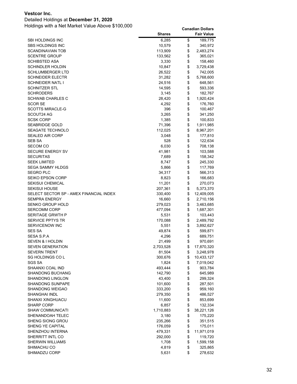### Detailed Holdings at **December 31, 2020**

|                                         | <b>Shares</b>   |          | <b>Fair Value</b>  |
|-----------------------------------------|-----------------|----------|--------------------|
| SBI HOLDINGS INC                        | 6,285           | \$       | 189,775            |
| SBS HOLDINGS INC                        | 10,579          | \$       | 340,972            |
| SCANDINAVIAN TOB                        | 113,909         | \$       | 2,483,274          |
| <b>SCENTRE GROUP</b>                    | 133,562         | \$       | 365,021            |
| SCHIBSTED ASA                           | 3,330           | \$       | 158,460            |
| <b>SCHINDLER HOLDIN</b>                 | 10,847          | \$       | 3,729,438          |
| SCHLUMBERGER LTD                        | 26,522          | \$       | 742,005            |
| SCHNEIDER ELECTR                        | 31,282          | \$       | 5,768,600          |
| <b>SCHNEIDER NATL I</b>                 | 24,516          | \$       | 648,561            |
| SCHNITZER STL                           | 14,595          | \$       | 593,336            |
| <b>SCHRODERS</b>                        | 3,145           | \$       | 182,767            |
| <b>SCHWAB CHARLES C</b>                 | 28,420          | \$       | 1,920,424          |
| <b>SCOR SE</b>                          | 4,292           | \$       | 176,760            |
| <b>SCOTTS MIRACLE-G</b>                 | 396             | \$       | 100,467            |
| SCOUT24 AG                              | 3,265           | \$       | 341,250            |
| SCSK CORP                               | 1,385           | \$       | 100,833            |
| <b>SEABRIDGE GOLD</b>                   | 71,396          | \$       | 1,911,985          |
| <b>SEAGATE TECHNOLO</b>                 | 112,025         | \$       | 8,967,201          |
| <b>SEALED AIR CORP</b>                  | 3,048           | \$       | 177,810            |
| SEB SA                                  | 528             | \$       | 122,634            |
| SECOM CO                                | 6,030           | \$       | 708,138            |
| <b>SECURE ENERGY SV</b>                 | 41,981          | \$       | 103,588            |
| SECURITAS                               | 7,689           | \$       | 158,342            |
| SEEK LIMITED                            | 8,747           | \$       | 245,330            |
| <b>SEGA SAMMY HLDGS</b>                 | 5,866           | \$       | 117,769            |
| <b>SEGRO PLC</b>                        | 34,317          | \$       | 566,313            |
| SEIKO EPSON CORP                        | 8,823           | \$       | 166,683            |
| SEKISUI CHEMICAL                        | 11,201          | \$       | 270,073            |
| <b>SEKISUI HOUSE</b>                    | 207,361         | \$       | 5,373,370          |
| SELECT SECTOR SP - AMEX FINANCIAL INDEX | 330,400         | \$       | 12,409,005         |
| SEMPRA ENERGY                           | 16,660          | \$       | 2,710,156          |
| SENKO GROUP HOLD                        | 279,023         | \$       | 3,463,685          |
| <b>SERCOMM CORP</b>                     | 477,094         | \$       | 1,687,301          |
| SERITAGE GRWTH P                        | 5,531           | \$       | 103,443            |
| <b>SERVICE PPTYS TR</b>                 | 170,088         | \$<br>\$ | 2,489,792          |
| <b>SERVICENOW INC</b><br><b>SES SA</b>  | 5,551<br>49,874 | \$       | 3,892,627          |
| SESA S.P.A                              | 4,296           | \$       | 599,871<br>689,751 |
| SEVEN & I HOLDIN                        | 21,499          | \$       | 970,691            |
| <b>SEVEN GENERATION</b>                 | 2,703,528       | \$       | 17,870,320         |
| <b>SEVERN TRENT</b>                     | 81,504          | \$       | 3,248,978          |
| SG HOLDINGS COL                         | 300,676         | \$       | 10,433,127         |
| <b>SGS SA</b>                           | 1,824           | \$       | 7,019,042          |
| SHAANXI COAL IND                        | 493,444         | \$       | 903,784            |
| <b>SHANDONG BUCHANG</b>                 | 142,790         | \$       | 645,989            |
| SHANDONG LINGLON                        | 43,400          | \$       | 299,324            |
| <b>SHANDONG SUNPAPE</b>                 | 101,600         | \$       | 287,501            |
| SHANDONG WEIGAO                         | 333,200         | \$       | 959,160            |
| SHANGHAI INDL                           | 279,350         | \$       | 486,527            |
| SHANXI XINGHUACU                        | 11,600          | \$       | 853,699            |
| SHARP CORP                              | 6,857           | \$       | 132,334            |
| SHAW COMMUNICATI                        | 1,710,883       | \$       | 38,221,126         |
| SHENANDOAH TELEC                        | 3,180           | \$       | 175,220            |
| SHENG SIONG GROU                        | 235,266         | \$       | 351,515            |
| SHENG YE CAPITAL                        | 176,059         | \$       | 175,011            |
| SHENZHOU INTERNA                        | 479,331         | \$       | 11,971,019         |
| SHERRITT INTL CO                        | 292,000         | \$       | 119,720            |
| SHERWIN WILLIAMS                        | 1,708           | \$       | 1,599,158          |
| SHIMACHU CO                             | 4,819           | \$       | 325,865            |
| SHIMADZU CORP                           | 5,631           | \$       | 278,632            |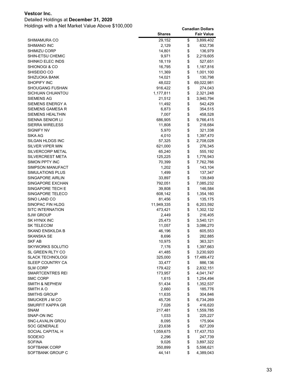### Detailed Holdings at **December 31, 2020**

|                                   | <b>Shares</b>     |          | <b>Fair Value</b>      |
|-----------------------------------|-------------------|----------|------------------------|
| SHIMAMURA CO                      | 29,152            | \$       | 3,899,402              |
| <b>SHIMANO INC</b>                | 2,129             | \$       | 632,736                |
| <b>SHIMIZU CORP</b>               | 14,801            | \$       | 136,979                |
| SHIN-ETSU CHEMIC                  | 9,971             | \$       | 2,219,605              |
| SHINKO ELEC INDS                  | 18,119            | \$       | 527,651                |
| <b>SHIONOGI &amp; CO</b>          | 16,795            | \$       | 1,167,816              |
| SHISEIDO CO                       | 11,369            | \$       | 1,001,100              |
| SHIZUOKA BANK                     | 14,021            | \$       | 130,798                |
| <b>SHOPIFY INC</b>                | 48,022            | \$       | 69,022,981             |
| <b>SHOUGANG FUSHAN</b>            | 916,422           | \$       | 274,043                |
| SICHUAN CHUANTOU                  | 1,177,811         | \$       | 2,321,248              |
| SIEMENS AG                        | 21,512            | \$       | 3,940,794              |
| SIEMENS ENERGY A                  | 11,492            | \$       | 542,429                |
| SIEMENS GAMESA R                  | 6,873             | \$       | 354,515                |
| <b>SIEMENS HEALTHIN</b>           | 7,007             | \$       | 458,528                |
| SIENNA SENIOR LI                  | 686,905           | \$       | 9,766,415              |
| <b>SIERRA WIRELESS</b>            | 11,808            | \$       | 218,684                |
| <b>SIGNIFY NV</b>                 | 5,970             | \$       | 321,338                |
| SIKA AG                           | 4,010             | \$       | 1,397,470              |
| SILGAN HLDGS INC                  | 57,325            | \$       | 2,708,028              |
| <b>SILVER VIPER MIN</b>           | 621,000           | \$       | 276,345                |
| SILVERCORP METAL                  | 65,240            | \$       | 555,192                |
| <b>SILVERCREST META</b>           | 125,225           | \$       | 1,776,943              |
| SIMON PPTY INC                    | 70,399            | \$       | 7,762,766              |
| SIMPSON MANUFACT                  | 1,202             | \$       | 143,104                |
| SIMULATIONS PLUS                  | 1,499             | \$       | 137,347                |
| SINGAPORE AIRLIN                  | 33,897            | \$       | 139,849                |
| SINGAPORE EXCHAN                  | 792,051           | \$       | 7,085,232              |
| SINGAPORE TECH E                  | 39,808            | \$       | 146,584                |
| SINGAPORE TELECO                  | 608,142           | \$       | 1,354,160              |
| SINO LAND CO                      | 81,456            | \$       | 135,175                |
| SINOPAC FIN HLDG                  | 11,949,335        | \$       | 6,203,592              |
| <b>SITC INTERNATION</b>           | 473,421           | \$       | 1,302,132              |
| SJW GROUP                         | 2,449             | \$       | 216,405                |
| SK HYNIX INC                      | 25,473            | \$       | 3,540,121              |
| <b>SK TELECOM</b>                 | 11,057            | \$       | 3,086,270              |
| SKAND ENSKILDA B                  | 46,196            | \$       | 605,553                |
| <b>SKANSKA SE</b>                 | 8,696             | \$       | 282,885                |
| <b>SKF AB</b><br>SKYWORKS SOLUTIO | 10,975            | \$       | 363,321                |
| SL GREEN RLTY CO                  | 7,176             | \$       | 1,397,663<br>3,230,920 |
| <b>SLACK TECHNOLOGI</b>           | 41,485<br>325,000 | \$<br>\$ | 17,489,472             |
| SLEEP COUNTRY CA                  | 33,477            | \$       | 886,136                |
| <b>SLM CORP</b>                   | 179,422           | \$       | 2,832,151              |
| SMARTCENTRES REI                  | 173,957           | \$       | 4,041,747              |
| <b>SMC CORP</b>                   | 1,615             | \$       | 1,254,494              |
| <b>SMITH &amp; NEPHEW</b>         | 51,434            | \$       | 1,352,537              |
| SMITH A O                         | 2,660             | \$       | 185,776                |
| <b>SMITHS GROUP</b>               | 11,635            | \$       | 304,846                |
| SMUCKER J M CO                    | 45,726            | \$       | 6,734,269              |
| SMURFIT KAPPA GR                  | 7,026             | \$       | 416,620                |
| <b>SNAM</b>                       | 217,481           | \$       | 1,559,785              |
| SNAP-ON INC                       | 1,033             | \$       | 225,227                |
| SNC-LAVALIN GROU                  | 8,095             | \$       | 175,904                |
| <b>SOC GENERALE</b>               | 23,638            | \$       | 627,209                |
| SOCIAL CAPITAL H                  | 1,059,675         | \$       | 17,437,753             |
| SODEXO                            | 2,296             | \$       | 247,739                |
| <b>SOFINA</b>                     | 9,026             | \$       | 3,897,322              |
| SOFTBANK CORP                     | 350,899           | \$       | 5,598,621              |
| SOFTBANK GROUP C                  | 44,141            | \$       | 4,389,043              |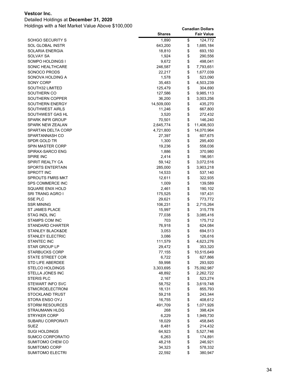### Detailed Holdings at **December 31, 2020**

|                             | <b>Shares</b> | <b>Fair Value</b> |
|-----------------------------|---------------|-------------------|
| SOHGO SECURITY S            | 1,890         | \$<br>124,772     |
| <b>SOL GLOBAL INSTR</b>     | 643,200       | \$<br>1,685,184   |
| SOLARIA ENERGIA             | 18,810        | \$<br>693,150     |
| SOLVAY SA                   | 1,924         | \$<br>290,556     |
| SOMPO HOLDINGS I            | 9,672         | \$<br>498,041     |
| SONIC HEALTHCARE            | 246,587       | \$<br>7,793,651   |
| SONOCO PRODS                | 22,217        | \$<br>1,677,039   |
| SONOVA HOLDING A            | 1,578         | \$<br>523,090     |
| SONY CORP                   | 35,483        | \$<br>4,503,239   |
| SOUTH32 LIMITED             | 125,479       | \$<br>304,690     |
| SOUTHERN CO                 | 127,586       | \$<br>9,985,113   |
| SOUTHERN COPPER             | 36,200        | \$<br>3,003,256   |
| SOUTHERN ENERGY             | 14,509,000    | \$<br>435,270     |
| <b>SOUTHWEST AIRLS</b>      | 11,246        | \$<br>667,800     |
| SOUTHWEST GAS HL            | 3,520         | \$<br>272,432     |
| <b>SPARK INFR GROUP</b>     | 70,501        | \$<br>146,240     |
| <b>SPARK NEW ZEALAN</b>     | 2,645,774     | \$<br>11,406,503  |
| SPARTAN DELTA CORP          | 4,721,800     | \$<br>14,070,964  |
| SPARTANNASH CO              | 27,397        | \$<br>607,675     |
| SPDR GOLD TR                | 1,300         | \$<br>295,400     |
| SPIN MASTER CORP            | 19,236        | \$<br>558,036     |
| SPIRAX-SARCO ENG            | 1,886         | \$<br>370,980     |
| SPIRE INC                   | 2,414         | \$<br>196,951     |
| <b>SPIRIT REALTY CA</b>     | 59,142        | \$<br>3,072,516   |
| <b>SPORTS ENTERTAIN</b>     | 285,000       | \$<br>3,903,218   |
| SPROTT INC                  | 14,533        | \$<br>537,140     |
| <b>SPROUTS FMRS MKT</b>     | 12,611        | \$<br>322,935     |
| <b>SPS COMMERCE INC</b>     | 1,009         | \$<br>139,589     |
| SQUARE ENIX HOLD            | 2,461         | \$<br>190,102     |
| SRI TRANG AGRO I            | 175,525       | \$<br>197,431     |
| <b>SSE PLC</b>              | 29,621        | \$<br>773,772     |
| <b>SSR MINING</b>           | 106,231       | \$<br>2,715,264   |
| ST JAMES PLACE              | 15,997        | \$<br>315,778     |
| <b>STAG INDL INC</b>        | 77,038        | \$<br>3,085,416   |
| <b>STAMPS COM INC</b>       | 703           | \$<br>175,712     |
| <b>STANDARD CHARTER</b>     | 76,918        | \$<br>624,084     |
| <b>STANLEY BLACK&amp;DE</b> | 3,053         | \$<br>694,513     |
| STANLEY ELECTRIC            | 3,086         | \$<br>126,616     |
| <b>STANTEC INC</b>          | 111,579       | \$<br>4,623,276   |
| STAR GROUP LP               | 29,472        | \$<br>353,320     |
| <b>STARBUCKS CORP</b>       | 77,155        | \$<br>10,515,649  |
| <b>STATE STREET COR</b>     | 6,722         | \$<br>627,866     |
| STD LIFE ABERDEE            | 59,998        | \$<br>293,920     |
| <b>STELCO HOLDINGS</b>      | 3,303,695     | \$<br>75,092,987  |
| STELLA JONES INC            | 48,892        | \$<br>2,262,722   |
| <b>STERIS PLC</b>           | 2,167         | \$<br>523,274     |
| STEWART INFO SVC            | 58,752        | \$<br>3,619,748   |
| <b>STMICROELECTRONI</b>     | 18,131        | \$<br>855,793     |
| STOCKLAND TRUST             | 59,218        | \$<br>243,344     |
| STORA ENSO OYJ              | 16,755        | \$<br>408,612     |
| <b>STORM RESOURCES</b>      | 491,709       | \$<br>1,071,926   |
| <b>STRAUMANN HLDG</b>       | 268           | \$<br>398,424     |
| <b>STRYKER CORP</b>         | 6,229         | \$<br>1,949,730   |
| <b>SUBARU CORPORATI</b>     | 18,029        | \$<br>458,845     |
| SUEZ                        | 8,481         | \$<br>214,432     |
| <b>SUGI HOLDINGS</b>        | 64,923        | \$<br>5,527,746   |
| SUMCO CORPORATIO            | 6,263         | \$<br>174,891     |
| SUMITOMO CHEM CO            | 48,218        | \$<br>246,921     |
| <b>SUMITOMO CORP</b>        | 34,323        | \$<br>578,332     |
| <b>SUMITOMO ELECTRI</b>     | 22,592        | \$<br>380,947     |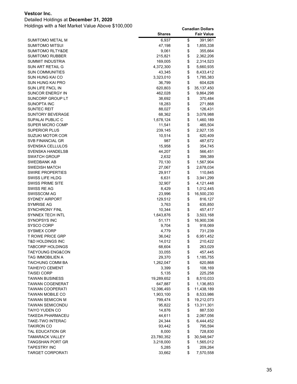### Detailed Holdings at **December 31, 2020**

|                             | <b>Shares</b> | <b>Fair Value</b> |
|-----------------------------|---------------|-------------------|
| SUMITOMO METAL M            | 6,937         | \$<br>391,961     |
| SUMITOMO MITSUI             | 47,198        | \$<br>1,855,338   |
| <b>SUMITOMO RLTY&amp;DE</b> | 9,061         | \$<br>355,664     |
| SUMITOMO RUBBER             | 215,821       | \$<br>2,362,206   |
| SUMMIT INDUSTRIA            | 169,005       | \$<br>2,314,523   |
| SUN ART RETAIL G            | 4,372,300     | \$<br>5,660,935   |
| <b>SUN COMMUNITIES</b>      | 43,345        | \$<br>8,433,412   |
| SUN HUNG KAI CO             | 3,323,010     | \$<br>1,785,383   |
| SUN HUNG KAI PRO            | 36,799        | \$<br>604,628     |
| SUN LIFE FNCL IN            | 620,803       | \$<br>35,137,450  |
| SUNCOR ENERGY IN            | 462,028       | \$<br>9,864,298   |
| SUNCORP GROUP LT            | 38,692        | \$<br>370,484     |
| SUNOPTA INC                 | 18,283        | \$<br>271,868     |
| SUNTEC REIT                 | 88,027        | \$<br>126,431     |
| SUNTORY BEVERAGE            | 68,362        | \$<br>3,078,988   |
| SUPALAI PUBLIC C            | 1,678,124     | \$<br>1,460,189   |
| SUPER MICRO COMP            | 11,541        | \$<br>465,504     |
| SUPERIOR PLUS               | 239,145       | \$<br>2,927,135   |
| SUZUKI MOTOR COR            | 10,514        | \$<br>620,409     |
| SVB FINANCIAL GR            | 987           | \$<br>487,672     |
| SVENSKA CELLULOS            | 15,958        | \$<br>354,745     |
| SVENSKA HANDELSB            | 44,207        | \$<br>566,451     |
| <b>SWATCH GROUP</b>         | 2,632         | \$<br>399,389     |
| SWEDBANK AB                 | 70,130        | \$<br>1,567,904   |
| <b>SWEDISH MATCH</b>        | 27,067        | \$<br>2,678,034   |
| SWIRE PROPERTIES            | 29,917        | \$<br>110,845     |
| SWISS LIFE HLDG             | 6,631         | \$<br>3,941,299   |
| <b>SWISS PRIME SITE</b>     | 32,907        | \$<br>4,121,448   |
| SWISS RE AG                 | 8,429         | \$<br>1,012,445   |
| SWISSCOM AG                 | 23,996        | \$<br>16,500,230  |
| <b>SYDNEY AIRPORT</b>       | 129,512       | \$<br>816,127     |
| SYMRISE AG                  | 3,763         | \$<br>635,850     |
| <b>SYNCHRONY FINL</b>       | 10,344        | \$<br>457,417     |
| SYNNEX TECH INTL            | 1,643,876     | \$<br>3,503,168   |
| SYNOPSYS INC                | 51,171        | \$<br>16,900,336  |
| SYSCO CORP                  | 9,704         | \$<br>918,069     |
| <b>SYSMEX CORP</b>          | 4,779         | \$<br>731,239     |
| <b>T ROWE PRICE GRP</b>     | 36,042        | \$<br>6,951,452   |
| <b>T&amp;D HOLDINGS INC</b> | 14,012        | \$<br>210,422     |
| <b>TABCORP HOLDINGS</b>     | 68,604        | \$<br>263,029     |
| <b>TAEYOUNG ENG&amp;CON</b> | 33,055        | \$<br>457,445     |
| TAG IMMOBILIEN A            | 29,370        | \$<br>1,185,755   |
| TAICHUNG COMM BA            | 1,262,047     | \$<br>620,868     |
| <b>TAIHEIYO CEMENT</b>      | 3,399         | \$<br>108,169     |
| <b>TAISEI CORP</b>          | 5,135         | \$<br>225,258     |
| <b>TAIWAN BUSINESS</b>      | 19,289,652    | \$<br>8,510,033   |
| TAIWAN COGENERAT            | 647,887       | \$<br>1,136,853   |
| <b>TAIWAN COOPERATI</b>     | 12,396,493    | \$<br>11,438,189  |
| <b>TAIWAN MOBILE CO</b>     | 1,903,100     | \$<br>8,533,986   |
| <b>TAIWAN SEMICON M</b>     | 799,474       | \$<br>19,212,073  |
| TAIWAN SEMICONDU            | 95,822        | \$<br>13,311,301  |
| TAIYO YUDEN CO              | 14,876        | \$<br>887,530     |
| TAKEDA PHARMACEU            | 44,611        | \$<br>2,067,056   |
| TAKE-TWO INTERAC            | 24,344        | \$<br>6,444,452   |
| TAKIRON CO                  | 93,442        | \$<br>795,594     |
| TAL EDUCATION GR            | 8,000         | \$<br>728,830     |
| TAMARACK VALLEY             | 23,780,352    | \$<br>30,548,947  |
| TANGSHAN PORT GR            | 3,218,000     | \$<br>1,565,012   |
| TAPESTRY INC                | 5,285         | \$<br>209,264     |
| <b>TARGET CORPORATI</b>     | 33,662        | \$<br>7,570,558   |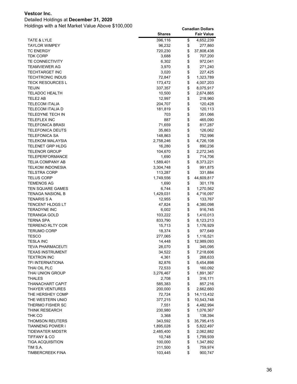### Detailed Holdings at **December 31, 2020**

|                                             | <b>Shares</b>       |          | <b>Fair Value</b>    |
|---------------------------------------------|---------------------|----------|----------------------|
| TATE & LYLE                                 | 396,116             | \$       | 4,652,239            |
| <b>TAYLOR WIMPEY</b>                        | 96,232              | \$       | 277,860              |
| <b>TC ENERGY</b>                            | 720,230             | \$       | 37,808,438           |
| TDK CORP                                    | 3,688               | \$       | 707,200              |
| <b>TE CONNECTIVITY</b>                      | 6,302               | \$       | 972,041              |
| TEAMVIEWER AG                               | 3,970               | \$       | 271,240              |
| <b>TECHTARGET INC</b>                       | 3,020               | \$       | 227,425              |
| <b>TECHTRONIC INDUS</b>                     | 72,847              | \$       | 1,323,789            |
| <b>TECK RESOURCES L</b>                     | 173,472             | \$       | 4,007,203            |
| <b>TEIJIN</b>                               | 337,357             | \$       | 8,075,917            |
| <b>TELADOC HEALTH</b>                       | 10,500              | \$       | 2,674,865            |
| TELE2 AB                                    | 12,997              | \$       | 218,960              |
| TELECOM ITALIA                              | 204,707             | \$       | 120,428              |
| <b>TELECOM ITALIA D</b>                     | 181,819             | \$       | 120,113              |
| TELEDYNE TECH IN                            | 703                 | \$       | 351,066              |
| <b>TELEFLEX INC</b>                         | 887                 | \$       | 465,090              |
| <b>TELEFONICA BRASI</b>                     | 71,659              | \$       | 817,287              |
| <b>TELEFONICA DEUTS</b>                     | 35,863              | \$       | 126,062              |
| <b>TELEFONICA SA</b>                        | 148,863             | \$       | 752,996              |
| <b>TELEKOM MALAYSIA</b>                     | 2,758,246           | \$       | 4,726,108            |
| TELENET GRP HLDG                            | 16,280              | \$       | 890,236              |
| TELENOR GROUP                               | 104,670             | \$       | 2,272,345            |
| TELEPERFORMANCE                             | 1,690               | \$       | 714,706              |
| TELIA COMPANY AB                            | 1,589,401           | \$       | 8,373,221            |
| <b>TELKOM INDONESIA</b>                     | 3,304,748           | \$       | 991,875              |
| TELSTRA CORP                                | 113,287             | \$       | 331,884              |
| <b>TELUS CORP</b>                           | 1,749,556           | \$       | 44,609,817           |
| <b>TEMENOS AG</b>                           | 1,690               | \$       | 301,178              |
| TEN SQUARE GAMES                            | 6,744               | \$       | 1,270,562            |
| TENAGA NASIONL B                            | 1,429,031           | \$       | 4,716,097            |
| TENARIS S A                                 | 12,955              | \$       | 133,767              |
| <b>TENCENT HLDGS LT</b>                     | 47,824              | \$       | 4,380,098            |
| TERADYNE INC                                | 6,002               | \$       | 916,745              |
| <b>TERANGA GOLD</b>                         | 103,222             | \$       | 1,410,013            |
| TERNA SPA                                   | 833,790             | \$       | 8,123,213            |
| TERRENO RLTY COR                            | 15,713              | \$       | 1,176,929            |
| <b>TERUMO CORP</b>                          | 18,374              | \$       | 977,649              |
| <b>TESCO</b>                                | 277,065             | \$       | 1,116,521            |
| <b>TESLA INC</b>                            | 14,448              | \$       | 12,989,093           |
| TEVA PHARMACEUTI<br><b>TEXAS INSTRUMENT</b> | 28,070              | \$       | 345,095              |
|                                             | 34,522              | \$       | 7,218,606            |
| <b>TEXTRON INC</b><br>TFI INTERNATIONA      | 4,361               | \$<br>\$ | 268,633              |
| THAI OIL PLC                                | 82,876              | \$       | 5,454,898            |
| THAI UNION GROUP                            | 72,533<br>3,276,467 | \$       | 160,092              |
| THALES                                      | 2,708               | \$       | 1,891,367<br>316,171 |
| THANACHART CAPIT                            | 585,383             | \$       | 857,216              |
| <b>THAYER VENTURES</b>                      | 200,000             | \$       | 2,662,660            |
| THE HERSHEY COMP                            | 72,724              | \$       | 14,113,432           |
| THE WESTERN UNIO                            | 377,215             | \$       | 10,543,748           |
| THERMO FISHER SC                            | 7,551               | \$       | 4,482,994            |
| THINK RESEARCH                              | 230,980             | \$       | 1,076,367            |
| THK CO                                      | 3,368               | \$       | 138,394              |
| <b>THOMSON REUTERS</b>                      | 343,592             | \$       | 35,795,415           |
| <b>TIANNENG POWER I</b>                     | 1,895,028           | \$       | 5,822,497            |
| TIDEWATER MIDSTR                            | 2,485,400           | \$       | 2,062,882            |
| TIFFANY & CO                                | 10,748              | \$       | 1,799,939            |
| <b>TIGA ACQUISITION</b>                     | 100,000             | \$       | 1,347,892            |
| TIM S.A.                                    | 211,500             | \$       | 759,974              |
| <b>TIMBERCREEK FINA</b>                     | 103,445             | \$       | 900,747              |
|                                             |                     |          |                      |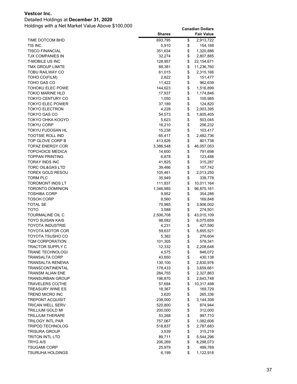### Detailed Holdings at **December 31, 2020**

|                         | <b>Shares</b> | <b>Fair Value</b> |
|-------------------------|---------------|-------------------|
| TIME DOTCOM BHD         | 693,795       | \$<br>2,913,722   |
| TIS INC.                | 5,910         | \$<br>154,168     |
| <b>TISCO FINANCIAL</b>  | 351,634       | \$<br>1,320,886   |
| TJX COMPANIES IN        | 32,274        | \$<br>2,807,885   |
| <b>T-MOBILE US INC</b>  | 128,957       | \$<br>22,154,671  |
| TMX GROUP LIMITE        | 88,381        | \$<br>11,236,760  |
| TOBU RAILWAY CO         | 61,015        | \$<br>2,315,166   |
| TOHO CO(FILM)           | 2,822         | \$<br>151,477     |
| TOHO GAS CO             | 11,422        | \$<br>962,639     |
| TOHOKU ELEC POWE        | 144,623       | \$<br>1,516,899   |
| <b>TOKIO MARINE HLD</b> | 17,937        | \$<br>1,174,846   |
| <b>TOKYO CENTURY CO</b> | 1,050         | \$<br>105,985     |
| TOKYO ELEC POWER        | 37,189        | \$<br>124,820     |
| TOKYO ELECTRON          | 4,228         | \$<br>2,003,395   |
| TOKYO GAS CO            | 54,573        | \$<br>1,605,405   |
| TOKYO OHKA KOGYO        | 5,623         | \$<br>503,045     |
| TOKYU CORP              | 16,210        | \$<br>256,232     |
| TOKYU FUDOSAN HL        | 15,238        | \$<br>103,417     |
| <b>TOOTSIE ROLL IND</b> | 65,417        | \$<br>2,482,736   |
| TOP GLOVE CORP B        | 413,626       | \$<br>801,738     |
| TOPAZ ENERGY COR        | 3,386,548     | \$<br>46,057,053  |
| <b>TOPCHOICE MEDICA</b> | 14,600        | \$<br>791,698     |
| <b>TOPPAN PRINTING</b>  | 6,878         | \$<br>123,488     |
| TORAY INDS INC          | 41,825        | \$<br>315,287     |
| TORC OIL&GAS LTD        | 39,466        | \$<br>107,742     |
| TOREX GOLD RESOU        | 105,461       | \$<br>2,013,250   |
| TORM PLC                | 35,949        | \$<br>338,778     |
| TOROMONT INDS LT        | 111,837       | \$<br>10,011,164  |
| TORONTO DOMINION        | 1,346,985     | \$<br>96,875,161  |
| TOSHIBA CORP            | 9,952         | \$<br>354,288     |
| TOSOH CORP              | 8,560         | \$<br>169,848     |
| TOTAL SE                | 70,985        | \$<br>3,906,002   |
| тото                    | 3,588         | \$<br>274,501     |
| TOURMALINE OIL C        | 2,506,708     | \$<br>43,015,109  |
| TOYO SUISAN KAIS        | 98,082        | \$<br>6,075,659   |
| TOYOTA INDUSTRIE        | 4,231         | \$<br>427,590     |
| TOYOTA MOTOR COR        | 59,637        | \$<br>5,855,521   |
| TOYOTA TSUSHO CO        | 5,382         | \$<br>276,604     |
| <b>TQM CORPORATION</b>  | 101,305       | \$<br>578,341     |
| <b>TRACTOR SUPPLY C</b> | 12,332        | \$<br>2,208,648   |
| TRANE TECHNOLOGI        | 4,575         | \$<br>846,072     |
| TRANSALTA CORP          | 43,850        | \$<br>430,138     |
| TRANSALTA RENEWA        | 130,100       | \$<br>2,830,976   |
| <b>TRANSCONTINENTAL</b> | 178,433       | \$<br>3,659,661   |
| TRANSM ALIAN ENE        | 284,755       | \$<br>2,327,863   |
| <b>TRANSURBAN GROUP</b> | 196,870       | \$<br>2,643,748   |
| <b>TRAVELERS CO(THE</b> | 57,694        | \$<br>10,317,498  |
| <b>TREASURY WINE ES</b> | 18,367        | \$<br>169,729     |
| TREND MICRO INC         | 3,620         | \$<br>265,336     |
| <b>TREPONT ACQUISIT</b> | 238,000       | \$<br>3,144,308   |
| TRICAN WELL SERV        | 520,800       | \$<br>874,944     |
| TRILLIUM GOLD MI        | 200,000       | \$<br>312,000     |
| TRILLIUM THERAPE        | 53,268        | \$<br>997,710     |
| TRILOGY INTL PAR        | 757,067       | \$<br>1,082,606   |
| <b>TRIPOD TECHNOLOG</b> | 518,837       | \$<br>2,787,683   |
| <b>TRISURA GROUP</b>    | 3,539         | \$<br>315,219     |
| <b>TRITON INTL LTD</b>  | 89,711        | \$<br>5,544,296   |
| TRYG A/S                | 206,269       | \$<br>8,298,073   |
| TSUGAMI CORP            | 25,979        | \$<br>499,769     |
| <b>TSURUHA HOLDINGS</b> | 6,199         | \$<br>1,122,918   |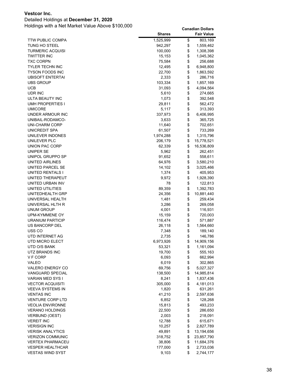### Detailed Holdings at **December 31, 2020**

| <b>TTW PUBLIC COMPA</b><br>1,525,999<br>\$<br>803,169<br>\$<br>TUNG HO STEEL<br>942,297<br>1,559,462<br>\$<br><b>TURMERIC ACQUISI</b><br>100,000<br>1,308,398<br>\$<br><b>TWITTER INC</b><br>1,045,362<br>15,153<br>\$<br><b>TXC CORPN</b><br>75,584<br>256,688<br>\$<br>TYLER TECHN INC<br>12,495<br>6,948,800<br>\$<br>22,700<br>TYSON FOODS INC<br>1,863,592<br>\$<br><b>UBISOFT ENTERTAI</b><br>2,333<br>286,716<br>\$<br>103,334<br>1,857,169<br><b>UBS GROUP</b><br>\$<br><b>UCB</b><br>31,093<br>4,094,564<br>\$<br>UDR INC<br>5,610<br>274,665<br>\$<br>ULTA BEAUTY INC<br>1,073<br>392,548<br>\$<br><b>UMH PROPERTIES I</b><br>29,811<br>562,472<br>\$<br><b>UMICORE</b><br>313,393<br>5,117<br>\$<br>UNDER ARMOUR INC<br>337,973<br>6,406,995<br>\$<br>3,633<br>UNIBAIL-RODAMCO-<br>365,725<br>\$<br>11,640<br>UNI-CHARM CORP<br>702,651<br>\$<br>UNICREDIT SPA<br>61,507<br>733,269<br>\$<br>UNILEVER INDONES<br>1,974,288<br>1,315,796<br>\$<br>UNILEVER PLC<br>15,778,521<br>206,179<br>\$<br>UNION PAC CORP<br>62,339<br>16,536,809<br>\$<br>UNIPER SE<br>5,962<br>262,451<br>\$<br>UNIPOL GRUPPO SP<br>91,652<br>558,611<br>\$<br>UNITED AIRLINES<br>64,976<br>3,580,210<br>\$<br>UNITED PARCEL SE<br>14,102<br>3,025,466<br>\$<br>UNITED RENTALS I<br>1,374<br>405,953<br>\$<br>1,928,390<br>UNITED THERAPEUT<br>9,972<br>\$<br>UNITED URBAN INV<br>78<br>122,813<br>\$<br>UNITED UTILITIES<br>1,392,783<br>89,359<br>\$<br>UNITEDHEALTH GRP<br>24,356<br>10,881,440<br>\$<br>UNIVERSAL HEALTH<br>1,481<br>259,434<br>\$<br>UNIVERSAL HLTH R<br>3,286<br>269,058<br>\$<br>UNUM GROUP<br>4,001<br>116,931<br>\$<br>UPM-KYMMENE OY<br>15,159<br>720,003<br>\$<br><b>URANIUM PARTICIP</b><br>116,474<br>571,887<br>\$<br>US BANCORP DEL<br>26,118<br>1,564,660<br>\$<br>USS <sub>CO</sub><br>7,348<br>189,140<br>\$<br>UTD INTERNET AG<br>2,735<br>146,786<br>\$<br>UTD MICRO ELECT<br>6,973,926<br>14,909,156<br>\$<br>UTD O/S BANK<br>53,321<br>1,161,094<br>\$<br>UTZ BRANDS INC<br>19,700<br>555,163<br>\$<br>V F CORP<br>6,093<br>662,994<br>\$<br>VALEO<br>6,019<br>302,865<br>\$<br>VALERO ENERGY CO<br>69,756<br>5,027,327<br>\$<br>VANGUARD SPECIAL<br>138,500<br>14,985,814<br>\$<br>VARIAN MED SYS I<br>8,241<br>1,837,436<br>\$<br><b>VECTOR ACQUISITI</b><br>305,000<br>4,181,013<br>\$<br><b>VEEVA SYSTEMS IN</b><br>631,261<br>1,820<br>\$<br>41,210<br>2,597,636<br><b>VENTAS INC</b><br>\$<br><b>VENTURE CORP LTD</b><br>6,852<br>128,268<br>\$<br>15,813<br>493,233<br><b>VEOLIA ENVIRONNE</b><br>\$<br><b>VERANO HOLDINGS</b><br>22,500<br>286,650<br>\$<br><b>VERBUND (OEST)</b><br>2,003<br>218,091<br>\$<br><b>VEREIT INC</b><br>12,788<br>615,671<br>\$<br><b>VERISIGN INC</b><br>10,257<br>2,827,789<br>\$<br><b>VERISK ANALYTICS</b><br>49,891<br>13,194,656<br>\$<br><b>VERIZON COMMUNIC</b><br>318,752<br>23,857,790<br>\$<br><b>VERTEX PHARMACEU</b><br>38,806<br>11,684,376<br>\$<br>177,000<br>2,733,036<br><b>VESPER HEALTHCAR</b> |                         | <b>Shares</b> | Fair Value      |
|--------------------------------------------------------------------------------------------------------------------------------------------------------------------------------------------------------------------------------------------------------------------------------------------------------------------------------------------------------------------------------------------------------------------------------------------------------------------------------------------------------------------------------------------------------------------------------------------------------------------------------------------------------------------------------------------------------------------------------------------------------------------------------------------------------------------------------------------------------------------------------------------------------------------------------------------------------------------------------------------------------------------------------------------------------------------------------------------------------------------------------------------------------------------------------------------------------------------------------------------------------------------------------------------------------------------------------------------------------------------------------------------------------------------------------------------------------------------------------------------------------------------------------------------------------------------------------------------------------------------------------------------------------------------------------------------------------------------------------------------------------------------------------------------------------------------------------------------------------------------------------------------------------------------------------------------------------------------------------------------------------------------------------------------------------------------------------------------------------------------------------------------------------------------------------------------------------------------------------------------------------------------------------------------------------------------------------------------------------------------------------------------------------------------------------------------------------------------------------------------------------------------------------------------------------------------------------------------------------------------------------------------------------------------------------------------------------------------------------------------------------------------------------------------------------------------------------------------------------------------------------------------------------------------------------------------------------------------------------|-------------------------|---------------|-----------------|
|                                                                                                                                                                                                                                                                                                                                                                                                                                                                                                                                                                                                                                                                                                                                                                                                                                                                                                                                                                                                                                                                                                                                                                                                                                                                                                                                                                                                                                                                                                                                                                                                                                                                                                                                                                                                                                                                                                                                                                                                                                                                                                                                                                                                                                                                                                                                                                                                                                                                                                                                                                                                                                                                                                                                                                                                                                                                                                                                                                                |                         |               |                 |
|                                                                                                                                                                                                                                                                                                                                                                                                                                                                                                                                                                                                                                                                                                                                                                                                                                                                                                                                                                                                                                                                                                                                                                                                                                                                                                                                                                                                                                                                                                                                                                                                                                                                                                                                                                                                                                                                                                                                                                                                                                                                                                                                                                                                                                                                                                                                                                                                                                                                                                                                                                                                                                                                                                                                                                                                                                                                                                                                                                                |                         |               |                 |
|                                                                                                                                                                                                                                                                                                                                                                                                                                                                                                                                                                                                                                                                                                                                                                                                                                                                                                                                                                                                                                                                                                                                                                                                                                                                                                                                                                                                                                                                                                                                                                                                                                                                                                                                                                                                                                                                                                                                                                                                                                                                                                                                                                                                                                                                                                                                                                                                                                                                                                                                                                                                                                                                                                                                                                                                                                                                                                                                                                                |                         |               |                 |
|                                                                                                                                                                                                                                                                                                                                                                                                                                                                                                                                                                                                                                                                                                                                                                                                                                                                                                                                                                                                                                                                                                                                                                                                                                                                                                                                                                                                                                                                                                                                                                                                                                                                                                                                                                                                                                                                                                                                                                                                                                                                                                                                                                                                                                                                                                                                                                                                                                                                                                                                                                                                                                                                                                                                                                                                                                                                                                                                                                                |                         |               |                 |
|                                                                                                                                                                                                                                                                                                                                                                                                                                                                                                                                                                                                                                                                                                                                                                                                                                                                                                                                                                                                                                                                                                                                                                                                                                                                                                                                                                                                                                                                                                                                                                                                                                                                                                                                                                                                                                                                                                                                                                                                                                                                                                                                                                                                                                                                                                                                                                                                                                                                                                                                                                                                                                                                                                                                                                                                                                                                                                                                                                                |                         |               |                 |
|                                                                                                                                                                                                                                                                                                                                                                                                                                                                                                                                                                                                                                                                                                                                                                                                                                                                                                                                                                                                                                                                                                                                                                                                                                                                                                                                                                                                                                                                                                                                                                                                                                                                                                                                                                                                                                                                                                                                                                                                                                                                                                                                                                                                                                                                                                                                                                                                                                                                                                                                                                                                                                                                                                                                                                                                                                                                                                                                                                                |                         |               |                 |
|                                                                                                                                                                                                                                                                                                                                                                                                                                                                                                                                                                                                                                                                                                                                                                                                                                                                                                                                                                                                                                                                                                                                                                                                                                                                                                                                                                                                                                                                                                                                                                                                                                                                                                                                                                                                                                                                                                                                                                                                                                                                                                                                                                                                                                                                                                                                                                                                                                                                                                                                                                                                                                                                                                                                                                                                                                                                                                                                                                                |                         |               |                 |
|                                                                                                                                                                                                                                                                                                                                                                                                                                                                                                                                                                                                                                                                                                                                                                                                                                                                                                                                                                                                                                                                                                                                                                                                                                                                                                                                                                                                                                                                                                                                                                                                                                                                                                                                                                                                                                                                                                                                                                                                                                                                                                                                                                                                                                                                                                                                                                                                                                                                                                                                                                                                                                                                                                                                                                                                                                                                                                                                                                                |                         |               |                 |
|                                                                                                                                                                                                                                                                                                                                                                                                                                                                                                                                                                                                                                                                                                                                                                                                                                                                                                                                                                                                                                                                                                                                                                                                                                                                                                                                                                                                                                                                                                                                                                                                                                                                                                                                                                                                                                                                                                                                                                                                                                                                                                                                                                                                                                                                                                                                                                                                                                                                                                                                                                                                                                                                                                                                                                                                                                                                                                                                                                                |                         |               |                 |
|                                                                                                                                                                                                                                                                                                                                                                                                                                                                                                                                                                                                                                                                                                                                                                                                                                                                                                                                                                                                                                                                                                                                                                                                                                                                                                                                                                                                                                                                                                                                                                                                                                                                                                                                                                                                                                                                                                                                                                                                                                                                                                                                                                                                                                                                                                                                                                                                                                                                                                                                                                                                                                                                                                                                                                                                                                                                                                                                                                                |                         |               |                 |
|                                                                                                                                                                                                                                                                                                                                                                                                                                                                                                                                                                                                                                                                                                                                                                                                                                                                                                                                                                                                                                                                                                                                                                                                                                                                                                                                                                                                                                                                                                                                                                                                                                                                                                                                                                                                                                                                                                                                                                                                                                                                                                                                                                                                                                                                                                                                                                                                                                                                                                                                                                                                                                                                                                                                                                                                                                                                                                                                                                                |                         |               |                 |
|                                                                                                                                                                                                                                                                                                                                                                                                                                                                                                                                                                                                                                                                                                                                                                                                                                                                                                                                                                                                                                                                                                                                                                                                                                                                                                                                                                                                                                                                                                                                                                                                                                                                                                                                                                                                                                                                                                                                                                                                                                                                                                                                                                                                                                                                                                                                                                                                                                                                                                                                                                                                                                                                                                                                                                                                                                                                                                                                                                                |                         |               |                 |
|                                                                                                                                                                                                                                                                                                                                                                                                                                                                                                                                                                                                                                                                                                                                                                                                                                                                                                                                                                                                                                                                                                                                                                                                                                                                                                                                                                                                                                                                                                                                                                                                                                                                                                                                                                                                                                                                                                                                                                                                                                                                                                                                                                                                                                                                                                                                                                                                                                                                                                                                                                                                                                                                                                                                                                                                                                                                                                                                                                                |                         |               |                 |
|                                                                                                                                                                                                                                                                                                                                                                                                                                                                                                                                                                                                                                                                                                                                                                                                                                                                                                                                                                                                                                                                                                                                                                                                                                                                                                                                                                                                                                                                                                                                                                                                                                                                                                                                                                                                                                                                                                                                                                                                                                                                                                                                                                                                                                                                                                                                                                                                                                                                                                                                                                                                                                                                                                                                                                                                                                                                                                                                                                                |                         |               |                 |
|                                                                                                                                                                                                                                                                                                                                                                                                                                                                                                                                                                                                                                                                                                                                                                                                                                                                                                                                                                                                                                                                                                                                                                                                                                                                                                                                                                                                                                                                                                                                                                                                                                                                                                                                                                                                                                                                                                                                                                                                                                                                                                                                                                                                                                                                                                                                                                                                                                                                                                                                                                                                                                                                                                                                                                                                                                                                                                                                                                                |                         |               |                 |
|                                                                                                                                                                                                                                                                                                                                                                                                                                                                                                                                                                                                                                                                                                                                                                                                                                                                                                                                                                                                                                                                                                                                                                                                                                                                                                                                                                                                                                                                                                                                                                                                                                                                                                                                                                                                                                                                                                                                                                                                                                                                                                                                                                                                                                                                                                                                                                                                                                                                                                                                                                                                                                                                                                                                                                                                                                                                                                                                                                                |                         |               |                 |
|                                                                                                                                                                                                                                                                                                                                                                                                                                                                                                                                                                                                                                                                                                                                                                                                                                                                                                                                                                                                                                                                                                                                                                                                                                                                                                                                                                                                                                                                                                                                                                                                                                                                                                                                                                                                                                                                                                                                                                                                                                                                                                                                                                                                                                                                                                                                                                                                                                                                                                                                                                                                                                                                                                                                                                                                                                                                                                                                                                                |                         |               |                 |
|                                                                                                                                                                                                                                                                                                                                                                                                                                                                                                                                                                                                                                                                                                                                                                                                                                                                                                                                                                                                                                                                                                                                                                                                                                                                                                                                                                                                                                                                                                                                                                                                                                                                                                                                                                                                                                                                                                                                                                                                                                                                                                                                                                                                                                                                                                                                                                                                                                                                                                                                                                                                                                                                                                                                                                                                                                                                                                                                                                                |                         |               |                 |
|                                                                                                                                                                                                                                                                                                                                                                                                                                                                                                                                                                                                                                                                                                                                                                                                                                                                                                                                                                                                                                                                                                                                                                                                                                                                                                                                                                                                                                                                                                                                                                                                                                                                                                                                                                                                                                                                                                                                                                                                                                                                                                                                                                                                                                                                                                                                                                                                                                                                                                                                                                                                                                                                                                                                                                                                                                                                                                                                                                                |                         |               |                 |
|                                                                                                                                                                                                                                                                                                                                                                                                                                                                                                                                                                                                                                                                                                                                                                                                                                                                                                                                                                                                                                                                                                                                                                                                                                                                                                                                                                                                                                                                                                                                                                                                                                                                                                                                                                                                                                                                                                                                                                                                                                                                                                                                                                                                                                                                                                                                                                                                                                                                                                                                                                                                                                                                                                                                                                                                                                                                                                                                                                                |                         |               |                 |
|                                                                                                                                                                                                                                                                                                                                                                                                                                                                                                                                                                                                                                                                                                                                                                                                                                                                                                                                                                                                                                                                                                                                                                                                                                                                                                                                                                                                                                                                                                                                                                                                                                                                                                                                                                                                                                                                                                                                                                                                                                                                                                                                                                                                                                                                                                                                                                                                                                                                                                                                                                                                                                                                                                                                                                                                                                                                                                                                                                                |                         |               |                 |
|                                                                                                                                                                                                                                                                                                                                                                                                                                                                                                                                                                                                                                                                                                                                                                                                                                                                                                                                                                                                                                                                                                                                                                                                                                                                                                                                                                                                                                                                                                                                                                                                                                                                                                                                                                                                                                                                                                                                                                                                                                                                                                                                                                                                                                                                                                                                                                                                                                                                                                                                                                                                                                                                                                                                                                                                                                                                                                                                                                                |                         |               |                 |
|                                                                                                                                                                                                                                                                                                                                                                                                                                                                                                                                                                                                                                                                                                                                                                                                                                                                                                                                                                                                                                                                                                                                                                                                                                                                                                                                                                                                                                                                                                                                                                                                                                                                                                                                                                                                                                                                                                                                                                                                                                                                                                                                                                                                                                                                                                                                                                                                                                                                                                                                                                                                                                                                                                                                                                                                                                                                                                                                                                                |                         |               |                 |
|                                                                                                                                                                                                                                                                                                                                                                                                                                                                                                                                                                                                                                                                                                                                                                                                                                                                                                                                                                                                                                                                                                                                                                                                                                                                                                                                                                                                                                                                                                                                                                                                                                                                                                                                                                                                                                                                                                                                                                                                                                                                                                                                                                                                                                                                                                                                                                                                                                                                                                                                                                                                                                                                                                                                                                                                                                                                                                                                                                                |                         |               |                 |
|                                                                                                                                                                                                                                                                                                                                                                                                                                                                                                                                                                                                                                                                                                                                                                                                                                                                                                                                                                                                                                                                                                                                                                                                                                                                                                                                                                                                                                                                                                                                                                                                                                                                                                                                                                                                                                                                                                                                                                                                                                                                                                                                                                                                                                                                                                                                                                                                                                                                                                                                                                                                                                                                                                                                                                                                                                                                                                                                                                                |                         |               |                 |
|                                                                                                                                                                                                                                                                                                                                                                                                                                                                                                                                                                                                                                                                                                                                                                                                                                                                                                                                                                                                                                                                                                                                                                                                                                                                                                                                                                                                                                                                                                                                                                                                                                                                                                                                                                                                                                                                                                                                                                                                                                                                                                                                                                                                                                                                                                                                                                                                                                                                                                                                                                                                                                                                                                                                                                                                                                                                                                                                                                                |                         |               |                 |
|                                                                                                                                                                                                                                                                                                                                                                                                                                                                                                                                                                                                                                                                                                                                                                                                                                                                                                                                                                                                                                                                                                                                                                                                                                                                                                                                                                                                                                                                                                                                                                                                                                                                                                                                                                                                                                                                                                                                                                                                                                                                                                                                                                                                                                                                                                                                                                                                                                                                                                                                                                                                                                                                                                                                                                                                                                                                                                                                                                                |                         |               |                 |
|                                                                                                                                                                                                                                                                                                                                                                                                                                                                                                                                                                                                                                                                                                                                                                                                                                                                                                                                                                                                                                                                                                                                                                                                                                                                                                                                                                                                                                                                                                                                                                                                                                                                                                                                                                                                                                                                                                                                                                                                                                                                                                                                                                                                                                                                                                                                                                                                                                                                                                                                                                                                                                                                                                                                                                                                                                                                                                                                                                                |                         |               |                 |
|                                                                                                                                                                                                                                                                                                                                                                                                                                                                                                                                                                                                                                                                                                                                                                                                                                                                                                                                                                                                                                                                                                                                                                                                                                                                                                                                                                                                                                                                                                                                                                                                                                                                                                                                                                                                                                                                                                                                                                                                                                                                                                                                                                                                                                                                                                                                                                                                                                                                                                                                                                                                                                                                                                                                                                                                                                                                                                                                                                                |                         |               |                 |
|                                                                                                                                                                                                                                                                                                                                                                                                                                                                                                                                                                                                                                                                                                                                                                                                                                                                                                                                                                                                                                                                                                                                                                                                                                                                                                                                                                                                                                                                                                                                                                                                                                                                                                                                                                                                                                                                                                                                                                                                                                                                                                                                                                                                                                                                                                                                                                                                                                                                                                                                                                                                                                                                                                                                                                                                                                                                                                                                                                                |                         |               |                 |
|                                                                                                                                                                                                                                                                                                                                                                                                                                                                                                                                                                                                                                                                                                                                                                                                                                                                                                                                                                                                                                                                                                                                                                                                                                                                                                                                                                                                                                                                                                                                                                                                                                                                                                                                                                                                                                                                                                                                                                                                                                                                                                                                                                                                                                                                                                                                                                                                                                                                                                                                                                                                                                                                                                                                                                                                                                                                                                                                                                                |                         |               |                 |
|                                                                                                                                                                                                                                                                                                                                                                                                                                                                                                                                                                                                                                                                                                                                                                                                                                                                                                                                                                                                                                                                                                                                                                                                                                                                                                                                                                                                                                                                                                                                                                                                                                                                                                                                                                                                                                                                                                                                                                                                                                                                                                                                                                                                                                                                                                                                                                                                                                                                                                                                                                                                                                                                                                                                                                                                                                                                                                                                                                                |                         |               |                 |
|                                                                                                                                                                                                                                                                                                                                                                                                                                                                                                                                                                                                                                                                                                                                                                                                                                                                                                                                                                                                                                                                                                                                                                                                                                                                                                                                                                                                                                                                                                                                                                                                                                                                                                                                                                                                                                                                                                                                                                                                                                                                                                                                                                                                                                                                                                                                                                                                                                                                                                                                                                                                                                                                                                                                                                                                                                                                                                                                                                                |                         |               |                 |
|                                                                                                                                                                                                                                                                                                                                                                                                                                                                                                                                                                                                                                                                                                                                                                                                                                                                                                                                                                                                                                                                                                                                                                                                                                                                                                                                                                                                                                                                                                                                                                                                                                                                                                                                                                                                                                                                                                                                                                                                                                                                                                                                                                                                                                                                                                                                                                                                                                                                                                                                                                                                                                                                                                                                                                                                                                                                                                                                                                                |                         |               |                 |
|                                                                                                                                                                                                                                                                                                                                                                                                                                                                                                                                                                                                                                                                                                                                                                                                                                                                                                                                                                                                                                                                                                                                                                                                                                                                                                                                                                                                                                                                                                                                                                                                                                                                                                                                                                                                                                                                                                                                                                                                                                                                                                                                                                                                                                                                                                                                                                                                                                                                                                                                                                                                                                                                                                                                                                                                                                                                                                                                                                                |                         |               |                 |
|                                                                                                                                                                                                                                                                                                                                                                                                                                                                                                                                                                                                                                                                                                                                                                                                                                                                                                                                                                                                                                                                                                                                                                                                                                                                                                                                                                                                                                                                                                                                                                                                                                                                                                                                                                                                                                                                                                                                                                                                                                                                                                                                                                                                                                                                                                                                                                                                                                                                                                                                                                                                                                                                                                                                                                                                                                                                                                                                                                                |                         |               |                 |
|                                                                                                                                                                                                                                                                                                                                                                                                                                                                                                                                                                                                                                                                                                                                                                                                                                                                                                                                                                                                                                                                                                                                                                                                                                                                                                                                                                                                                                                                                                                                                                                                                                                                                                                                                                                                                                                                                                                                                                                                                                                                                                                                                                                                                                                                                                                                                                                                                                                                                                                                                                                                                                                                                                                                                                                                                                                                                                                                                                                |                         |               |                 |
|                                                                                                                                                                                                                                                                                                                                                                                                                                                                                                                                                                                                                                                                                                                                                                                                                                                                                                                                                                                                                                                                                                                                                                                                                                                                                                                                                                                                                                                                                                                                                                                                                                                                                                                                                                                                                                                                                                                                                                                                                                                                                                                                                                                                                                                                                                                                                                                                                                                                                                                                                                                                                                                                                                                                                                                                                                                                                                                                                                                |                         |               |                 |
|                                                                                                                                                                                                                                                                                                                                                                                                                                                                                                                                                                                                                                                                                                                                                                                                                                                                                                                                                                                                                                                                                                                                                                                                                                                                                                                                                                                                                                                                                                                                                                                                                                                                                                                                                                                                                                                                                                                                                                                                                                                                                                                                                                                                                                                                                                                                                                                                                                                                                                                                                                                                                                                                                                                                                                                                                                                                                                                                                                                |                         |               |                 |
|                                                                                                                                                                                                                                                                                                                                                                                                                                                                                                                                                                                                                                                                                                                                                                                                                                                                                                                                                                                                                                                                                                                                                                                                                                                                                                                                                                                                                                                                                                                                                                                                                                                                                                                                                                                                                                                                                                                                                                                                                                                                                                                                                                                                                                                                                                                                                                                                                                                                                                                                                                                                                                                                                                                                                                                                                                                                                                                                                                                |                         |               |                 |
|                                                                                                                                                                                                                                                                                                                                                                                                                                                                                                                                                                                                                                                                                                                                                                                                                                                                                                                                                                                                                                                                                                                                                                                                                                                                                                                                                                                                                                                                                                                                                                                                                                                                                                                                                                                                                                                                                                                                                                                                                                                                                                                                                                                                                                                                                                                                                                                                                                                                                                                                                                                                                                                                                                                                                                                                                                                                                                                                                                                |                         |               |                 |
|                                                                                                                                                                                                                                                                                                                                                                                                                                                                                                                                                                                                                                                                                                                                                                                                                                                                                                                                                                                                                                                                                                                                                                                                                                                                                                                                                                                                                                                                                                                                                                                                                                                                                                                                                                                                                                                                                                                                                                                                                                                                                                                                                                                                                                                                                                                                                                                                                                                                                                                                                                                                                                                                                                                                                                                                                                                                                                                                                                                |                         |               |                 |
|                                                                                                                                                                                                                                                                                                                                                                                                                                                                                                                                                                                                                                                                                                                                                                                                                                                                                                                                                                                                                                                                                                                                                                                                                                                                                                                                                                                                                                                                                                                                                                                                                                                                                                                                                                                                                                                                                                                                                                                                                                                                                                                                                                                                                                                                                                                                                                                                                                                                                                                                                                                                                                                                                                                                                                                                                                                                                                                                                                                |                         |               |                 |
|                                                                                                                                                                                                                                                                                                                                                                                                                                                                                                                                                                                                                                                                                                                                                                                                                                                                                                                                                                                                                                                                                                                                                                                                                                                                                                                                                                                                                                                                                                                                                                                                                                                                                                                                                                                                                                                                                                                                                                                                                                                                                                                                                                                                                                                                                                                                                                                                                                                                                                                                                                                                                                                                                                                                                                                                                                                                                                                                                                                |                         |               |                 |
|                                                                                                                                                                                                                                                                                                                                                                                                                                                                                                                                                                                                                                                                                                                                                                                                                                                                                                                                                                                                                                                                                                                                                                                                                                                                                                                                                                                                                                                                                                                                                                                                                                                                                                                                                                                                                                                                                                                                                                                                                                                                                                                                                                                                                                                                                                                                                                                                                                                                                                                                                                                                                                                                                                                                                                                                                                                                                                                                                                                |                         |               |                 |
|                                                                                                                                                                                                                                                                                                                                                                                                                                                                                                                                                                                                                                                                                                                                                                                                                                                                                                                                                                                                                                                                                                                                                                                                                                                                                                                                                                                                                                                                                                                                                                                                                                                                                                                                                                                                                                                                                                                                                                                                                                                                                                                                                                                                                                                                                                                                                                                                                                                                                                                                                                                                                                                                                                                                                                                                                                                                                                                                                                                |                         |               |                 |
|                                                                                                                                                                                                                                                                                                                                                                                                                                                                                                                                                                                                                                                                                                                                                                                                                                                                                                                                                                                                                                                                                                                                                                                                                                                                                                                                                                                                                                                                                                                                                                                                                                                                                                                                                                                                                                                                                                                                                                                                                                                                                                                                                                                                                                                                                                                                                                                                                                                                                                                                                                                                                                                                                                                                                                                                                                                                                                                                                                                |                         |               |                 |
|                                                                                                                                                                                                                                                                                                                                                                                                                                                                                                                                                                                                                                                                                                                                                                                                                                                                                                                                                                                                                                                                                                                                                                                                                                                                                                                                                                                                                                                                                                                                                                                                                                                                                                                                                                                                                                                                                                                                                                                                                                                                                                                                                                                                                                                                                                                                                                                                                                                                                                                                                                                                                                                                                                                                                                                                                                                                                                                                                                                |                         |               |                 |
|                                                                                                                                                                                                                                                                                                                                                                                                                                                                                                                                                                                                                                                                                                                                                                                                                                                                                                                                                                                                                                                                                                                                                                                                                                                                                                                                                                                                                                                                                                                                                                                                                                                                                                                                                                                                                                                                                                                                                                                                                                                                                                                                                                                                                                                                                                                                                                                                                                                                                                                                                                                                                                                                                                                                                                                                                                                                                                                                                                                |                         |               |                 |
|                                                                                                                                                                                                                                                                                                                                                                                                                                                                                                                                                                                                                                                                                                                                                                                                                                                                                                                                                                                                                                                                                                                                                                                                                                                                                                                                                                                                                                                                                                                                                                                                                                                                                                                                                                                                                                                                                                                                                                                                                                                                                                                                                                                                                                                                                                                                                                                                                                                                                                                                                                                                                                                                                                                                                                                                                                                                                                                                                                                |                         |               |                 |
|                                                                                                                                                                                                                                                                                                                                                                                                                                                                                                                                                                                                                                                                                                                                                                                                                                                                                                                                                                                                                                                                                                                                                                                                                                                                                                                                                                                                                                                                                                                                                                                                                                                                                                                                                                                                                                                                                                                                                                                                                                                                                                                                                                                                                                                                                                                                                                                                                                                                                                                                                                                                                                                                                                                                                                                                                                                                                                                                                                                |                         |               |                 |
|                                                                                                                                                                                                                                                                                                                                                                                                                                                                                                                                                                                                                                                                                                                                                                                                                                                                                                                                                                                                                                                                                                                                                                                                                                                                                                                                                                                                                                                                                                                                                                                                                                                                                                                                                                                                                                                                                                                                                                                                                                                                                                                                                                                                                                                                                                                                                                                                                                                                                                                                                                                                                                                                                                                                                                                                                                                                                                                                                                                |                         |               |                 |
|                                                                                                                                                                                                                                                                                                                                                                                                                                                                                                                                                                                                                                                                                                                                                                                                                                                                                                                                                                                                                                                                                                                                                                                                                                                                                                                                                                                                                                                                                                                                                                                                                                                                                                                                                                                                                                                                                                                                                                                                                                                                                                                                                                                                                                                                                                                                                                                                                                                                                                                                                                                                                                                                                                                                                                                                                                                                                                                                                                                |                         |               |                 |
|                                                                                                                                                                                                                                                                                                                                                                                                                                                                                                                                                                                                                                                                                                                                                                                                                                                                                                                                                                                                                                                                                                                                                                                                                                                                                                                                                                                                                                                                                                                                                                                                                                                                                                                                                                                                                                                                                                                                                                                                                                                                                                                                                                                                                                                                                                                                                                                                                                                                                                                                                                                                                                                                                                                                                                                                                                                                                                                                                                                |                         |               |                 |
|                                                                                                                                                                                                                                                                                                                                                                                                                                                                                                                                                                                                                                                                                                                                                                                                                                                                                                                                                                                                                                                                                                                                                                                                                                                                                                                                                                                                                                                                                                                                                                                                                                                                                                                                                                                                                                                                                                                                                                                                                                                                                                                                                                                                                                                                                                                                                                                                                                                                                                                                                                                                                                                                                                                                                                                                                                                                                                                                                                                |                         |               |                 |
|                                                                                                                                                                                                                                                                                                                                                                                                                                                                                                                                                                                                                                                                                                                                                                                                                                                                                                                                                                                                                                                                                                                                                                                                                                                                                                                                                                                                                                                                                                                                                                                                                                                                                                                                                                                                                                                                                                                                                                                                                                                                                                                                                                                                                                                                                                                                                                                                                                                                                                                                                                                                                                                                                                                                                                                                                                                                                                                                                                                |                         |               |                 |
|                                                                                                                                                                                                                                                                                                                                                                                                                                                                                                                                                                                                                                                                                                                                                                                                                                                                                                                                                                                                                                                                                                                                                                                                                                                                                                                                                                                                                                                                                                                                                                                                                                                                                                                                                                                                                                                                                                                                                                                                                                                                                                                                                                                                                                                                                                                                                                                                                                                                                                                                                                                                                                                                                                                                                                                                                                                                                                                                                                                |                         |               |                 |
|                                                                                                                                                                                                                                                                                                                                                                                                                                                                                                                                                                                                                                                                                                                                                                                                                                                                                                                                                                                                                                                                                                                                                                                                                                                                                                                                                                                                                                                                                                                                                                                                                                                                                                                                                                                                                                                                                                                                                                                                                                                                                                                                                                                                                                                                                                                                                                                                                                                                                                                                                                                                                                                                                                                                                                                                                                                                                                                                                                                | <b>VESTAS WIND SYST</b> | 9,103         | \$<br>2,744,177 |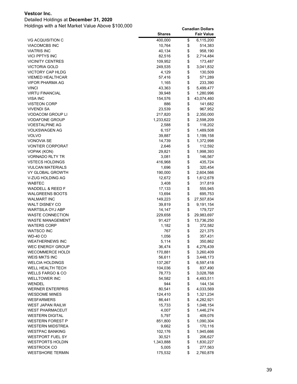### Detailed Holdings at **December 31, 2020**

|                                      | <b>Shares</b>     |          | <b>Fair Value</b>     |
|--------------------------------------|-------------------|----------|-----------------------|
| <b>VG ACQUISITION C</b>              | 400,000           | \$       | 6,115,200             |
| VIACOMCBS INC                        | 10,764            | \$       | 514,383               |
| <b>VIATRIS INC</b>                   | 40,134            | \$       | 958,190               |
| <b>VICI PPTYS INC</b>                | 82,516            | \$       | 2,714,484             |
| <b>VICINITY CENTRES</b>              | 109,952           | \$       | 173,487               |
| VICTORIA GOLD                        | 249,535           | \$       | 3,041,832             |
| <b>VICTORY CAP HLDG</b>              | 4,129             | \$       | 130,509               |
| <b>VIEMED HEALTHCAR</b>              | 57,416            | \$       | 571,289               |
| <b>VIFOR PHARMA AG</b>               | 1,165             | \$       | 233,390               |
| VINCI                                | 43,363            | \$       | 5,499,477             |
| <b>VIRTU FINANCIAL</b>               | 39,948            | \$       | 1,280,996             |
| <b>VISA INC</b>                      | 154,576           | \$       | 43,074,460            |
| VISTEON CORP                         | 886               | \$       | 141,682               |
| <b>VIVENDI SA</b>                    | 23,539            | \$       | 967,952               |
| <b>VODACOM GROUP LI</b>              | 217,820           | \$       | 2,350,000             |
| <b>VODAFONE GROUP</b>                | 1,233,622         | \$       | 2,598,209             |
| <b>VOESTALPINE AG</b>                | 2,588             | \$       | 118,202               |
| VOLKSWAGEN AG                        | 6,157             | \$       | 1,489,508             |
| <b>VOLVO</b>                         | 39,887            | \$       | 1,199,158             |
| <b>VONOVIA SE</b>                    | 14,739            | \$       | 1,372,998             |
| <b>VONTIER CORPORAT</b>              | 2,646             | \$       | 112,592               |
| VOPAK (KON)                          | 29,821            | \$       | 1,998,393             |
| <b>VORNADO RLTY TR</b>               | 3,081             | \$       | 146,567               |
| <b>VSTECS HOLDINGS</b>               | 416,968           | \$       | 435,724               |
| <b>VULCAN MATERIALS</b>              | 1,696             | \$       | 320,454               |
| VY GLOBAL GROWTH                     | 190,000           | \$       | 2,604,566             |
| V-ZUG HOLDING AG                     | 12,672            | \$       | 1,612,678             |
| <b>WABTEC</b>                        | 3,408             | \$       | 317,819               |
| <b>WADDELL &amp; REED F</b>          | 17,133            | \$       | 555,945               |
| <b>WALGREENS BOOTS</b>               | 13,694            | \$       | 695,753               |
| <b>WALMART INC</b>                   | 149,223           | \$       | 27,507,834            |
| <b>WALT DISNEY CO</b>                | 39,819            | \$<br>\$ | 9,191,154             |
| WARTSILA OYJ ABP<br>WASTE CONNECTION | 14,147<br>229,658 | \$       | 179,727<br>29,983,697 |
| WASTE MANAGEMENT                     |                   | \$       |                       |
| <b>WATERS CORP</b>                   | 91,427<br>1,182   | \$       | 13,736,250<br>372,582 |
| <b>WATSCO INC</b>                    | 767               | \$       | 221,375               |
| WD-40 CO                             | 1,056             | \$       | 357,431               |
| <b>WEATHERNEWS INC</b>               | 5,114             | \$       | 350,862               |
| WEC ENERGY GROUP                     | 36,474            | \$       | 4,276,439             |
| <b>WECOMMERCE HOLDI</b>              | 170,881           | \$       | 3,260,409             |
| <b>WEIS MKTS INC</b>                 | 56,611            | \$       | 3,448,173             |
| <b>WELCIA HOLDINGS</b>               | 137,267           | \$       | 6,597,418             |
| WELL HEALTH TECH                     | 104,036           | \$       | 837,490               |
| WELLS FARGO & CO                     | 78,773            | \$       | 3,028,768             |
| <b>WELLTOWER INC</b>                 | 54,582            | \$       | 4,493,511             |
| WENDEL                               | 944               | \$       | 144,134               |
| <b>WERNER ENTERPRIS</b>              | 80,541            | \$       | 4,033,569             |
| WESDOME MINES                        | 124,410           | \$       | 1,321,234             |
| <b>WESFARMERS</b>                    | 86,441            | \$       | 4,282,921             |
| WEST JAPAN RAILW                     | 15,733            | \$       | 1,048,154             |
| WEST PHARMACEUT                      | 4,007             | \$       | 1,446,274             |
| <b>WESTERN DIGITAL</b>               | 5,797             | \$       | 409,076               |
| <b>WESTERN FOREST P</b>              | 851,800           | \$       | 1,090,304             |
| <b>WESTERN MIDSTREA</b>              | 9,662             | \$       | 170,116               |
| WESTPAC BANKING                      | 102,176           | \$       | 1,945,666             |
| WESTPORT FUEL SY                     | 30,521            | \$       | 206,627               |
| <b>WESTPORTS HOLDIN</b>              | 1,343,888         | \$       | 1,830,227             |
| <b>WESTROCK CO</b>                   | 5,005             | \$       | 277,563               |
| <b>WESTSHORE TERMIN</b>              | 175,532           | \$       | 2,760,878             |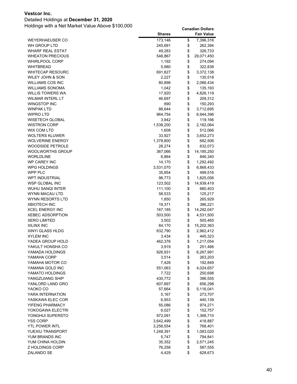### Detailed Holdings at **December 31, 2020**

|                         | <b>Shares</b> | <b>Fair Value</b> |
|-------------------------|---------------|-------------------|
| <b>WEYERHAEUSER CO</b>  | 173,146       | \$<br>7,396,316   |
| WH GROUP LTD            | 245,691       | \$<br>262,394     |
| <b>WHARF REAL ESTAT</b> | 49,283        | \$<br>326,733     |
| <b>WHEATON PRECIOUS</b> | 546,867       | \$<br>29,071,450  |
| WHIRLPOOL CORP          | 1,192         | \$<br>274,094     |
| WHITBREAD               | 5,980         | \$<br>322,838     |
| <b>WHITECAP RESOURC</b> | 691,827       | \$<br>3,372,138   |
| WILEY JOHN & SON        | 2,227         | \$<br>130,518     |
| <b>WILLIAMS COS INC</b> | 80,898        | \$<br>2,066,434   |
| <b>WILLIAMS SONOMA</b>  | 1,042         | \$<br>135,193     |
| <b>WILLIS TOWERS WA</b> | 17,920        | \$<br>4,826,119   |
| <b>WILMAR INTERL LT</b> | 46,697        | \$<br>209,312     |
| WINGSTOP INC            | 890           | \$<br>150,293     |
| WINPAK LTD              | 86,644        | \$<br>3,712,695   |
| WIPRO LTD               | 964,754       | \$<br>6,944,396   |
| WISETECH GLOBAL         | 3,942         | \$<br>119,166     |
| <b>WISTRON CORP</b>     | 1,538,200     | \$<br>2,162,064   |
| WIX COM LTD             | 1,608         | \$<br>512,066     |
| <b>WOLTERS KLUWER</b>   | 33,927        | \$<br>3,652,273   |
| <b>WOLVERINE ENERGY</b> | 1,378,800     | \$<br>682,506     |
| <b>WOODSIDE PETROLE</b> | 28,274        | \$<br>632,073     |
| WOOLWORTHS GROUP        | 367,066       | \$<br>14,185,250  |
| <b>WORLDLINE</b>        | 6,864         | \$<br>846,340     |
| <b>WP CAREY INC</b>     | 14,170        | \$<br>1,292,492   |
| WPG HOLDINGS            | 3,531,070     | \$<br>6,868,433   |
| WPP PLC                 | 35,854        | \$<br>499,516     |
| <b>WPT INDUSTRIAL</b>   | 98,773        | \$<br>1,825,056   |
| WSP GLOBAL INC          | 123,502       | \$<br>14,939,419  |
| WUHU SANQI INTER        | 111,100       | \$<br>680,403     |
| WYNN MACAU LTD          | 58,533        | \$<br>125,217     |
| WYNN RESORTS LTD        | 1,850         | \$<br>265,929     |
| <b>XBIOTECH INC</b>     | 19,371        | \$<br>386,221     |
| <b>XCEL ENERGY INC</b>  | 167,185       | \$<br>14,292,047  |
| <b>XEBEC ADSORPTION</b> | 503,500       | \$<br>4,531,500   |
| <b>XERO LIMITED</b>     | 3,502         | \$<br>505,465     |
| <b>XILINX INC</b>       | 84,170        | \$<br>15,202,363  |
| XINYI GLASS HLDG        | 832,790       | \$<br>2,962,412   |
| <b>XYLEM INC</b>        | 3,434         | \$<br>445,323     |
| YADEA GROUP HOLD        | 462,376       | \$<br>1,217,054   |
| YAKULT HONSHA CO        | 3,919         | \$<br>251,466     |
| YAMADA HOLDINGS         | 926,931       | \$<br>6,267,991   |
| YAMAHA CORP             | 3,514         | \$<br>263,203     |
| YAMAHA MOTOR CO         | 7,428         | \$<br>192,849     |
| YAMANA GOLD INC         | 551,063       | \$<br>4,024,657   |
| YAMATO HOLDINGS         | 7,722         | \$<br>250,698     |
| YANGZIJIANG SHIP        | 430,772       | \$<br>396,555     |
| YANLORD LAND GRO        | 607,897       | \$<br>656,298     |
| YAOKO CO                | 57,664        | \$<br>5,116,041   |
| YARA INTERNATION        | 5,167         | \$<br>273,707     |
| YASKAWA ELEC COR        | 6,953         | \$<br>440,139     |
| YIFENG PHARMACY         | 55,086        | \$<br>974,271     |
| YOKOGAWA ELECTRI        | 6,027         | \$<br>152,757     |
| YONGHUI SUPERSTO        | 972,091       | \$<br>1,368,710   |
| <b>YSS CORP</b>         | 3,642,499     | \$<br>418,887     |
| <b>YTL POWER INTL</b>   | 3,256,554     | \$<br>768,401     |
| YUEXIU TRANSPORT        | 1,248,391     | \$<br>1,083,020   |
| YUM BRANDS INC          | 5,747         | \$<br>794,841     |
| YUM CHINA HOLDIN        | 35,352        | \$<br>2,571,245   |
| Z HOLDINGS CORP         | 76,258        | \$<br>587,555     |
| ZALANDO SE              | 4,429         | \$<br>628,673     |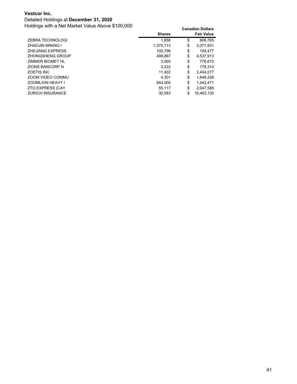### Detailed Holdings at **December 31, 2020**

|                         | <b>Shares</b> | <b>Fair Value</b> |
|-------------------------|---------------|-------------------|
| ZEBRA TECHNOLOGI        | 1.856         | \$<br>908.765     |
| <b>ZHAOJIN MINING I</b> | 1.370.113     | \$<br>2.077.831   |
| <b>ZHEJIANG EXPRESS</b> | 100.796       | \$<br>108.477     |
| ZHONGSHENG GROUP        | 499.887       | \$<br>4.537.913   |
| ZIMMER BIOMET HL        | 3.950         | \$<br>776,672     |
| ZIONS BANCORP N         | 3.222         | \$<br>178.314     |
| <b>ZOETIS INC</b>       | 11,402        | \$<br>2,404,077   |
| ZOOM VIDEO COMMU        | 4.301         | \$<br>1.848.336   |
| <b>ZOOMLION HEAVY I</b> | 944.000       | \$<br>1.442.471   |
| <b>ZTO EXPRESS (CAY</b> | 55.117        | \$<br>2.047.588   |
| <b>ZURICH INSURANCE</b> | 30.583        | \$<br>16.463.130  |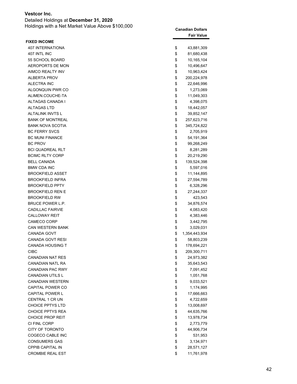Detailed Holdings at **December 31, 2020** Holdings with a Net Market Value Above \$100,000 **Canadian Dollars**

| <b>FIXED INCOME</b><br><b>407 INTERNATIONA</b><br>\$<br>43,881,309<br>\$<br>407 INTL INC<br>81,680,438<br>\$<br>55 SCHOOL BOARD<br>10,165,104<br>\$<br>AEROPORTS DE MON<br>10,496,647<br>\$<br><b>AIMCO REALTY INV</b><br>10,963,424<br>\$<br><b>ALBERTA PROV</b><br>200,224,978<br>\$<br><b>ALECTRA INC</b><br>22,646,996<br>\$<br>ALGONQUIN PWR CO<br>1,273,069<br>\$<br>ALIMEN.COUCHE-TA<br>11,049,303<br>\$<br>ALTAGAS CANADA I<br>4,398,075<br>\$<br><b>ALTAGAS LTD</b><br>18,442,057<br>\$<br>ALTALINK INVTS L<br>39,852,147<br>\$<br><b>BANK OF MONTREAL</b><br>257,623,716<br>\$<br><b>BANK NOVA SCOTIA</b><br>345,724,822<br>\$<br><b>BC FERRY SVCS</b><br>2,705,919<br>\$<br><b>BC MUNI FINANCE</b><br>54, 191, 364<br><b>BC PROV</b><br>\$<br>99,268,249<br>\$<br><b>BCI QUADREAL RLT</b><br>8,281,289<br>\$<br><b>BCIMC RLTY CORP</b><br>20,219,290<br>\$<br><b>BELL CANADA</b><br>139,524,398<br>\$<br><b>BMW CDA INC</b><br>5,597,016<br>\$<br><b>BROOKFIELD ASSET</b><br>11,144,895<br>\$<br><b>BROOKFIELD INFRA</b><br>27,594,789<br>\$<br><b>BROOKFIELD PPTY</b><br>6,328,296<br>\$<br><b>BROOKFIELD REN E</b><br>27,244,337<br>\$<br><b>BROOKFIELD RW</b><br>423,543<br>\$<br>BRUCE POWER L.P.<br>34,876,574<br>\$<br><b>CADILLAC FAIRVIE</b><br>4,083,420<br>\$<br><b>CALLOWAY REIT</b><br>4,383,446<br>\$<br><b>CAMECO CORP</b><br>3,442,795<br><b>CAN WESTERN BANK</b><br>\$<br>3,029,031<br>\$<br>CANADA GOVT<br>1,354,443,934<br><b>CANADA GOVT RESI</b><br>\$<br>58,803,239<br><b>CANADA HOUSING T</b><br>\$<br>178,694,221<br>CIBC<br>\$<br>209,300,711<br><b>CANADIAN NAT RES</b><br>\$<br>24,973,382<br>CANADIAN NATL RA<br>\$<br>35,643,543<br><b>CANADIAN PAC RWY</b><br>\$<br>7,091,452<br>\$<br><b>CANADIAN UTILS L</b><br>1,051,768<br>\$<br><b>CANADIAN WESTERN</b><br>9,033,521<br>\$<br>CAPITAL POWER CO<br>1,174,995<br>\$<br><b>CAPITAL POWER L</b><br>17,666,663<br>\$<br><b>CENTRAL 1 CR UN</b><br>4,722,659<br>\$<br><b>CHOICE PPTYS LTD</b><br>13,008,697<br>\$<br><b>CHOICE PPTYS REA</b><br>44,635,766<br>\$<br><b>CHOICE PROP REIT</b><br>13,978,734<br>\$<br>CI FINL CORP<br>2,773,779<br>\$<br><b>CITY OF TORONTO</b><br>44,906,734<br>COGECO CABLE INC<br>\$<br>531,953<br>\$<br><b>CONSUMERS GAS</b><br>3,134,971<br>\$<br><b>CPPIB CAPITAL IN</b><br>28,571,127<br><b>CROMBIE REAL EST</b><br>\$<br>11,761,978 |  | <b>Fair Value</b> |
|-----------------------------------------------------------------------------------------------------------------------------------------------------------------------------------------------------------------------------------------------------------------------------------------------------------------------------------------------------------------------------------------------------------------------------------------------------------------------------------------------------------------------------------------------------------------------------------------------------------------------------------------------------------------------------------------------------------------------------------------------------------------------------------------------------------------------------------------------------------------------------------------------------------------------------------------------------------------------------------------------------------------------------------------------------------------------------------------------------------------------------------------------------------------------------------------------------------------------------------------------------------------------------------------------------------------------------------------------------------------------------------------------------------------------------------------------------------------------------------------------------------------------------------------------------------------------------------------------------------------------------------------------------------------------------------------------------------------------------------------------------------------------------------------------------------------------------------------------------------------------------------------------------------------------------------------------------------------------------------------------------------------------------------------------------------------------------------------------------------------------------------------------------------------------------------------------------------------------------------------------------------------------------------------------------------------------------------------------------------------|--|-------------------|
|                                                                                                                                                                                                                                                                                                                                                                                                                                                                                                                                                                                                                                                                                                                                                                                                                                                                                                                                                                                                                                                                                                                                                                                                                                                                                                                                                                                                                                                                                                                                                                                                                                                                                                                                                                                                                                                                                                                                                                                                                                                                                                                                                                                                                                                                                                                                                                 |  |                   |
|                                                                                                                                                                                                                                                                                                                                                                                                                                                                                                                                                                                                                                                                                                                                                                                                                                                                                                                                                                                                                                                                                                                                                                                                                                                                                                                                                                                                                                                                                                                                                                                                                                                                                                                                                                                                                                                                                                                                                                                                                                                                                                                                                                                                                                                                                                                                                                 |  |                   |
|                                                                                                                                                                                                                                                                                                                                                                                                                                                                                                                                                                                                                                                                                                                                                                                                                                                                                                                                                                                                                                                                                                                                                                                                                                                                                                                                                                                                                                                                                                                                                                                                                                                                                                                                                                                                                                                                                                                                                                                                                                                                                                                                                                                                                                                                                                                                                                 |  |                   |
|                                                                                                                                                                                                                                                                                                                                                                                                                                                                                                                                                                                                                                                                                                                                                                                                                                                                                                                                                                                                                                                                                                                                                                                                                                                                                                                                                                                                                                                                                                                                                                                                                                                                                                                                                                                                                                                                                                                                                                                                                                                                                                                                                                                                                                                                                                                                                                 |  |                   |
|                                                                                                                                                                                                                                                                                                                                                                                                                                                                                                                                                                                                                                                                                                                                                                                                                                                                                                                                                                                                                                                                                                                                                                                                                                                                                                                                                                                                                                                                                                                                                                                                                                                                                                                                                                                                                                                                                                                                                                                                                                                                                                                                                                                                                                                                                                                                                                 |  |                   |
|                                                                                                                                                                                                                                                                                                                                                                                                                                                                                                                                                                                                                                                                                                                                                                                                                                                                                                                                                                                                                                                                                                                                                                                                                                                                                                                                                                                                                                                                                                                                                                                                                                                                                                                                                                                                                                                                                                                                                                                                                                                                                                                                                                                                                                                                                                                                                                 |  |                   |
|                                                                                                                                                                                                                                                                                                                                                                                                                                                                                                                                                                                                                                                                                                                                                                                                                                                                                                                                                                                                                                                                                                                                                                                                                                                                                                                                                                                                                                                                                                                                                                                                                                                                                                                                                                                                                                                                                                                                                                                                                                                                                                                                                                                                                                                                                                                                                                 |  |                   |
|                                                                                                                                                                                                                                                                                                                                                                                                                                                                                                                                                                                                                                                                                                                                                                                                                                                                                                                                                                                                                                                                                                                                                                                                                                                                                                                                                                                                                                                                                                                                                                                                                                                                                                                                                                                                                                                                                                                                                                                                                                                                                                                                                                                                                                                                                                                                                                 |  |                   |
|                                                                                                                                                                                                                                                                                                                                                                                                                                                                                                                                                                                                                                                                                                                                                                                                                                                                                                                                                                                                                                                                                                                                                                                                                                                                                                                                                                                                                                                                                                                                                                                                                                                                                                                                                                                                                                                                                                                                                                                                                                                                                                                                                                                                                                                                                                                                                                 |  |                   |
|                                                                                                                                                                                                                                                                                                                                                                                                                                                                                                                                                                                                                                                                                                                                                                                                                                                                                                                                                                                                                                                                                                                                                                                                                                                                                                                                                                                                                                                                                                                                                                                                                                                                                                                                                                                                                                                                                                                                                                                                                                                                                                                                                                                                                                                                                                                                                                 |  |                   |
|                                                                                                                                                                                                                                                                                                                                                                                                                                                                                                                                                                                                                                                                                                                                                                                                                                                                                                                                                                                                                                                                                                                                                                                                                                                                                                                                                                                                                                                                                                                                                                                                                                                                                                                                                                                                                                                                                                                                                                                                                                                                                                                                                                                                                                                                                                                                                                 |  |                   |
|                                                                                                                                                                                                                                                                                                                                                                                                                                                                                                                                                                                                                                                                                                                                                                                                                                                                                                                                                                                                                                                                                                                                                                                                                                                                                                                                                                                                                                                                                                                                                                                                                                                                                                                                                                                                                                                                                                                                                                                                                                                                                                                                                                                                                                                                                                                                                                 |  |                   |
|                                                                                                                                                                                                                                                                                                                                                                                                                                                                                                                                                                                                                                                                                                                                                                                                                                                                                                                                                                                                                                                                                                                                                                                                                                                                                                                                                                                                                                                                                                                                                                                                                                                                                                                                                                                                                                                                                                                                                                                                                                                                                                                                                                                                                                                                                                                                                                 |  |                   |
|                                                                                                                                                                                                                                                                                                                                                                                                                                                                                                                                                                                                                                                                                                                                                                                                                                                                                                                                                                                                                                                                                                                                                                                                                                                                                                                                                                                                                                                                                                                                                                                                                                                                                                                                                                                                                                                                                                                                                                                                                                                                                                                                                                                                                                                                                                                                                                 |  |                   |
|                                                                                                                                                                                                                                                                                                                                                                                                                                                                                                                                                                                                                                                                                                                                                                                                                                                                                                                                                                                                                                                                                                                                                                                                                                                                                                                                                                                                                                                                                                                                                                                                                                                                                                                                                                                                                                                                                                                                                                                                                                                                                                                                                                                                                                                                                                                                                                 |  |                   |
|                                                                                                                                                                                                                                                                                                                                                                                                                                                                                                                                                                                                                                                                                                                                                                                                                                                                                                                                                                                                                                                                                                                                                                                                                                                                                                                                                                                                                                                                                                                                                                                                                                                                                                                                                                                                                                                                                                                                                                                                                                                                                                                                                                                                                                                                                                                                                                 |  |                   |
|                                                                                                                                                                                                                                                                                                                                                                                                                                                                                                                                                                                                                                                                                                                                                                                                                                                                                                                                                                                                                                                                                                                                                                                                                                                                                                                                                                                                                                                                                                                                                                                                                                                                                                                                                                                                                                                                                                                                                                                                                                                                                                                                                                                                                                                                                                                                                                 |  |                   |
|                                                                                                                                                                                                                                                                                                                                                                                                                                                                                                                                                                                                                                                                                                                                                                                                                                                                                                                                                                                                                                                                                                                                                                                                                                                                                                                                                                                                                                                                                                                                                                                                                                                                                                                                                                                                                                                                                                                                                                                                                                                                                                                                                                                                                                                                                                                                                                 |  |                   |
|                                                                                                                                                                                                                                                                                                                                                                                                                                                                                                                                                                                                                                                                                                                                                                                                                                                                                                                                                                                                                                                                                                                                                                                                                                                                                                                                                                                                                                                                                                                                                                                                                                                                                                                                                                                                                                                                                                                                                                                                                                                                                                                                                                                                                                                                                                                                                                 |  |                   |
|                                                                                                                                                                                                                                                                                                                                                                                                                                                                                                                                                                                                                                                                                                                                                                                                                                                                                                                                                                                                                                                                                                                                                                                                                                                                                                                                                                                                                                                                                                                                                                                                                                                                                                                                                                                                                                                                                                                                                                                                                                                                                                                                                                                                                                                                                                                                                                 |  |                   |
|                                                                                                                                                                                                                                                                                                                                                                                                                                                                                                                                                                                                                                                                                                                                                                                                                                                                                                                                                                                                                                                                                                                                                                                                                                                                                                                                                                                                                                                                                                                                                                                                                                                                                                                                                                                                                                                                                                                                                                                                                                                                                                                                                                                                                                                                                                                                                                 |  |                   |
|                                                                                                                                                                                                                                                                                                                                                                                                                                                                                                                                                                                                                                                                                                                                                                                                                                                                                                                                                                                                                                                                                                                                                                                                                                                                                                                                                                                                                                                                                                                                                                                                                                                                                                                                                                                                                                                                                                                                                                                                                                                                                                                                                                                                                                                                                                                                                                 |  |                   |
|                                                                                                                                                                                                                                                                                                                                                                                                                                                                                                                                                                                                                                                                                                                                                                                                                                                                                                                                                                                                                                                                                                                                                                                                                                                                                                                                                                                                                                                                                                                                                                                                                                                                                                                                                                                                                                                                                                                                                                                                                                                                                                                                                                                                                                                                                                                                                                 |  |                   |
|                                                                                                                                                                                                                                                                                                                                                                                                                                                                                                                                                                                                                                                                                                                                                                                                                                                                                                                                                                                                                                                                                                                                                                                                                                                                                                                                                                                                                                                                                                                                                                                                                                                                                                                                                                                                                                                                                                                                                                                                                                                                                                                                                                                                                                                                                                                                                                 |  |                   |
|                                                                                                                                                                                                                                                                                                                                                                                                                                                                                                                                                                                                                                                                                                                                                                                                                                                                                                                                                                                                                                                                                                                                                                                                                                                                                                                                                                                                                                                                                                                                                                                                                                                                                                                                                                                                                                                                                                                                                                                                                                                                                                                                                                                                                                                                                                                                                                 |  |                   |
|                                                                                                                                                                                                                                                                                                                                                                                                                                                                                                                                                                                                                                                                                                                                                                                                                                                                                                                                                                                                                                                                                                                                                                                                                                                                                                                                                                                                                                                                                                                                                                                                                                                                                                                                                                                                                                                                                                                                                                                                                                                                                                                                                                                                                                                                                                                                                                 |  |                   |
|                                                                                                                                                                                                                                                                                                                                                                                                                                                                                                                                                                                                                                                                                                                                                                                                                                                                                                                                                                                                                                                                                                                                                                                                                                                                                                                                                                                                                                                                                                                                                                                                                                                                                                                                                                                                                                                                                                                                                                                                                                                                                                                                                                                                                                                                                                                                                                 |  |                   |
|                                                                                                                                                                                                                                                                                                                                                                                                                                                                                                                                                                                                                                                                                                                                                                                                                                                                                                                                                                                                                                                                                                                                                                                                                                                                                                                                                                                                                                                                                                                                                                                                                                                                                                                                                                                                                                                                                                                                                                                                                                                                                                                                                                                                                                                                                                                                                                 |  |                   |
|                                                                                                                                                                                                                                                                                                                                                                                                                                                                                                                                                                                                                                                                                                                                                                                                                                                                                                                                                                                                                                                                                                                                                                                                                                                                                                                                                                                                                                                                                                                                                                                                                                                                                                                                                                                                                                                                                                                                                                                                                                                                                                                                                                                                                                                                                                                                                                 |  |                   |
|                                                                                                                                                                                                                                                                                                                                                                                                                                                                                                                                                                                                                                                                                                                                                                                                                                                                                                                                                                                                                                                                                                                                                                                                                                                                                                                                                                                                                                                                                                                                                                                                                                                                                                                                                                                                                                                                                                                                                                                                                                                                                                                                                                                                                                                                                                                                                                 |  |                   |
|                                                                                                                                                                                                                                                                                                                                                                                                                                                                                                                                                                                                                                                                                                                                                                                                                                                                                                                                                                                                                                                                                                                                                                                                                                                                                                                                                                                                                                                                                                                                                                                                                                                                                                                                                                                                                                                                                                                                                                                                                                                                                                                                                                                                                                                                                                                                                                 |  |                   |
|                                                                                                                                                                                                                                                                                                                                                                                                                                                                                                                                                                                                                                                                                                                                                                                                                                                                                                                                                                                                                                                                                                                                                                                                                                                                                                                                                                                                                                                                                                                                                                                                                                                                                                                                                                                                                                                                                                                                                                                                                                                                                                                                                                                                                                                                                                                                                                 |  |                   |
|                                                                                                                                                                                                                                                                                                                                                                                                                                                                                                                                                                                                                                                                                                                                                                                                                                                                                                                                                                                                                                                                                                                                                                                                                                                                                                                                                                                                                                                                                                                                                                                                                                                                                                                                                                                                                                                                                                                                                                                                                                                                                                                                                                                                                                                                                                                                                                 |  |                   |
|                                                                                                                                                                                                                                                                                                                                                                                                                                                                                                                                                                                                                                                                                                                                                                                                                                                                                                                                                                                                                                                                                                                                                                                                                                                                                                                                                                                                                                                                                                                                                                                                                                                                                                                                                                                                                                                                                                                                                                                                                                                                                                                                                                                                                                                                                                                                                                 |  |                   |
|                                                                                                                                                                                                                                                                                                                                                                                                                                                                                                                                                                                                                                                                                                                                                                                                                                                                                                                                                                                                                                                                                                                                                                                                                                                                                                                                                                                                                                                                                                                                                                                                                                                                                                                                                                                                                                                                                                                                                                                                                                                                                                                                                                                                                                                                                                                                                                 |  |                   |
|                                                                                                                                                                                                                                                                                                                                                                                                                                                                                                                                                                                                                                                                                                                                                                                                                                                                                                                                                                                                                                                                                                                                                                                                                                                                                                                                                                                                                                                                                                                                                                                                                                                                                                                                                                                                                                                                                                                                                                                                                                                                                                                                                                                                                                                                                                                                                                 |  |                   |
|                                                                                                                                                                                                                                                                                                                                                                                                                                                                                                                                                                                                                                                                                                                                                                                                                                                                                                                                                                                                                                                                                                                                                                                                                                                                                                                                                                                                                                                                                                                                                                                                                                                                                                                                                                                                                                                                                                                                                                                                                                                                                                                                                                                                                                                                                                                                                                 |  |                   |
|                                                                                                                                                                                                                                                                                                                                                                                                                                                                                                                                                                                                                                                                                                                                                                                                                                                                                                                                                                                                                                                                                                                                                                                                                                                                                                                                                                                                                                                                                                                                                                                                                                                                                                                                                                                                                                                                                                                                                                                                                                                                                                                                                                                                                                                                                                                                                                 |  |                   |
|                                                                                                                                                                                                                                                                                                                                                                                                                                                                                                                                                                                                                                                                                                                                                                                                                                                                                                                                                                                                                                                                                                                                                                                                                                                                                                                                                                                                                                                                                                                                                                                                                                                                                                                                                                                                                                                                                                                                                                                                                                                                                                                                                                                                                                                                                                                                                                 |  |                   |
|                                                                                                                                                                                                                                                                                                                                                                                                                                                                                                                                                                                                                                                                                                                                                                                                                                                                                                                                                                                                                                                                                                                                                                                                                                                                                                                                                                                                                                                                                                                                                                                                                                                                                                                                                                                                                                                                                                                                                                                                                                                                                                                                                                                                                                                                                                                                                                 |  |                   |
|                                                                                                                                                                                                                                                                                                                                                                                                                                                                                                                                                                                                                                                                                                                                                                                                                                                                                                                                                                                                                                                                                                                                                                                                                                                                                                                                                                                                                                                                                                                                                                                                                                                                                                                                                                                                                                                                                                                                                                                                                                                                                                                                                                                                                                                                                                                                                                 |  |                   |
|                                                                                                                                                                                                                                                                                                                                                                                                                                                                                                                                                                                                                                                                                                                                                                                                                                                                                                                                                                                                                                                                                                                                                                                                                                                                                                                                                                                                                                                                                                                                                                                                                                                                                                                                                                                                                                                                                                                                                                                                                                                                                                                                                                                                                                                                                                                                                                 |  |                   |
|                                                                                                                                                                                                                                                                                                                                                                                                                                                                                                                                                                                                                                                                                                                                                                                                                                                                                                                                                                                                                                                                                                                                                                                                                                                                                                                                                                                                                                                                                                                                                                                                                                                                                                                                                                                                                                                                                                                                                                                                                                                                                                                                                                                                                                                                                                                                                                 |  |                   |
|                                                                                                                                                                                                                                                                                                                                                                                                                                                                                                                                                                                                                                                                                                                                                                                                                                                                                                                                                                                                                                                                                                                                                                                                                                                                                                                                                                                                                                                                                                                                                                                                                                                                                                                                                                                                                                                                                                                                                                                                                                                                                                                                                                                                                                                                                                                                                                 |  |                   |
|                                                                                                                                                                                                                                                                                                                                                                                                                                                                                                                                                                                                                                                                                                                                                                                                                                                                                                                                                                                                                                                                                                                                                                                                                                                                                                                                                                                                                                                                                                                                                                                                                                                                                                                                                                                                                                                                                                                                                                                                                                                                                                                                                                                                                                                                                                                                                                 |  |                   |
|                                                                                                                                                                                                                                                                                                                                                                                                                                                                                                                                                                                                                                                                                                                                                                                                                                                                                                                                                                                                                                                                                                                                                                                                                                                                                                                                                                                                                                                                                                                                                                                                                                                                                                                                                                                                                                                                                                                                                                                                                                                                                                                                                                                                                                                                                                                                                                 |  |                   |
|                                                                                                                                                                                                                                                                                                                                                                                                                                                                                                                                                                                                                                                                                                                                                                                                                                                                                                                                                                                                                                                                                                                                                                                                                                                                                                                                                                                                                                                                                                                                                                                                                                                                                                                                                                                                                                                                                                                                                                                                                                                                                                                                                                                                                                                                                                                                                                 |  |                   |
|                                                                                                                                                                                                                                                                                                                                                                                                                                                                                                                                                                                                                                                                                                                                                                                                                                                                                                                                                                                                                                                                                                                                                                                                                                                                                                                                                                                                                                                                                                                                                                                                                                                                                                                                                                                                                                                                                                                                                                                                                                                                                                                                                                                                                                                                                                                                                                 |  |                   |
|                                                                                                                                                                                                                                                                                                                                                                                                                                                                                                                                                                                                                                                                                                                                                                                                                                                                                                                                                                                                                                                                                                                                                                                                                                                                                                                                                                                                                                                                                                                                                                                                                                                                                                                                                                                                                                                                                                                                                                                                                                                                                                                                                                                                                                                                                                                                                                 |  |                   |
|                                                                                                                                                                                                                                                                                                                                                                                                                                                                                                                                                                                                                                                                                                                                                                                                                                                                                                                                                                                                                                                                                                                                                                                                                                                                                                                                                                                                                                                                                                                                                                                                                                                                                                                                                                                                                                                                                                                                                                                                                                                                                                                                                                                                                                                                                                                                                                 |  |                   |
|                                                                                                                                                                                                                                                                                                                                                                                                                                                                                                                                                                                                                                                                                                                                                                                                                                                                                                                                                                                                                                                                                                                                                                                                                                                                                                                                                                                                                                                                                                                                                                                                                                                                                                                                                                                                                                                                                                                                                                                                                                                                                                                                                                                                                                                                                                                                                                 |  |                   |
|                                                                                                                                                                                                                                                                                                                                                                                                                                                                                                                                                                                                                                                                                                                                                                                                                                                                                                                                                                                                                                                                                                                                                                                                                                                                                                                                                                                                                                                                                                                                                                                                                                                                                                                                                                                                                                                                                                                                                                                                                                                                                                                                                                                                                                                                                                                                                                 |  |                   |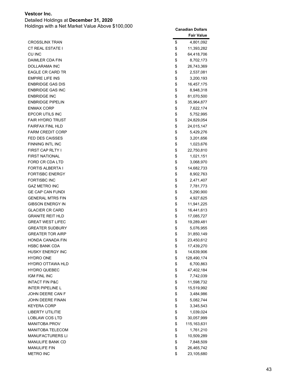Detailed Holdings at **December 31, 2020**

|                                                 |          | <b>Fair Value</b>      |
|-------------------------------------------------|----------|------------------------|
| <b>CROSSLINX TRAN</b>                           | \$       | 4,801,092              |
| <b>CT REAL ESTATE I</b>                         | \$       | 11,393,282             |
| CU INC                                          | \$       | 64,418,706             |
| DAIMLER CDA FIN                                 | \$       | 8,702,173              |
| <b>DOLLARAMA INC</b>                            | \$       | 26,743,369             |
| <b>EAGLE CR CARD TR</b>                         | \$       | 2,537,081              |
| <b>EMPIRE LIFE INS</b>                          | \$       | 3,200,193              |
| <b>ENBRIDGE GAS DIS</b>                         | \$       | 16,457,175             |
| <b>ENBRIDGE GAS INC</b>                         | \$       | 8,948,318              |
| <b>ENBRIDGE INC</b>                             | \$       | 81,070,500             |
| <b>ENBRIDGE PIPELIN</b>                         | \$       | 35,964,877             |
| <b>ENMAX CORP</b>                               | \$       | 7,622,174              |
| EPCOR UTILS INC                                 | \$       | 5,752,995              |
| <b>FAIR HYDRO TRUST</b>                         | \$       | 24,829,054             |
| <b>FAIRFAX FINL HLD</b>                         | \$       | 24,015,147             |
| <b>FARM CREDIT CORP</b>                         | \$       | 5,429,276              |
| <b>FED DES CAISSES</b>                          | \$       | 3,201,656              |
| <b>FINNING INTL INC</b>                         | \$       | 1,023,676              |
| FIRST CAP RLTY I                                | \$       | 22,750,810             |
| <b>FIRST NATIONAL</b>                           | \$       | 1,021,151              |
| FORD CR CDA LTD                                 | \$       | 3,068,970              |
| <b>FORTIS ALBERTA I</b>                         | \$       | 14,682,733             |
| <b>FORTISBC ENERGY</b><br><b>FORTISBC INC</b>   | \$       | 8,902,763              |
|                                                 | \$       | 2,471,407              |
| <b>GAZ METRO INC</b><br><b>GE CAP CAN FUNDI</b> | \$<br>\$ | 7,781,773              |
| <b>GENERAL MTRS FIN</b>                         | \$       | 5,290,900<br>4,927,625 |
| <b>GIBSON ENERGY IN</b>                         | \$       | 11,941,225             |
| <b>GLACIER CR CARD</b>                          | \$       | 16,441,613             |
| <b>GRANITE REIT HLD</b>                         | \$       | 17,085,727             |
| <b>GREAT WEST LIFEC</b>                         | \$       | 19,289,481             |
| <b>GREATER SUDBURY</b>                          | \$       | 5,076,955              |
| <b>GREATER TOR AIRP</b>                         | \$       | 31,850,149             |
| <b>HONDA CANADA FIN</b>                         | \$       | 23,450,612             |
| <b>HSBC BANK CDA</b>                            | \$       | 17,439,270             |
| HUSKY ENERGY INC                                | \$       | 14,639,906             |
| <b>HYDRO ONE</b>                                | \$       | 128,490,174            |
| <b>HYDRO OTTAWA HLD</b>                         | \$       | 6,700,863              |
| <b>HYDRO QUEBEC</b>                             | \$       | 47,402,184             |
| <b>IGM FINL INC</b>                             | \$       | 7,742,039              |
| <b>INTACT FIN P&amp;C</b>                       | \$       | 11,598,732             |
| <b>INTER PIPELINE L</b>                         | \$       | 15,519,992             |
| JOHN DEERE CAN F                                | \$       | 3,484,986              |
| <b>JOHN DEERE FINAN</b>                         | \$       | 5,082,744              |
| <b>KEYERA CORP</b>                              | \$       | 3,345,543              |
| LIBERTY UTILITIE                                | \$       | 1,039,024              |
| LOBLAW COS LTD                                  | \$       | 30,057,999             |
| <b>MANITOBA PROV</b>                            | \$       | 115, 163, 631          |
| <b>MANITOBA TELECOM</b>                         | \$       | 1,761,210              |
| <b>MANUFACTURERS LI</b>                         | \$       | 10,509,289             |
| MANULIFE BANK CD                                | \$       | 7,848,509              |
| <b>MANULIFE FIN</b>                             | \$       | 26,465,742             |
| <b>METRO INC</b>                                | \$       | 23,105,680             |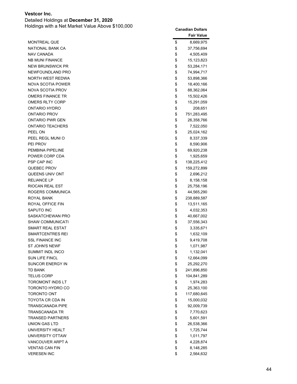Detailed Holdings at **December 31, 2020**

|                         | <b>Fair Value</b> |
|-------------------------|-------------------|
| <b>MONTREAL QUE</b>     | \$<br>8,669,975   |
| NATIONAL BANK CA        | \$<br>37,756,694  |
| <b>NAV CANADA</b>       | \$<br>4,505,409   |
| <b>NB MUNI FINANCE</b>  | \$<br>15,123,823  |
| <b>NEW BRUNSWICK PR</b> | \$<br>53,284,171  |
| NEWFOUNDLAND PRO        | \$<br>74,994,717  |
| NORTH WEST REDWA        | \$<br>53,898,366  |
| NOVA SCOTIA POWER       | \$<br>18,400,166  |
| <b>NOVA SCOTIA PROV</b> | \$<br>88,362,064  |
| <b>OMERS FINANCE TR</b> | \$<br>15,502,426  |
| <b>OMERS RLTY CORP</b>  | \$<br>15,291,059  |
| ONTARIO HYDRO           | \$<br>208,651     |
| ONTARIO PROV            | \$<br>751,283,495 |
| <b>ONTARIO PWR GEN</b>  | \$<br>26,358,766  |
| <b>ONTARIO TEACHERS</b> | \$<br>7,522,050   |
| PEEL ON                 | \$<br>25,024,162  |
| PEEL REGL MUNIO         | \$<br>8,337,339   |
| PEI PROV                | \$<br>8,590,906   |
| PEMBINA PIPELINE        | \$<br>69,920,238  |
| POWER CORP CDA          | \$<br>1,925,659   |
| <b>PSP CAP INC</b>      | \$<br>138,225,412 |
| <b>QUEBEC PROV</b>      | \$<br>159,272,899 |
| QUEENS UNIV ONT         | \$<br>2,696,212   |
| <b>RELIANCE LP</b>      | \$<br>8,158,158   |
| RIOCAN REAL EST         | \$<br>25,758,196  |
| ROGERS COMMUNICA        | \$<br>44,565,290  |
| ROYAL BANK              | \$<br>238,889,587 |
| ROYAL OFFICE FIN        | \$<br>13,511,165  |
| SAPUTO INC              | \$<br>4,032,353   |
| SASKATCHEWAN PRO        | \$<br>40,667,002  |
| <b>SHAW COMMUNICATI</b> | \$<br>37,556,343  |
| SMART REAL ESTAT        | \$<br>3,335,671   |
| SMARTCENTRES REI        | \$<br>1,632,109   |
| <b>SSL FINANCE INC</b>  | \$<br>9,419,708   |
| <b>ST JOHN'S NEWF</b>   | \$<br>1,071,987   |
| SUMMIT INDL INCO        | \$<br>1,132,041   |
| SUN LIFE FINCL          | \$<br>12,664,099  |
| SUNCOR ENERGY IN        | \$<br>25,292,270  |
| <b>TD BANK</b>          | \$<br>241,896,850 |
| <b>TELUS CORP</b>       | \$<br>104,841,289 |
| TOROMONT INDS LT        | \$<br>1,974,283   |
| TORONTO HYDRO CO        | \$<br>25,363,100  |
| <b>TORONTO ONT</b>      | \$<br>117,680,645 |
| TOYOTA CR CDA IN        | \$<br>15,000,032  |
| <b>TRANSCANADA PIPE</b> | \$<br>92,009,739  |
| TRANSCANADA TR          | \$<br>7,770,623   |
| <b>TRANSED PARTNERS</b> | \$<br>5,601,591   |
| UNION GAS LTD           | \$<br>26,538,366  |
| UNIVERSITY HEALT        | \$<br>1,725,744   |
| UNIVERSITY OTTAW        | \$<br>1,011,797   |
| VANCOUVER ARPT A        | \$<br>4,228,874   |
| <b>VENTAS CAN FIN</b>   | \$<br>8,148,285   |
| <b>VERESEN INC</b>      | \$<br>2,564,632   |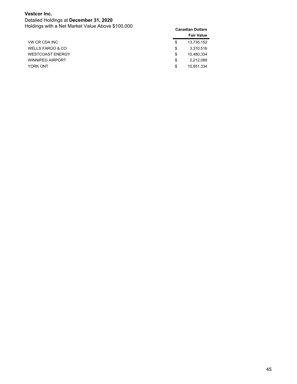Detailed Holdings at **December 31, 2020** Holdings with a Net Market Value Above \$100,000 **Canadian Dollars**

|                         |    | <b>Fair Value</b> |
|-------------------------|----|-------------------|
| VW CR CDA INC           | \$ | 13,735,152        |
| WELLS FARGO & CO        | S  | 3,310,516         |
| <b>WESTCOAST ENERGY</b> | \$ | 10,480,334        |
| <b>WINNIPEG AIRPORT</b> | \$ | 2,212,089         |
| YORK ONT                | \$ | 10.851.334        |